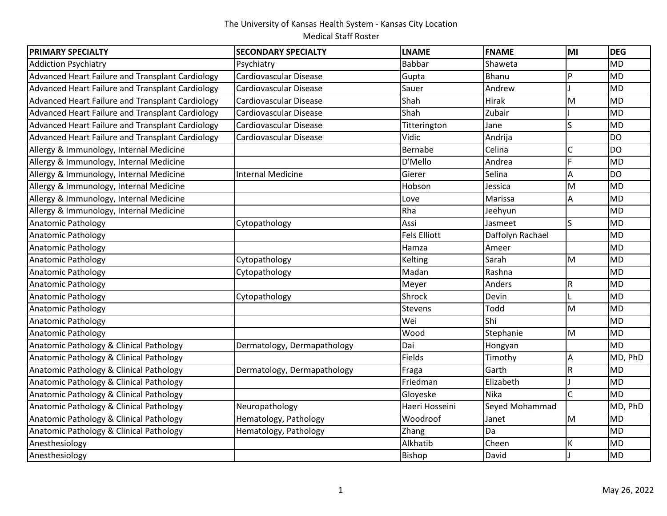| <b>PRIMARY SPECIALTY</b>                         | <b>SECONDARY SPECIALTY</b>  | <b>LNAME</b>        | <b>FNAME</b>     | MI | <b>DEG</b> |
|--------------------------------------------------|-----------------------------|---------------------|------------------|----|------------|
| <b>Addiction Psychiatry</b>                      | Psychiatry                  | <b>Babbar</b>       | Shaweta          |    | MD         |
| Advanced Heart Failure and Transplant Cardiology | Cardiovascular Disease      | Gupta               | Bhanu            | P  | lmd        |
| Advanced Heart Failure and Transplant Cardiology | Cardiovascular Disease      | Sauer               | Andrew           |    | <b>MD</b>  |
| Advanced Heart Failure and Transplant Cardiology | Cardiovascular Disease      | Shah                | Hirak            | M  | <b>MD</b>  |
| Advanced Heart Failure and Transplant Cardiology | Cardiovascular Disease      | Shah                | Zubair           |    | <b>MD</b>  |
| Advanced Heart Failure and Transplant Cardiology | Cardiovascular Disease      | Titterington        | Jane             | S  | MD         |
| Advanced Heart Failure and Transplant Cardiology | Cardiovascular Disease      | Vidic               | Andrija          |    | <b>DO</b>  |
| Allergy & Immunology, Internal Medicine          |                             | Bernabe             | Celina           | C  | <b>DO</b>  |
| Allergy & Immunology, Internal Medicine          |                             | D'Mello             | Andrea           | Ē  | MD         |
| Allergy & Immunology, Internal Medicine          | <b>Internal Medicine</b>    | Gierer              | Selina           | Α  | <b>DO</b>  |
| Allergy & Immunology, Internal Medicine          |                             | Hobson              | Jessica          | M  | <b>MD</b>  |
| Allergy & Immunology, Internal Medicine          |                             | Love                | Marissa          | A  | MD         |
| Allergy & Immunology, Internal Medicine          |                             | Rha                 | Jeehyun          |    | ∣MD        |
| <b>Anatomic Pathology</b>                        | Cytopathology               | Assi                | Jasmeet          | S  | MD         |
| Anatomic Pathology                               |                             | <b>Fels Elliott</b> | Daffolyn Rachael |    | <b>MD</b>  |
| <b>Anatomic Pathology</b>                        |                             | Hamza               | Ameer            |    | <b>MD</b>  |
| <b>Anatomic Pathology</b>                        | Cytopathology               | Kelting             | Sarah            | M  | MD         |
| Anatomic Pathology                               | Cytopathology               | Madan               | Rashna           |    | <b>MD</b>  |
| <b>Anatomic Pathology</b>                        |                             | Meyer               | Anders           | R  | <b>MD</b>  |
| <b>Anatomic Pathology</b>                        | Cytopathology               | Shrock              | Devin            |    | MD         |
| <b>Anatomic Pathology</b>                        |                             | Stevens             | Todd             | M  | <b>MD</b>  |
| <b>Anatomic Pathology</b>                        |                             | Wei                 | Shi              |    | <b>MD</b>  |
| <b>Anatomic Pathology</b>                        |                             | Wood                | Stephanie        | M  | MD         |
| Anatomic Pathology & Clinical Pathology          | Dermatology, Dermapathology | Dai                 | Hongyan          |    | lmd        |
| Anatomic Pathology & Clinical Pathology          |                             | Fields              | Timothy          | Α  | MD, PhD    |
| Anatomic Pathology & Clinical Pathology          | Dermatology, Dermapathology | Fraga               | Garth            | R  | <b>MD</b>  |
| Anatomic Pathology & Clinical Pathology          |                             | Friedman            | Elizabeth        |    | <b>MD</b>  |
| Anatomic Pathology & Clinical Pathology          |                             | Gloyeske            | <b>Nika</b>      | C  | MD         |
| Anatomic Pathology & Clinical Pathology          | Neuropathology              | Haeri Hosseini      | Seyed Mohammad   |    | MD, PhD    |
| Anatomic Pathology & Clinical Pathology          | Hematology, Pathology       | Woodroof            | Janet            | M  | <b>MD</b>  |
| Anatomic Pathology & Clinical Pathology          | Hematology, Pathology       | Zhang               | Da               |    | <b>MD</b>  |
| Anesthesiology                                   |                             | Alkhatib            | Cheen            | K  | <b>MD</b>  |
| Anesthesiology                                   |                             | Bishop              | David            |    | MD         |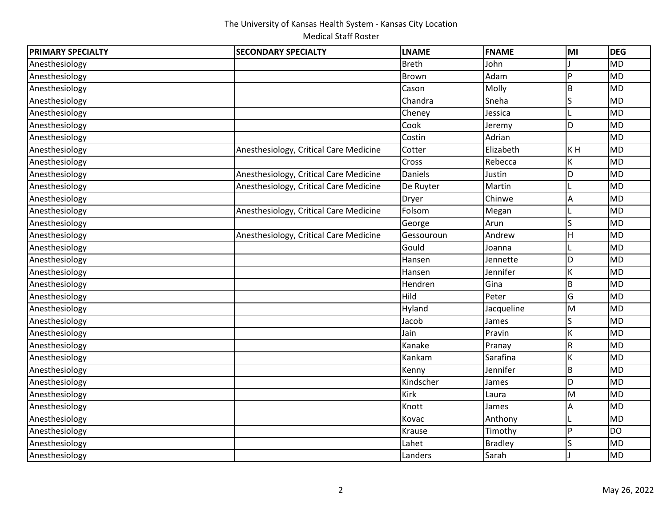| <b>PRIMARY SPECIALTY</b> | <b>SECONDARY SPECIALTY</b>             | <b>LNAME</b> | <b>FNAME</b>   | MI           | DEG       |
|--------------------------|----------------------------------------|--------------|----------------|--------------|-----------|
| Anesthesiology           |                                        | Breth        | John           |              | <b>MD</b> |
| Anesthesiology           |                                        | Brown        | Adam           | P            | <b>MD</b> |
| Anesthesiology           |                                        | Cason        | Molly          | B            | <b>MD</b> |
| Anesthesiology           |                                        | Chandra      | Sneha          | S            | <b>MD</b> |
| Anesthesiology           |                                        | Cheney       | Jessica        |              | <b>MD</b> |
| Anesthesiology           |                                        | Cook         | Jeremy         | D            | <b>MD</b> |
| Anesthesiology           |                                        | Costin       | Adrian         |              | MD        |
| Anesthesiology           | Anesthesiology, Critical Care Medicine | Cotter       | Elizabeth      | KH           | MD        |
| Anesthesiology           |                                        | Cross        | Rebecca        | К            | <b>MD</b> |
| Anesthesiology           | Anesthesiology, Critical Care Medicine | Daniels      | Justin         | D            | <b>MD</b> |
| Anesthesiology           | Anesthesiology, Critical Care Medicine | De Ruyter    | Martin         |              | <b>MD</b> |
| Anesthesiology           |                                        | Dryer        | Chinwe         | Α            | MD        |
| Anesthesiology           | Anesthesiology, Critical Care Medicine | Folsom       | Megan          |              | MD!       |
| Anesthesiology           |                                        | George       | Arun           | S            | <b>MD</b> |
| Anesthesiology           | Anesthesiology, Critical Care Medicine | Gessouroun   | Andrew         | H            | <b>MD</b> |
| Anesthesiology           |                                        | Gould        | Joanna         |              | <b>MD</b> |
| Anesthesiology           |                                        | Hansen       | Jennette       | D            | <b>MD</b> |
| Anesthesiology           |                                        | Hansen       | Jennifer       | К            | <b>MD</b> |
| Anesthesiology           |                                        | Hendren      | Gina           | B            | <b>MD</b> |
| Anesthesiology           |                                        | Hild         | Peter          | G            | <b>MD</b> |
| Anesthesiology           |                                        | Hyland       | Jacqueline     | $\mathsf{M}$ | <b>MD</b> |
| Anesthesiology           |                                        | Jacob        | James          | S            | <b>MD</b> |
| Anesthesiology           |                                        | Jain         | Pravin         | K            | MD        |
| Anesthesiology           |                                        | Kanake       | Pranay         | $\mathsf R$  | <b>MD</b> |
| Anesthesiology           |                                        | Kankam       | Sarafina       | К            | <b>MD</b> |
| Anesthesiology           |                                        | Kenny        | Jennifer       | B            | <b>MD</b> |
| Anesthesiology           |                                        | Kindscher    | James          | D            | <b>MD</b> |
| Anesthesiology           |                                        | Kirk         | Laura          | M            | <b>MD</b> |
| Anesthesiology           |                                        | Knott        | James          | Α            | <b>MD</b> |
| Anesthesiology           |                                        | Kovac        | Anthony        |              | <b>MD</b> |
| Anesthesiology           |                                        | Krause       | Timothy        | P            | <b>DO</b> |
| Anesthesiology           |                                        | Lahet        | <b>Bradley</b> | S            | <b>MD</b> |
| Anesthesiology           |                                        | Landers      | Sarah          |              | MD        |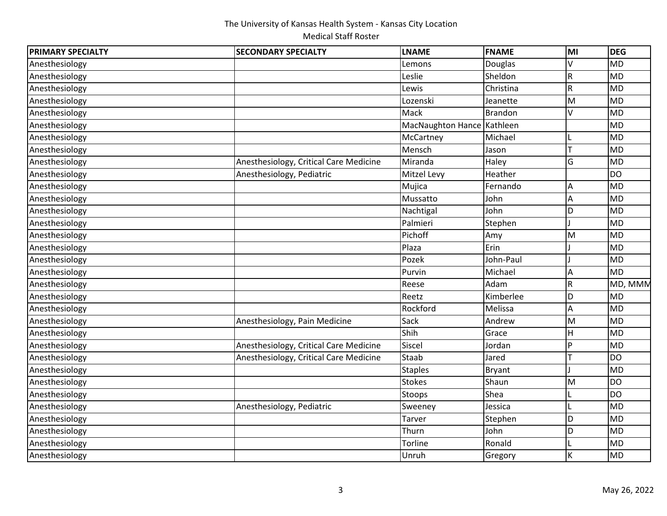| <b>PRIMARY SPECIALTY</b> | <b>SECONDARY SPECIALTY</b>             | <b>LNAME</b>               | <b>FNAME</b>  | MІ | <b>DEG</b> |
|--------------------------|----------------------------------------|----------------------------|---------------|----|------------|
| Anesthesiology           |                                        | Lemons                     | Douglas       | V  | <b>MD</b>  |
| Anesthesiology           |                                        | Leslie                     | Sheldon       | R  | <b>MD</b>  |
| Anesthesiology           |                                        | Lewis                      | Christina     | R  | <b>MD</b>  |
| Anesthesiology           |                                        | Lozenski                   | Jeanette      | M  | <b>MD</b>  |
| Anesthesiology           |                                        | Mack                       | Brandon       | V  | <b>MD</b>  |
| Anesthesiology           |                                        | MacNaughton Hance Kathleen |               |    | <b>MD</b>  |
| Anesthesiology           |                                        | McCartney                  | Michael       |    | MD         |
| Anesthesiology           |                                        | Mensch                     | Jason         |    | <b>MD</b>  |
| Anesthesiology           | Anesthesiology, Critical Care Medicine | Miranda                    | Haley         | G  | <b>MD</b>  |
| Anesthesiology           | Anesthesiology, Pediatric              | Mitzel Levy                | Heather       |    | <b>DO</b>  |
| Anesthesiology           |                                        | Mujica                     | Fernando      | Α  | <b>MD</b>  |
| Anesthesiology           |                                        | Mussatto                   | John          | Α  | MD         |
| Anesthesiology           |                                        | Nachtigal                  | John          | D  | <b>MD</b>  |
| Anesthesiology           |                                        | Palmieri                   | Stephen       |    | <b>MD</b>  |
| Anesthesiology           |                                        | Pichoff                    | Amy           | M  | <b>MD</b>  |
| Anesthesiology           |                                        | Plaza                      | Erin          |    | <b>MD</b>  |
| Anesthesiology           |                                        | Pozek                      | John-Paul     |    | <b>MD</b>  |
| Anesthesiology           |                                        | Purvin                     | Michael       | Α  | <b>MD</b>  |
| Anesthesiology           |                                        | Reese                      | Adam          | R  | MD, MMM    |
| Anesthesiology           |                                        | Reetz                      | Kimberlee     | D  | <b>MD</b>  |
| Anesthesiology           |                                        | Rockford                   | Melissa       | Α  | <b>MD</b>  |
| Anesthesiology           | Anesthesiology, Pain Medicine          | Sack                       | Andrew        | M  | <b>MD</b>  |
| Anesthesiology           |                                        | Shih                       | Grace         | Н  | <b>MD</b>  |
| Anesthesiology           | Anesthesiology, Critical Care Medicine | Siscel                     | Jordan        | D  | <b>MD</b>  |
| Anesthesiology           | Anesthesiology, Critical Care Medicine | Staab                      | Jared         |    | <b>DO</b>  |
| Anesthesiology           |                                        | <b>Staples</b>             | <b>Bryant</b> |    | <b>MD</b>  |
| Anesthesiology           |                                        | <b>Stokes</b>              | Shaun         | M  | <b>DO</b>  |
| Anesthesiology           |                                        | Stoops                     | Shea          |    | <b>DO</b>  |
| Anesthesiology           | Anesthesiology, Pediatric              | Sweeney                    | Jessica       |    | <b>MD</b>  |
| Anesthesiology           |                                        | Tarver                     | Stephen       | D  | <b>MD</b>  |
| Anesthesiology           |                                        | Thurn                      | John          | D  | <b>MD</b>  |
| Anesthesiology           |                                        | Torline                    | Ronald        |    | <b>MD</b>  |
| Anesthesiology           |                                        | Unruh                      | Gregory       | К  | MD         |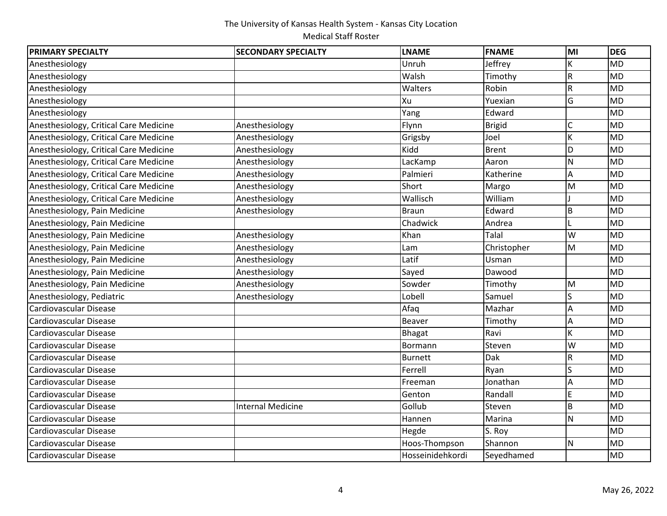| <b>PRIMARY SPECIALTY</b>               | <b>SECONDARY SPECIALTY</b> | <b>LNAME</b>     | <b>FNAME</b>  | MI           | <b>DEG</b> |
|----------------------------------------|----------------------------|------------------|---------------|--------------|------------|
| Anesthesiology                         |                            | Unruh            | Jeffrey       | К            | <b>MD</b>  |
| Anesthesiology                         |                            | Walsh            | Timothy       | ${\sf R}$    | <b>MD</b>  |
| Anesthesiology                         |                            | Walters          | Robin         | R            | <b>MD</b>  |
| Anesthesiology                         |                            | Xu               | Yuexian       | G            | <b>MD</b>  |
| Anesthesiology                         |                            | Yang             | Edward        |              | <b>MD</b>  |
| Anesthesiology, Critical Care Medicine | Anesthesiology             | Flynn            | <b>Brigid</b> | C            | <b>MD</b>  |
| Anesthesiology, Critical Care Medicine | Anesthesiology             | Grigsby          | Joel          | К            | <b>MD</b>  |
| Anesthesiology, Critical Care Medicine | Anesthesiology             | Kidd             | <b>Brent</b>  | D            | <b>MD</b>  |
| Anesthesiology, Critical Care Medicine | Anesthesiology             | LacKamp          | Aaron         | N            | <b>MD</b>  |
| Anesthesiology, Critical Care Medicine | Anesthesiology             | Palmieri         | Katherine     | A            | <b>MD</b>  |
| Anesthesiology, Critical Care Medicine | Anesthesiology             | Short            | Margo         | M            | <b>MD</b>  |
| Anesthesiology, Critical Care Medicine | Anesthesiology             | Wallisch         | William       |              | <b>MD</b>  |
| Anesthesiology, Pain Medicine          | Anesthesiology             | <b>Braun</b>     | Edward        | B            | MD         |
| Anesthesiology, Pain Medicine          |                            | Chadwick         | Andrea        |              | <b>MD</b>  |
| Anesthesiology, Pain Medicine          | Anesthesiology             | Khan             | Talal         | W            | <b>MD</b>  |
| Anesthesiology, Pain Medicine          | Anesthesiology             | Lam              | Christopher   | $\mathsf{M}$ | <b>MD</b>  |
| Anesthesiology, Pain Medicine          | Anesthesiology             | Latif            | Usman         |              | <b>MD</b>  |
| Anesthesiology, Pain Medicine          | Anesthesiology             | Sayed            | Dawood        |              | MD         |
| Anesthesiology, Pain Medicine          | Anesthesiology             | Sowder           | Timothy       | $\mathsf{M}$ | <b>MD</b>  |
| Anesthesiology, Pediatric              | Anesthesiology             | Lobell           | Samuel        | S            | <b>MD</b>  |
| Cardiovascular Disease                 |                            | Afaq             | Mazhar        | Α            | <b>MD</b>  |
| Cardiovascular Disease                 |                            | Beaver           | Timothy       | Α            | <b>MD</b>  |
| Cardiovascular Disease                 |                            | <b>Bhagat</b>    | Ravi          | К            | <b>MD</b>  |
| Cardiovascular Disease                 |                            | Bormann          | Steven        | W            | <b>MD</b>  |
| Cardiovascular Disease                 |                            | Burnett          | Dak           | ${\sf R}$    | <b>MD</b>  |
| Cardiovascular Disease                 |                            | Ferrell          | Ryan          | S            | <b>MD</b>  |
| Cardiovascular Disease                 |                            | Freeman          | Jonathan      | A            | <b>MD</b>  |
| Cardiovascular Disease                 |                            | Genton           | Randall       | E            | <b>MD</b>  |
| Cardiovascular Disease                 | <b>Internal Medicine</b>   | Gollub           | Steven        | B            | <b>MD</b>  |
| Cardiovascular Disease                 |                            | Hannen           | Marina        | N            | <b>MD</b>  |
| Cardiovascular Disease                 |                            | Hegde            | S. Roy        |              | <b>MD</b>  |
| Cardiovascular Disease                 |                            | Hoos-Thompson    | Shannon       | N            | <b>MD</b>  |
| Cardiovascular Disease                 |                            | Hosseinidehkordi | Seyedhamed    |              | MD         |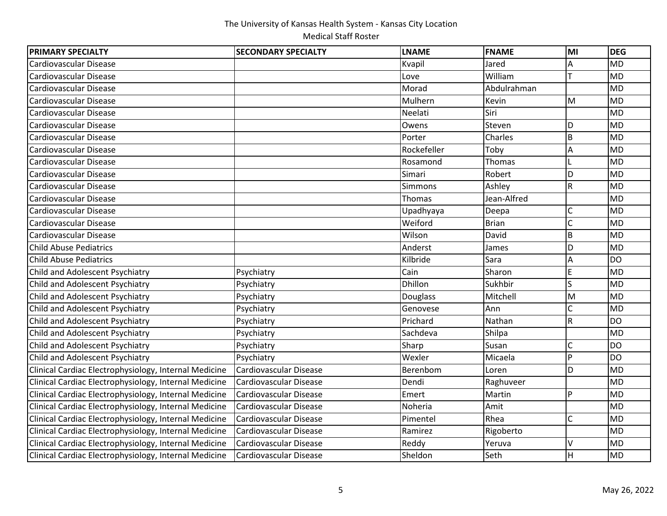| <b>PRIMARY SPECIALTY</b>                              | <b>SECONDARY SPECIALTY</b> | <b>LNAME</b> | <b>FNAME</b> | lмı | <b>DEG</b> |
|-------------------------------------------------------|----------------------------|--------------|--------------|-----|------------|
| Cardiovascular Disease                                |                            | Kvapil       | Jared        | Α   | <b>MD</b>  |
| <b>Cardiovascular Disease</b>                         |                            | Love         | William      |     | <b>MD</b>  |
| Cardiovascular Disease                                |                            | Morad        | Abdulrahman  |     | lmd        |
| Cardiovascular Disease                                |                            | Mulhern      | Kevin        | M   | <b>MD</b>  |
| Cardiovascular Disease                                |                            | Neelati      | Siri         |     | <b>MD</b>  |
| Cardiovascular Disease                                |                            | Owens        | Steven       | D   | <b>MD</b>  |
| Cardiovascular Disease                                |                            | Porter       | Charles      | B   | MD         |
| Cardiovascular Disease                                |                            | Rockefeller  | Toby         | A   | <b>MD</b>  |
| Cardiovascular Disease                                |                            | Rosamond     | Thomas       |     | <b>MD</b>  |
| Cardiovascular Disease                                |                            | Simari       | Robert       | D   | <b>MD</b>  |
| Cardiovascular Disease                                |                            | Simmons      | Ashley       | R   | <b>MD</b>  |
| Cardiovascular Disease                                |                            | Thomas       | Jean-Alfred  |     | MD         |
| Cardiovascular Disease                                |                            | Upadhyaya    | Deepa        | Ċ   | lmd        |
| Cardiovascular Disease                                |                            | Weiford      | <b>Brian</b> | Ċ   | <b>MD</b>  |
| Cardiovascular Disease                                |                            | Wilson       | David        | B   | <b>MD</b>  |
| <b>Child Abuse Pediatrics</b>                         |                            | Anderst      | James        | D   | <b>MD</b>  |
| <b>Child Abuse Pediatrics</b>                         |                            | Kilbride     | Sara         | Α   | <b>DO</b>  |
| Child and Adolescent Psychiatry                       | Psychiatry                 | Cain         | Sharon       | E   | <b>MD</b>  |
| Child and Adolescent Psychiatry                       | Psychiatry                 | Dhillon      | Sukhbir      | S   | <b>MD</b>  |
| Child and Adolescent Psychiatry                       | Psychiatry                 | Douglass     | Mitchell     | M   | MD         |
| Child and Adolescent Psychiatry                       | Psychiatry                 | Genovese     | Ann          | Ċ   | <b>MD</b>  |
| Child and Adolescent Psychiatry                       | Psychiatry                 | Prichard     | Nathan       | R   | <b>DO</b>  |
| Child and Adolescent Psychiatry                       | Psychiatry                 | Sachdeva     | Shilpa       |     | <b>MD</b>  |
| Child and Adolescent Psychiatry                       | Psychiatry                 | Sharp        | Susan        | Ċ   | <b>DO</b>  |
| Child and Adolescent Psychiatry                       | Psychiatry                 | Wexler       | Micaela      | P   | <b>DO</b>  |
| Clinical Cardiac Electrophysiology, Internal Medicine | Cardiovascular Disease     | Berenbom     | Loren        | D   | <b>MD</b>  |
| Clinical Cardiac Electrophysiology, Internal Medicine | Cardiovascular Disease     | Dendi        | Raghuveer    |     | <b>MD</b>  |
| Clinical Cardiac Electrophysiology, Internal Medicine | Cardiovascular Disease     | Emert        | Martin       | P   | <b>MD</b>  |
| Clinical Cardiac Electrophysiology, Internal Medicine | Cardiovascular Disease     | Noheria      | Amit         |     | <b>MD</b>  |
| Clinical Cardiac Electrophysiology, Internal Medicine | Cardiovascular Disease     | Pimentel     | Rhea         | C   | <b>MD</b>  |
| Clinical Cardiac Electrophysiology, Internal Medicine | Cardiovascular Disease     | Ramirez      | Rigoberto    |     | <b>MD</b>  |
| Clinical Cardiac Electrophysiology, Internal Medicine | Cardiovascular Disease     | Reddy        | Yeruva       | V   | <b>MD</b>  |
| Clinical Cardiac Electrophysiology, Internal Medicine | Cardiovascular Disease     | Sheldon      | Seth         | H   | MD         |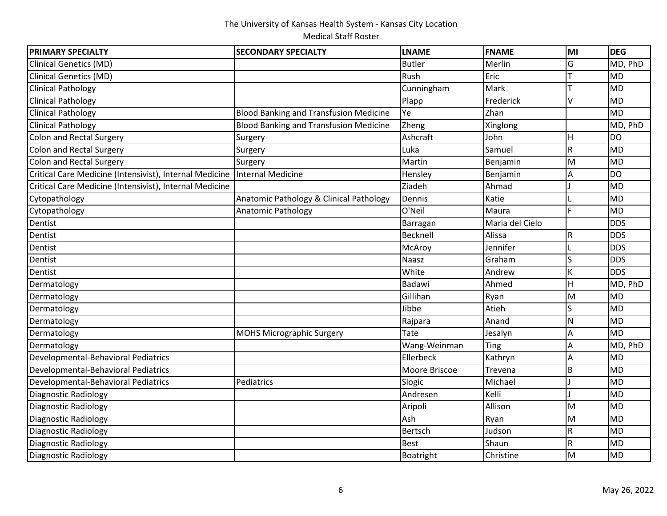| <b>PRIMARY SPECIALTY</b>                                | <b>SECONDARY SPECIALTY</b>                    | <b>LNAME</b>  | <b>FNAME</b>    | MI           | <b>DEG</b> |
|---------------------------------------------------------|-----------------------------------------------|---------------|-----------------|--------------|------------|
| <b>Clinical Genetics (MD)</b>                           |                                               | Butler        | Merlin          | G            | MD, PhD    |
| <b>Clinical Genetics (MD)</b>                           |                                               | Rush          | Eric            |              | <b>MD</b>  |
| <b>Clinical Pathology</b>                               |                                               | Cunningham    | Mark            |              | <b>MD</b>  |
| <b>Clinical Pathology</b>                               |                                               | Plapp         | Frederick       | V            | <b>MD</b>  |
| <b>Clinical Pathology</b>                               | <b>Blood Banking and Transfusion Medicine</b> | Ye            | Zhan            |              | <b>MD</b>  |
| <b>Clinical Pathology</b>                               | <b>Blood Banking and Transfusion Medicine</b> | Zheng         | Xinglong        |              | MD, PhD    |
| <b>Colon and Rectal Surgery</b>                         | Surgery                                       | Ashcraft      | John            | Н            | <b>DO</b>  |
| <b>Colon and Rectal Surgery</b>                         | Surgery                                       | Luka          | Samuel          | $\sf R$      | <b>MD</b>  |
| <b>Colon and Rectal Surgery</b>                         | Surgery                                       | Martin        | Benjamin        | M            | <b>MD</b>  |
| Critical Care Medicine (Intensivist), Internal Medicine | Internal Medicine                             | Hensley       | Benjamin        | Α            | <b>DO</b>  |
| Critical Care Medicine (Intensivist), Internal Medicine |                                               | Ziadeh        | Ahmad           |              | <b>MD</b>  |
| Cytopathology                                           | Anatomic Pathology & Clinical Pathology       | Dennis        | Katie           |              | <b>MD</b>  |
| Cytopathology                                           | <b>Anatomic Pathology</b>                     | O'Neil        | Maura           | F            | <b>MD</b>  |
| Dentist                                                 |                                               | Barragan      | Maria del Cielo |              | <b>DDS</b> |
| Dentist                                                 |                                               | Becknell      | Alissa          | R            | <b>DDS</b> |
| Dentist                                                 |                                               | McAroy        | Jennifer        |              | <b>DDS</b> |
| Dentist                                                 |                                               | Naasz         | Graham          | S            | <b>DDS</b> |
| Dentist                                                 |                                               | White         | Andrew          | К            | <b>DDS</b> |
| Dermatology                                             |                                               | Badawi        | Ahmed           | Н            | MD, PhD    |
| Dermatology                                             |                                               | Gillihan      | Ryan            | M            | <b>MD</b>  |
| Dermatology                                             |                                               | Jibbe         | Atieh           | S            | <b>MD</b>  |
| Dermatology                                             |                                               | Rajpara       | Anand           | N            | <b>MD</b>  |
| Dermatology                                             | MOHS Micrographic Surgery                     | Tate          | Jesalyn         | A            | <b>MD</b>  |
| Dermatology                                             |                                               | Wang-Weinman  | Ting            | A            | MD, PhD    |
| Developmental-Behavioral Pediatrics                     |                                               | Ellerbeck     | Kathryn         | Α            | <b>MD</b>  |
| Developmental-Behavioral Pediatrics                     |                                               | Moore Briscoe | Trevena         | B            | <b>MD</b>  |
| Developmental-Behavioral Pediatrics                     | Pediatrics                                    | Slogic        | Michael         |              | <b>MD</b>  |
| <b>Diagnostic Radiology</b>                             |                                               | Andresen      | Kelli           |              | <b>MD</b>  |
| <b>Diagnostic Radiology</b>                             |                                               | Aripoli       | Allison         | M            | <b>MD</b>  |
| <b>Diagnostic Radiology</b>                             |                                               | Ash           | Ryan            | $\mathsf{M}$ | <b>MD</b>  |
| <b>Diagnostic Radiology</b>                             |                                               | Bertsch       | Judson          | R            | <b>MD</b>  |
| <b>Diagnostic Radiology</b>                             |                                               | <b>Best</b>   | Shaun           | R            | <b>MD</b>  |
| <b>Diagnostic Radiology</b>                             |                                               | Boatright     | Christine       | M            | MD         |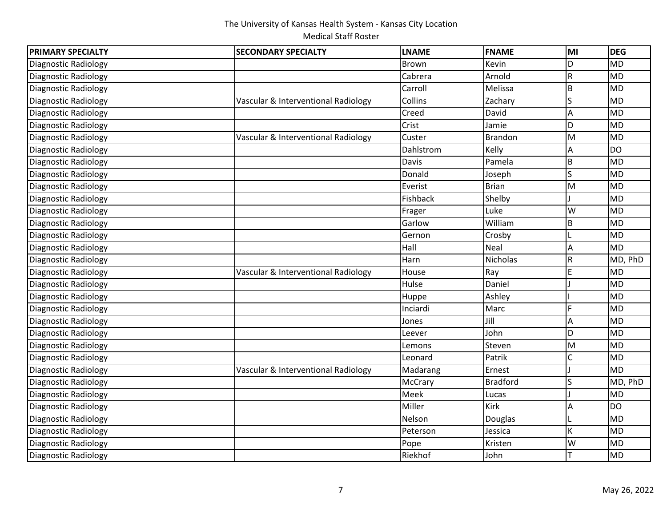| <b>PRIMARY SPECIALTY</b>    | <b>SECONDARY SPECIALTY</b>          | <b>LNAME</b> | <b>FNAME</b>    | MI           | <b>DEG</b> |
|-----------------------------|-------------------------------------|--------------|-----------------|--------------|------------|
| <b>Diagnostic Radiology</b> |                                     | <b>Brown</b> | Kevin           | D            | <b>MD</b>  |
| <b>Diagnostic Radiology</b> |                                     | Cabrera      | Arnold          | R            | <b>MD</b>  |
| <b>Diagnostic Radiology</b> |                                     | Carroll      | Melissa         | B            | <b>MD</b>  |
| <b>Diagnostic Radiology</b> | Vascular & Interventional Radiology | Collins      | Zachary         | S            | <b>MD</b>  |
| Diagnostic Radiology        |                                     | Creed        | David           | A            | <b>MD</b>  |
| Diagnostic Radiology        |                                     | Crist        | Jamie           | D            | <b>MD</b>  |
| <b>Diagnostic Radiology</b> | Vascular & Interventional Radiology | Custer       | Brandon         | M            | <b>MD</b>  |
| Diagnostic Radiology        |                                     | Dahlstrom    | Kelly           | Α            | <b>DO</b>  |
| <b>Diagnostic Radiology</b> |                                     | Davis        | Pamela          | B            | <b>MD</b>  |
| <b>Diagnostic Radiology</b> |                                     | Donald       | Joseph          | S            | <b>MD</b>  |
| <b>Diagnostic Radiology</b> |                                     | Everist      | <b>Brian</b>    | M            | <b>MD</b>  |
| <b>Diagnostic Radiology</b> |                                     | Fishback     | Shelby          |              | <b>MD</b>  |
| <b>Diagnostic Radiology</b> |                                     | Frager       | Luke            | W            | <b>MD</b>  |
| <b>Diagnostic Radiology</b> |                                     | Garlow       | William         | B            | <b>MD</b>  |
| <b>Diagnostic Radiology</b> |                                     | Gernon       | Crosby          |              | <b>MD</b>  |
| Diagnostic Radiology        |                                     | Hall         | <b>Neal</b>     | A            | <b>MD</b>  |
| <b>Diagnostic Radiology</b> |                                     | Harn         | <b>Nicholas</b> | R            | MD, PhD    |
| <b>Diagnostic Radiology</b> | Vascular & Interventional Radiology | House        | Ray             | E            | <b>MD</b>  |
| <b>Diagnostic Radiology</b> |                                     | Hulse        | Daniel          |              | <b>MD</b>  |
| <b>Diagnostic Radiology</b> |                                     | Huppe        | Ashley          |              | <b>MD</b>  |
| <b>Diagnostic Radiology</b> |                                     | Inciardi     | Marc            | F            | <b>MD</b>  |
| Diagnostic Radiology        |                                     | Jones        | Jill            | A            | <b>MD</b>  |
| <b>Diagnostic Radiology</b> |                                     | Leever       | John            | D            | <b>MD</b>  |
| <b>Diagnostic Radiology</b> |                                     | Lemons       | Steven          | M            | <b>MD</b>  |
| <b>Diagnostic Radiology</b> |                                     | Leonard      | Patrik          | $\mathsf{C}$ | <b>MD</b>  |
| Diagnostic Radiology        | Vascular & Interventional Radiology | Madarang     | Ernest          |              | <b>MD</b>  |
| Diagnostic Radiology        |                                     | McCrary      | <b>Bradford</b> | S            | MD, PhD    |
| <b>Diagnostic Radiology</b> |                                     | Meek         | Lucas           |              | MD         |
| <b>Diagnostic Radiology</b> |                                     | Miller       | Kirk            | A            | <b>DO</b>  |
| <b>Diagnostic Radiology</b> |                                     | Nelson       | Douglas         | L            | <b>MD</b>  |
| <b>Diagnostic Radiology</b> |                                     | Peterson     | Jessica         | К            | <b>MD</b>  |
| Diagnostic Radiology        |                                     | Pope         | Kristen         | W            | <b>MD</b>  |
| <b>Diagnostic Radiology</b> |                                     | Riekhof      | John            |              | MD         |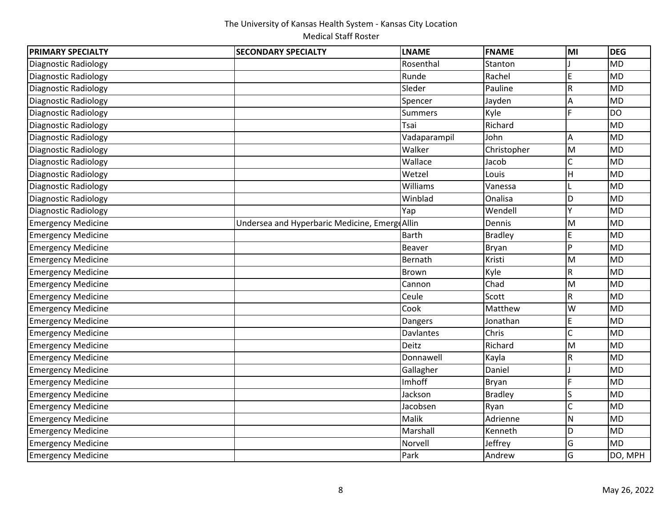| <b>PRIMARY SPECIALTY</b>    | <b>SECONDARY SPECIALTY</b>                    | <b>LNAME</b> | <b>FNAME</b>   | MI           | DEG       |
|-----------------------------|-----------------------------------------------|--------------|----------------|--------------|-----------|
| Diagnostic Radiology        |                                               | Rosenthal    | Stanton        |              | <b>MD</b> |
| <b>Diagnostic Radiology</b> |                                               | Runde        | Rachel         | E            | <b>MD</b> |
| <b>Diagnostic Radiology</b> |                                               | Sleder       | Pauline        | R            | <b>MD</b> |
| <b>Diagnostic Radiology</b> |                                               | Spencer      | Jayden         | Α            | <b>MD</b> |
| Diagnostic Radiology        |                                               | Summers      | Kyle           | F            | <b>DO</b> |
| Diagnostic Radiology        |                                               | Tsai         | Richard        |              | <b>MD</b> |
| <b>Diagnostic Radiology</b> |                                               | Vadaparampil | John           | А            | <b>MD</b> |
| <b>Diagnostic Radiology</b> |                                               | Walker       | Christopher    | M            | <b>MD</b> |
| <b>Diagnostic Radiology</b> |                                               | Wallace      | Jacob          | C            | <b>MD</b> |
| Diagnostic Radiology        |                                               | Wetzel       | Louis          | Н            | <b>MD</b> |
| <b>Diagnostic Radiology</b> |                                               | Williams     | Vanessa        |              | <b>MD</b> |
| <b>Diagnostic Radiology</b> |                                               | Winblad      | Onalisa        | D            | <b>MD</b> |
| <b>Diagnostic Radiology</b> |                                               | Yap          | Wendell        | Υ            | <b>MD</b> |
| <b>Emergency Medicine</b>   | Undersea and Hyperbaric Medicine, EmergeAllin |              | Dennis         | M            | <b>MD</b> |
| <b>Emergency Medicine</b>   |                                               | <b>Barth</b> | <b>Bradley</b> | E            | <b>MD</b> |
| <b>Emergency Medicine</b>   |                                               | Beaver       | Bryan          | P            | <b>MD</b> |
| <b>Emergency Medicine</b>   |                                               | Bernath      | Kristi         | M            | <b>MD</b> |
| <b>Emergency Medicine</b>   |                                               | Brown        | Kyle           | R            | <b>MD</b> |
| <b>Emergency Medicine</b>   |                                               | Cannon       | Chad           | M            | <b>MD</b> |
| <b>Emergency Medicine</b>   |                                               | Ceule        | Scott          | $\sf R$      | <b>MD</b> |
| <b>Emergency Medicine</b>   |                                               | Cook         | Matthew        | W            | <b>MD</b> |
| <b>Emergency Medicine</b>   |                                               | Dangers      | Jonathan       | E            | <b>MD</b> |
| <b>Emergency Medicine</b>   |                                               | Davlantes    | Chris          | C            | <b>MD</b> |
| <b>Emergency Medicine</b>   |                                               | Deitz        | Richard        | M            | <b>MD</b> |
| <b>Emergency Medicine</b>   |                                               | Donnawell    | Kayla          | $\sf R$      | <b>MD</b> |
| <b>Emergency Medicine</b>   |                                               | Gallagher    | Daniel         |              | <b>MD</b> |
| <b>Emergency Medicine</b>   |                                               | Imhoff       | Bryan          | F            | <b>MD</b> |
| <b>Emergency Medicine</b>   |                                               | Jackson      | <b>Bradley</b> | S            | <b>MD</b> |
| <b>Emergency Medicine</b>   |                                               | Jacobsen     | Ryan           | $\mathsf{C}$ | <b>MD</b> |
| <b>Emergency Medicine</b>   |                                               | Malik        | Adrienne       | N            | <b>MD</b> |
| <b>Emergency Medicine</b>   |                                               | Marshall     | Kenneth        | D            | <b>MD</b> |
| <b>Emergency Medicine</b>   |                                               | Norvell      | Jeffrey        | G            | <b>MD</b> |
| <b>Emergency Medicine</b>   |                                               | Park         | Andrew         | G            | DO, MPH   |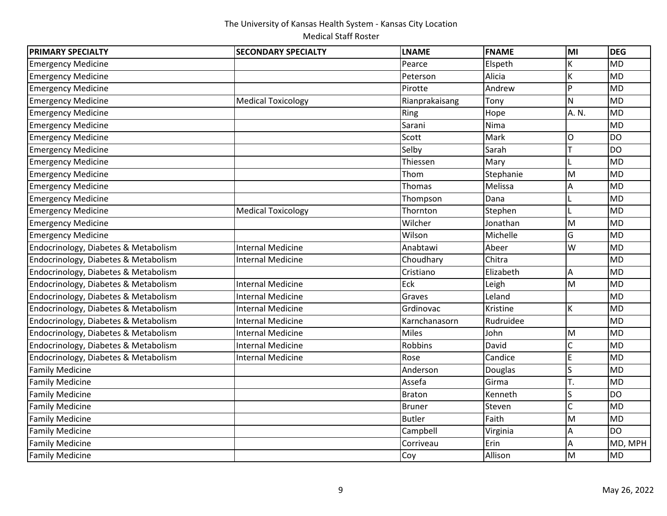| <b>PRIMARY SPECIALTY</b>             | <b>SECONDARY SPECIALTY</b> | <b>LNAME</b>   | <b>FNAME</b> | MI           | <b>DEG</b> |
|--------------------------------------|----------------------------|----------------|--------------|--------------|------------|
| <b>Emergency Medicine</b>            |                            | Pearce         | Elspeth      | K            | MD         |
| <b>Emergency Medicine</b>            |                            | Peterson       | Alicia       | К            | MD         |
| <b>Emergency Medicine</b>            |                            | Pirotte        | Andrew       | P            | MD         |
| <b>Emergency Medicine</b>            | <b>Medical Toxicology</b>  | Rianprakaisang | Tony         | N            | MD         |
| <b>Emergency Medicine</b>            |                            | Ring           | Hope         | A. N.        | MD         |
| <b>Emergency Medicine</b>            |                            | Sarani         | Nima         |              | MD         |
| <b>Emergency Medicine</b>            |                            | Scott          | Mark         | O            | DO         |
| <b>Emergency Medicine</b>            |                            | Selby          | Sarah        |              | ldo        |
| <b>Emergency Medicine</b>            |                            | Thiessen       | Mary         |              | MD         |
| <b>Emergency Medicine</b>            |                            | Thom           | Stephanie    | M            | MD         |
| <b>Emergency Medicine</b>            |                            | Thomas         | Melissa      | Α            | MD         |
| <b>Emergency Medicine</b>            |                            | Thompson       | Dana         |              | MD         |
| <b>Emergency Medicine</b>            | <b>Medical Toxicology</b>  | Thornton       | Stephen      |              | MD         |
| <b>Emergency Medicine</b>            |                            | Wilcher        | Jonathan     | M            | MD         |
| <b>Emergency Medicine</b>            |                            | Wilson         | Michelle     | G            | MD         |
| Endocrinology, Diabetes & Metabolism | <b>Internal Medicine</b>   | Anabtawi       | Abeer        | W            | MD         |
| Endocrinology, Diabetes & Metabolism | <b>Internal Medicine</b>   | Choudhary      | Chitra       |              | MD         |
| Endocrinology, Diabetes & Metabolism |                            | Cristiano      | Elizabeth    | A            | MD         |
| Endocrinology, Diabetes & Metabolism | <b>Internal Medicine</b>   | Eck            | Leigh        | M            | lmd        |
| Endocrinology, Diabetes & Metabolism | <b>Internal Medicine</b>   | Graves         | Leland       |              | MD         |
| Endocrinology, Diabetes & Metabolism | <b>Internal Medicine</b>   | Grdinovac      | Kristine     | K            | MD         |
| Endocrinology, Diabetes & Metabolism | <b>Internal Medicine</b>   | Karnchanasorn  | Rudruidee    |              | MD         |
| Endocrinology, Diabetes & Metabolism | <b>Internal Medicine</b>   | <b>Miles</b>   | John         | M            | MD         |
| Endocrinology, Diabetes & Metabolism | <b>Internal Medicine</b>   | Robbins        | David        | $\mathsf C$  | lmd        |
| Endocrinology, Diabetes & Metabolism | <b>Internal Medicine</b>   | Rose           | Candice      | E            | MD         |
| <b>Family Medicine</b>               |                            | Anderson       | Douglas      | S            | MD         |
| <b>Family Medicine</b>               |                            | Assefa         | Girma        | T.           | MD         |
| <b>Family Medicine</b>               |                            | <b>Braton</b>  | Kenneth      | S            | DO         |
| <b>Family Medicine</b>               |                            | <b>Bruner</b>  | Steven       | $\mathsf{C}$ | MD         |
| <b>Family Medicine</b>               |                            | <b>Butler</b>  | Faith        | M            | MD         |
| <b>Family Medicine</b>               |                            | Campbell       | Virginia     | A            | DO         |
| <b>Family Medicine</b>               |                            | Corriveau      | Erin         | Α            | MD, MPH    |
| <b>Family Medicine</b>               |                            | Coy            | Allison      | M            | MD         |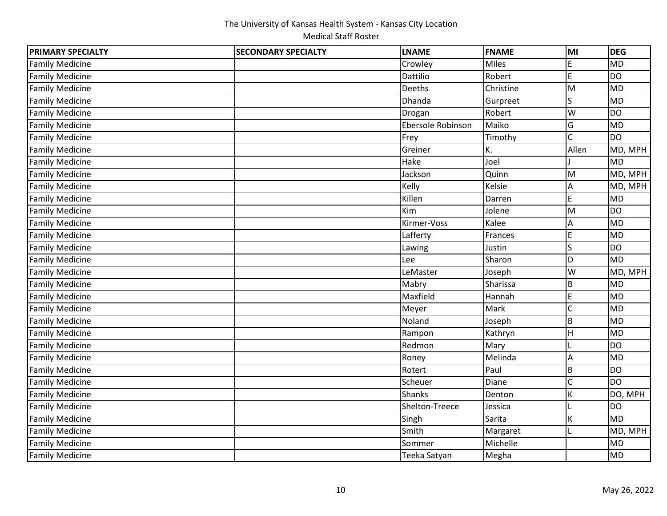| <b>PRIMARY SPECIALTY</b> | <b>SECONDARY SPECIALTY</b> | <b>LNAME</b>             | <b>FNAME</b> | MI           | <b>DEG</b> |
|--------------------------|----------------------------|--------------------------|--------------|--------------|------------|
| <b>Family Medicine</b>   |                            | Crowley                  | Miles        | E            | <b>MD</b>  |
| <b>Family Medicine</b>   |                            | Dattilio                 | Robert       | E            | <b>DO</b>  |
| <b>Family Medicine</b>   |                            | Deeths                   | Christine    | M            | <b>MD</b>  |
| <b>Family Medicine</b>   |                            | Dhanda                   | Gurpreet     | S            | <b>MD</b>  |
| <b>Family Medicine</b>   |                            | Drogan                   | Robert       | W            | <b>DO</b>  |
| <b>Family Medicine</b>   |                            | <b>Ebersole Robinson</b> | Maiko        | G            | <b>MD</b>  |
| <b>Family Medicine</b>   |                            | Frey                     | Timothy      | C            | <b>DO</b>  |
| <b>Family Medicine</b>   |                            | Greiner                  | K.           | Allen        | MD, MPH    |
| <b>Family Medicine</b>   |                            | Hake                     | Joel         |              | <b>MD</b>  |
| <b>Family Medicine</b>   |                            | Jackson                  | Quinn        | $\mathsf{M}$ | MD, MPH    |
| <b>Family Medicine</b>   |                            | Kelly                    | Kelsie       | A            | MD, MPH    |
| <b>Family Medicine</b>   |                            | Killen                   | Darren       | E            | <b>MD</b>  |
| <b>Family Medicine</b>   |                            | Kim                      | Jolene       | $\mathsf{M}$ | <b>DO</b>  |
| <b>Family Medicine</b>   |                            | Kirmer-Voss              | Kalee        | Α            | <b>MD</b>  |
| <b>Family Medicine</b>   |                            | Lafferty                 | Frances      | E            | <b>MD</b>  |
| <b>Family Medicine</b>   |                            | Lawing                   | Justin       | S            | <b>DO</b>  |
| <b>Family Medicine</b>   |                            | Lee                      | Sharon       | D            | <b>MD</b>  |
| <b>Family Medicine</b>   |                            | LeMaster                 | Joseph       | W            | MD, MPH    |
| <b>Family Medicine</b>   |                            | Mabry                    | Sharissa     | B            | <b>MD</b>  |
| <b>Family Medicine</b>   |                            | Maxfield                 | Hannah       | E            | <b>MD</b>  |
| <b>Family Medicine</b>   |                            | Meyer                    | Mark         | $\mathsf{C}$ | <b>MD</b>  |
| <b>Family Medicine</b>   |                            | Noland                   | Joseph       | B            | <b>MD</b>  |
| <b>Family Medicine</b>   |                            | Rampon                   | Kathryn      | н            | <b>MD</b>  |
| <b>Family Medicine</b>   |                            | Redmon                   | Mary         |              | <b>DO</b>  |
| <b>Family Medicine</b>   |                            | Roney                    | Melinda      | Α            | <b>MD</b>  |
| <b>Family Medicine</b>   |                            | Rotert                   | Paul         | B            | <b>DO</b>  |
| <b>Family Medicine</b>   |                            | Scheuer                  | Diane        | $\mathsf{C}$ | <b>DO</b>  |
| <b>Family Medicine</b>   |                            | Shanks                   | Denton       | К            | DO, MPH    |
| <b>Family Medicine</b>   |                            | Shelton-Treece           | Jessica      |              | <b>DO</b>  |
| <b>Family Medicine</b>   |                            | Singh                    | Sarita       | К            | <b>MD</b>  |
| <b>Family Medicine</b>   |                            | Smith                    | Margaret     |              | MD, MPH    |
| <b>Family Medicine</b>   |                            | Sommer                   | Michelle     |              | <b>MD</b>  |
| <b>Family Medicine</b>   |                            | Teeka Satyan             | Megha        |              | MD         |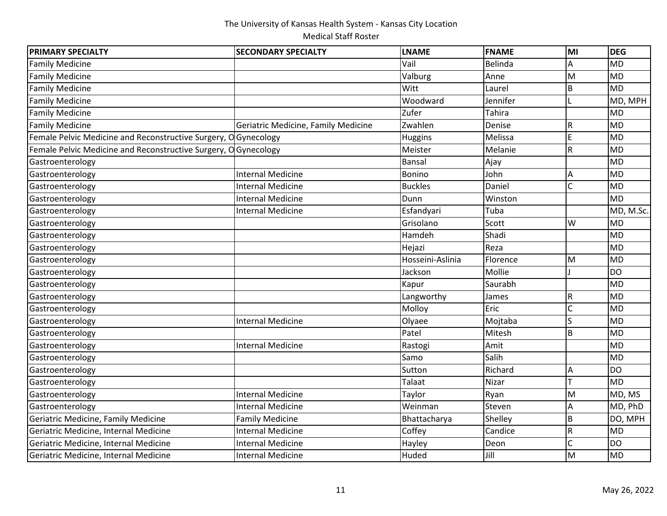| <b>PRIMARY SPECIALTY</b>                                       | <b>SECONDARY SPECIALTY</b>          | <b>LNAME</b>     | <b>FNAME</b> | lмı | <b>DEG</b> |
|----------------------------------------------------------------|-------------------------------------|------------------|--------------|-----|------------|
| <b>Family Medicine</b>                                         |                                     | Vail             | Belinda      | А   | <b>MD</b>  |
| <b>Family Medicine</b>                                         |                                     | Valburg          | Anne         | M   | <b>MD</b>  |
| <b>Family Medicine</b>                                         |                                     | Witt             | Laurel       | B   | <b>MD</b>  |
| <b>Family Medicine</b>                                         |                                     | Woodward         | Jennifer     |     | MD, MPH    |
| <b>Family Medicine</b>                                         |                                     | Zufer            | Tahira       |     | <b>MD</b>  |
| <b>Family Medicine</b>                                         | Geriatric Medicine, Family Medicine | Zwahlen          | Denise       | R   | <b>MD</b>  |
| Female Pelvic Medicine and Reconstructive Surgery, OGynecology |                                     | <b>Huggins</b>   | Melissa      | E   | MD         |
| Female Pelvic Medicine and Reconstructive Surgery, OGynecology |                                     | Meister          | Melanie      | R   | <b>MD</b>  |
| Gastroenterology                                               |                                     | Bansal           | Ajay         |     | <b>MD</b>  |
| Gastroenterology                                               | <b>Internal Medicine</b>            | Bonino           | John         | Α   | <b>MD</b>  |
| Gastroenterology                                               | <b>Internal Medicine</b>            | <b>Buckles</b>   | Daniel       | Ċ   | <b>MD</b>  |
| Gastroenterology                                               | <b>Internal Medicine</b>            | Dunn             | Winston      |     | lmd        |
| Gastroenterology                                               | <b>Internal Medicine</b>            | Esfandyari       | Tuba         |     | MD, M.Sc.  |
| Gastroenterology                                               |                                     | Grisolano        | Scott        | W   | <b>MD</b>  |
| Gastroenterology                                               |                                     | Hamdeh           | Shadi        |     | <b>MD</b>  |
| Gastroenterology                                               |                                     | Hejazi           | Reza         |     | <b>MD</b>  |
| Gastroenterology                                               |                                     | Hosseini-Aslinia | Florence     | м   | <b>MD</b>  |
| Gastroenterology                                               |                                     | Jackson          | Mollie       |     | <b>DO</b>  |
| Gastroenterology                                               |                                     | Kapur            | Saurabh      |     | MD         |
| Gastroenterology                                               |                                     | Langworthy       | James        | R   | <b>MD</b>  |
| Gastroenterology                                               |                                     | Molloy           | Eric         | Ċ   | <b>MD</b>  |
| Gastroenterology                                               | <b>Internal Medicine</b>            | Olyaee           | Mojtaba      | S   | <b>MD</b>  |
| Gastroenterology                                               |                                     | Patel            | Mitesh       | B   | <b>MD</b>  |
| Gastroenterology                                               | <b>Internal Medicine</b>            | Rastogi          | Amit         |     | MD         |
| Gastroenterology                                               |                                     | Samo             | Salih        |     | <b>MD</b>  |
| Gastroenterology                                               |                                     | Sutton           | Richard      | A   | <b>DO</b>  |
| Gastroenterology                                               |                                     | Talaat           | Nizar        |     | <b>MD</b>  |
| Gastroenterology                                               | <b>Internal Medicine</b>            | Taylor           | Ryan         | M   | MD, MS     |
| Gastroenterology                                               | <b>Internal Medicine</b>            | Weinman          | Steven       | A   | MD, PhD    |
| Geriatric Medicine, Family Medicine                            | <b>Family Medicine</b>              | Bhattacharya     | Shelley      | B   | DO, MPH    |
| Geriatric Medicine, Internal Medicine                          | <b>Internal Medicine</b>            | Coffey           | Candice      | R   | <b>MD</b>  |
| Geriatric Medicine, Internal Medicine                          | <b>Internal Medicine</b>            | Hayley           | Deon         | Ċ   | DO         |
| Geriatric Medicine, Internal Medicine                          | <b>Internal Medicine</b>            | Huded            | Jill         | M   | MD         |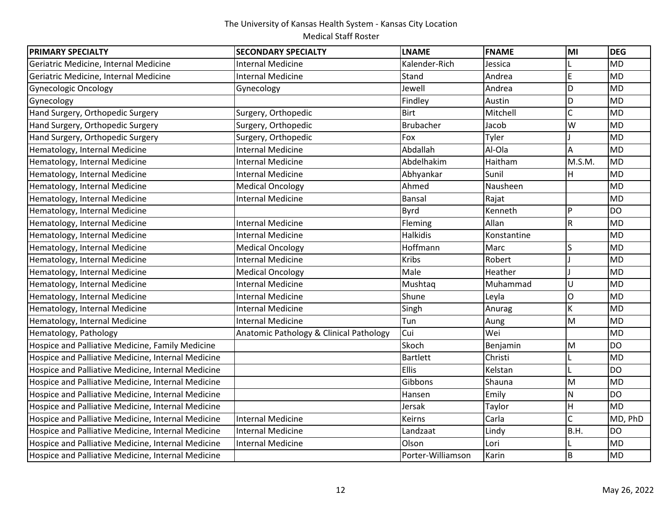| <b>PRIMARY SPECIALTY</b>                           | <b>SECONDARY SPECIALTY</b>              | <b>LNAME</b>      | <b>FNAME</b> | MI           | <b>DEG</b> |
|----------------------------------------------------|-----------------------------------------|-------------------|--------------|--------------|------------|
| Geriatric Medicine, Internal Medicine              | <b>Internal Medicine</b>                | Kalender-Rich     | Jessica      |              | <b>MD</b>  |
| Geriatric Medicine, Internal Medicine              | <b>Internal Medicine</b>                | Stand             | Andrea       | E            | <b>MD</b>  |
| <b>Gynecologic Oncology</b>                        | Gynecology                              | Jewell            | Andrea       | D            | <b>MD</b>  |
| Gynecology                                         |                                         | Findley           | Austin       | D            | <b>MD</b>  |
| Hand Surgery, Orthopedic Surgery                   | Surgery, Orthopedic                     | <b>Birt</b>       | Mitchell     | $\mathsf{C}$ | <b>MD</b>  |
| Hand Surgery, Orthopedic Surgery                   | Surgery, Orthopedic                     | <b>Brubacher</b>  | Jacob        | W            | <b>MD</b>  |
| Hand Surgery, Orthopedic Surgery                   | Surgery, Orthopedic                     | Fox               | Tyler        |              | <b>MD</b>  |
| Hematology, Internal Medicine                      | <b>Internal Medicine</b>                | Abdallah          | Al-Ola       | A            | <b>MD</b>  |
| Hematology, Internal Medicine                      | <b>Internal Medicine</b>                | Abdelhakim        | Haitham      | M.S.M.       | <b>MD</b>  |
| Hematology, Internal Medicine                      | <b>Internal Medicine</b>                | Abhyankar         | Sunil        | H            | <b>MD</b>  |
| Hematology, Internal Medicine                      | <b>Medical Oncology</b>                 | Ahmed             | Nausheen     |              | <b>MD</b>  |
| Hematology, Internal Medicine                      | <b>Internal Medicine</b>                | Bansal            | Rajat        |              | <b>MD</b>  |
| Hematology, Internal Medicine                      |                                         | <b>Byrd</b>       | Kenneth      | P            | <b>DO</b>  |
| Hematology, Internal Medicine                      | <b>Internal Medicine</b>                | Fleming           | Allan        | R            | <b>MD</b>  |
| Hematology, Internal Medicine                      | <b>Internal Medicine</b>                | <b>Halkidis</b>   | Konstantine  |              | <b>MD</b>  |
| Hematology, Internal Medicine                      | <b>Medical Oncology</b>                 | Hoffmann          | Marc         | S            | <b>MD</b>  |
| Hematology, Internal Medicine                      | <b>Internal Medicine</b>                | Kribs             | Robert       |              | <b>MD</b>  |
| Hematology, Internal Medicine                      | <b>Medical Oncology</b>                 | Male              | Heather      |              | <b>MD</b>  |
| Hematology, Internal Medicine                      | <b>Internal Medicine</b>                | Mushtag           | Muhammad     | U            | <b>MD</b>  |
| Hematology, Internal Medicine                      | <b>Internal Medicine</b>                | Shune             | Leyla        | O            | <b>MD</b>  |
| Hematology, Internal Medicine                      | <b>Internal Medicine</b>                | Singh             | Anurag       | Κ            | <b>MD</b>  |
| Hematology, Internal Medicine                      | <b>Internal Medicine</b>                | Tun               | Aung         | M            | <b>MD</b>  |
| Hematology, Pathology                              | Anatomic Pathology & Clinical Pathology | Cui               | Wei          |              | <b>MD</b>  |
| Hospice and Palliative Medicine, Family Medicine   |                                         | Skoch             | Benjamin     | M            | <b>DO</b>  |
| Hospice and Palliative Medicine, Internal Medicine |                                         | <b>Bartlett</b>   | Christi      | L            | <b>MD</b>  |
| Hospice and Palliative Medicine, Internal Medicine |                                         | <b>Ellis</b>      | Kelstan      |              | <b>DO</b>  |
| Hospice and Palliative Medicine, Internal Medicine |                                         | Gibbons           | Shauna       | M            | <b>MD</b>  |
| Hospice and Palliative Medicine, Internal Medicine |                                         | Hansen            | Emily        | N            | <b>DO</b>  |
| Hospice and Palliative Medicine, Internal Medicine |                                         | Jersak            | Taylor       | H            | <b>MD</b>  |
| Hospice and Palliative Medicine, Internal Medicine | <b>Internal Medicine</b>                | Keirns            | Carla        | $\mathsf{C}$ | MD, PhD    |
| Hospice and Palliative Medicine, Internal Medicine | <b>Internal Medicine</b>                | Landzaat          | Lindy        | B.H.         | <b>DO</b>  |
| Hospice and Palliative Medicine, Internal Medicine | <b>Internal Medicine</b>                | Olson             | Lori         |              | <b>MD</b>  |
| Hospice and Palliative Medicine, Internal Medicine |                                         | Porter-Williamson | Karin        | B            | MD         |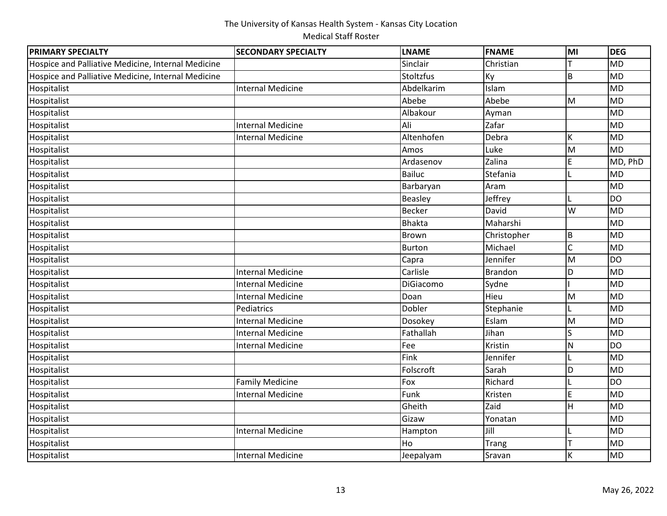| <b>PRIMARY SPECIALTY</b>                           | <b>SECONDARY SPECIALTY</b> | <b>LNAME</b>  | <b>FNAME</b> | MI           | <b>DEG</b> |
|----------------------------------------------------|----------------------------|---------------|--------------|--------------|------------|
| Hospice and Palliative Medicine, Internal Medicine |                            | Sinclair      | Christian    |              | <b>MD</b>  |
| Hospice and Palliative Medicine, Internal Medicine |                            | Stoltzfus     | Ky           | B            | <b>MD</b>  |
| Hospitalist                                        | <b>Internal Medicine</b>   | Abdelkarim    | Islam        |              | <b>MD</b>  |
| Hospitalist                                        |                            | Abebe         | Abebe        | M            | <b>MD</b>  |
| Hospitalist                                        |                            | Albakour      | Ayman        |              | <b>MD</b>  |
| Hospitalist                                        | <b>Internal Medicine</b>   | Ali           | Zafar        |              | <b>MD</b>  |
| Hospitalist                                        | <b>Internal Medicine</b>   | Altenhofen    | Debra        | К            | <b>MD</b>  |
| Hospitalist                                        |                            | Amos          | Luke         | M            | <b>MD</b>  |
| Hospitalist                                        |                            | Ardasenov     | Zalina       | E            | MD, PhD    |
| Hospitalist                                        |                            | <b>Bailuc</b> | Stefania     |              | <b>MD</b>  |
| Hospitalist                                        |                            | Barbaryan     | Aram         |              | <b>MD</b>  |
| Hospitalist                                        |                            | Beasley       | Jeffrey      |              | <b>DO</b>  |
| Hospitalist                                        |                            | Becker        | David        | W            | <b>MD</b>  |
| Hospitalist                                        |                            | Bhakta        | Maharshi     |              | <b>MD</b>  |
| Hospitalist                                        |                            | Brown         | Christopher  | B            | <b>MD</b>  |
| Hospitalist                                        |                            | <b>Burton</b> | Michael      | $\mathsf{C}$ | <b>MD</b>  |
| Hospitalist                                        |                            | Capra         | Jennifer     | M            | <b>DO</b>  |
| Hospitalist                                        | <b>Internal Medicine</b>   | Carlisle      | Brandon      | D            | <b>MD</b>  |
| Hospitalist                                        | <b>Internal Medicine</b>   | DiGiacomo     | Sydne        |              | <b>MD</b>  |
| Hospitalist                                        | <b>Internal Medicine</b>   | Doan          | Hieu         | M            | <b>MD</b>  |
| Hospitalist                                        | Pediatrics                 | Dobler        | Stephanie    |              | <b>MD</b>  |
| Hospitalist                                        | <b>Internal Medicine</b>   | Dosokey       | Eslam        | M            | <b>MD</b>  |
| Hospitalist                                        | <b>Internal Medicine</b>   | Fathallah     | Jihan        | S            | <b>MD</b>  |
| Hospitalist                                        | <b>Internal Medicine</b>   | Fee           | Kristin      | N            | <b>DO</b>  |
| Hospitalist                                        |                            | Fink          | Jennifer     |              | <b>MD</b>  |
| Hospitalist                                        |                            | Folscroft     | Sarah        | D            | <b>MD</b>  |
| Hospitalist                                        | <b>Family Medicine</b>     | Fox           | Richard      |              | <b>DO</b>  |
| Hospitalist                                        | <b>Internal Medicine</b>   | Funk          | Kristen      | E            | <b>MD</b>  |
| Hospitalist                                        |                            | Gheith        | Zaid         | H            | <b>MD</b>  |
| Hospitalist                                        |                            | Gizaw         | Yonatan      |              | <b>MD</b>  |
| Hospitalist                                        | <b>Internal Medicine</b>   | Hampton       | Jill         |              | <b>MD</b>  |
| Hospitalist                                        |                            | Ho            | Trang        |              | <b>MD</b>  |
| Hospitalist                                        | <b>Internal Medicine</b>   | Jeepalyam     | Sravan       | К            | MD         |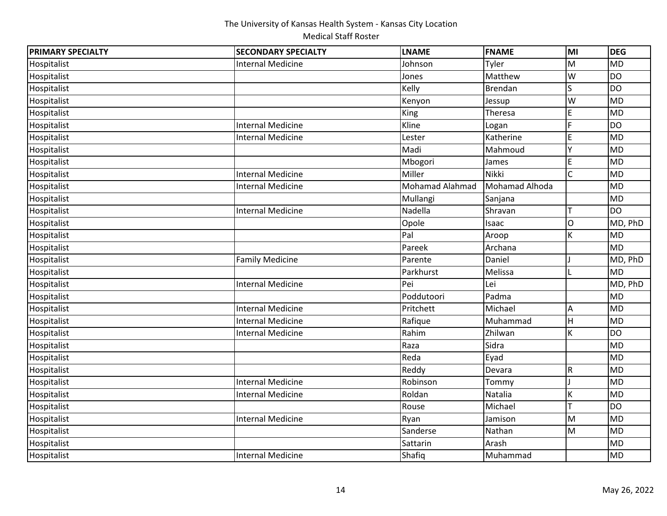| <b>PRIMARY SPECIALTY</b> | <b>SECONDARY SPECIALTY</b> | <b>LNAME</b>           | <b>FNAME</b>   | MI           | DEG       |
|--------------------------|----------------------------|------------------------|----------------|--------------|-----------|
| Hospitalist              | <b>Internal Medicine</b>   | Johnson                | Tyler          | M            | <b>MD</b> |
| Hospitalist              |                            | Jones                  | Matthew        | W            | <b>DO</b> |
| Hospitalist              |                            | Kelly                  | <b>Brendan</b> | S            | <b>DO</b> |
| Hospitalist              |                            | Kenyon                 | Jessup         | W            | <b>MD</b> |
| Hospitalist              |                            | King                   | Theresa        | E            | <b>MD</b> |
| Hospitalist              | <b>Internal Medicine</b>   | Kline                  | Logan          | F            | <b>DO</b> |
| Hospitalist              | <b>Internal Medicine</b>   | Lester                 | Katherine      | E            | <b>MD</b> |
| Hospitalist              |                            | Madi                   | Mahmoud        | v            | <b>MD</b> |
| Hospitalist              |                            | Mbogori                | James          | E            | <b>MD</b> |
| Hospitalist              | <b>Internal Medicine</b>   | Miller                 | Nikki          | $\mathsf{C}$ | <b>MD</b> |
| Hospitalist              | <b>Internal Medicine</b>   | <b>Mohamad Alahmad</b> | Mohamad Alhoda |              | <b>MD</b> |
| Hospitalist              |                            | Mullangi               | Sanjana        |              | MD        |
| Hospitalist              | <b>Internal Medicine</b>   | Nadella                | Shravan        |              | <b>DO</b> |
| Hospitalist              |                            | Opole                  | Isaac          | O            | MD, PhD   |
| Hospitalist              |                            | Pal                    | Aroop          | K            | <b>MD</b> |
| Hospitalist              |                            | Pareek                 | Archana        |              | <b>MD</b> |
| Hospitalist              | <b>Family Medicine</b>     | Parente                | Daniel         |              | MD, PhD   |
| Hospitalist              |                            | Parkhurst              | Melissa        |              | <b>MD</b> |
| Hospitalist              | <b>Internal Medicine</b>   | Pei                    | Lei            |              | MD, PhD   |
| Hospitalist              |                            | Poddutoori             | Padma          |              | <b>MD</b> |
| Hospitalist              | <b>Internal Medicine</b>   | Pritchett              | Michael        | Α            | <b>MD</b> |
| Hospitalist              | <b>Internal Medicine</b>   | Rafique                | Muhammad       | н            | <b>MD</b> |
| Hospitalist              | <b>Internal Medicine</b>   | Rahim                  | Zhilwan        | К            | <b>DO</b> |
| Hospitalist              |                            | Raza                   | Sidra          |              | <b>MD</b> |
| Hospitalist              |                            | Reda                   | Eyad           |              | <b>MD</b> |
| Hospitalist              |                            | Reddy                  | Devara         | R            | <b>MD</b> |
| Hospitalist              | <b>Internal Medicine</b>   | Robinson               | Tommy          |              | <b>MD</b> |
| Hospitalist              | <b>Internal Medicine</b>   | Roldan                 | Natalia        | К            | <b>MD</b> |
| Hospitalist              |                            | Rouse                  | Michael        |              | <b>DO</b> |
| Hospitalist              | <b>Internal Medicine</b>   | Ryan                   | Jamison        | M            | <b>MD</b> |
| Hospitalist              |                            | Sanderse               | Nathan         | M            | <b>MD</b> |
| Hospitalist              |                            | Sattarin               | Arash          |              | <b>MD</b> |
| Hospitalist              | <b>Internal Medicine</b>   | Shafiq                 | Muhammad       |              | MD        |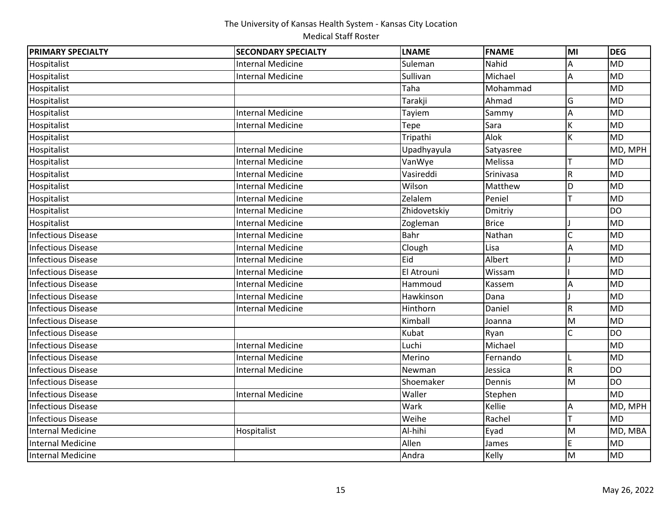| <b>PRIMARY SPECIALTY</b>  | <b>SECONDARY SPECIALTY</b> | <b>LNAME</b> | <b>FNAME</b> | MI           | <b>DEG</b> |
|---------------------------|----------------------------|--------------|--------------|--------------|------------|
| Hospitalist               | <b>Internal Medicine</b>   | Suleman      | Nahid        | A            | <b>MD</b>  |
| Hospitalist               | <b>Internal Medicine</b>   | Sullivan     | Michael      | A            | <b>MD</b>  |
| Hospitalist               |                            | Taha         | Mohammad     |              | <b>MD</b>  |
| Hospitalist               |                            | Tarakji      | Ahmad        | G            | <b>MD</b>  |
| Hospitalist               | <b>Internal Medicine</b>   | Tayiem       | Sammy        | A            | <b>MD</b>  |
| Hospitalist               | <b>Internal Medicine</b>   | Tepe         | Sara         | К            | <b>MD</b>  |
| Hospitalist               |                            | Tripathi     | Alok         | К            | <b>MD</b>  |
| Hospitalist               | <b>Internal Medicine</b>   | Upadhyayula  | Satyasree    |              | MD, MPH    |
| Hospitalist               | <b>Internal Medicine</b>   | VanWye       | Melissa      |              | <b>MD</b>  |
| Hospitalist               | <b>Internal Medicine</b>   | Vasireddi    | Srinivasa    | R            | <b>MD</b>  |
| Hospitalist               | <b>Internal Medicine</b>   | Wilson       | Matthew      | D            | <b>MD</b>  |
| Hospitalist               | <b>Internal Medicine</b>   | Zelalem      | Peniel       |              | <b>MD</b>  |
| Hospitalist               | <b>Internal Medicine</b>   | Zhidovetskiy | Dmitriy      |              | <b>DO</b>  |
| Hospitalist               | <b>Internal Medicine</b>   | Zogleman     | <b>Brice</b> |              | <b>MD</b>  |
| <b>Infectious Disease</b> | <b>Internal Medicine</b>   | Bahr         | Nathan       | $\mathsf{C}$ | <b>MD</b>  |
| <b>Infectious Disease</b> | <b>Internal Medicine</b>   | Clough       | Lisa         | Α            | <b>MD</b>  |
| <b>Infectious Disease</b> | <b>Internal Medicine</b>   | Eid          | Albert       |              | <b>MD</b>  |
| <b>Infectious Disease</b> | <b>Internal Medicine</b>   | El Atrouni   | Wissam       |              | <b>MD</b>  |
| <b>Infectious Disease</b> | <b>Internal Medicine</b>   | Hammoud      | Kassem       | A            | <b>MD</b>  |
| <b>Infectious Disease</b> | <b>Internal Medicine</b>   | Hawkinson    | Dana         |              | <b>MD</b>  |
| <b>Infectious Disease</b> | <b>Internal Medicine</b>   | Hinthorn     | Daniel       | $\sf R$      | <b>MD</b>  |
| <b>Infectious Disease</b> |                            | Kimball      | Joanna       | M            | <b>MD</b>  |
| <b>Infectious Disease</b> |                            | Kubat        | Ryan         | C            | <b>DO</b>  |
| <b>Infectious Disease</b> | <b>Internal Medicine</b>   | Luchi        | Michael      |              | <b>MD</b>  |
| <b>Infectious Disease</b> | <b>Internal Medicine</b>   | Merino       | Fernando     | L            | <b>MD</b>  |
| <b>Infectious Disease</b> | <b>Internal Medicine</b>   | Newman       | Jessica      | R            | <b>DO</b>  |
| <b>Infectious Disease</b> |                            | Shoemaker    | Dennis       | M            | <b>DO</b>  |
| Infectious Disease        | <b>Internal Medicine</b>   | Waller       | Stephen      |              | <b>MD</b>  |
| <b>Infectious Disease</b> |                            | Wark         | Kellie       | Α            | MD, MPH    |
| <b>Infectious Disease</b> |                            | Weihe        | Rachel       |              | <b>MD</b>  |
| <b>Internal Medicine</b>  | Hospitalist                | Al-hihi      | Eyad         | M            | MD, MBA    |
| <b>Internal Medicine</b>  |                            | Allen        | James        | E            | <b>MD</b>  |
| <b>Internal Medicine</b>  |                            | Andra        | Kelly        | M            | MD         |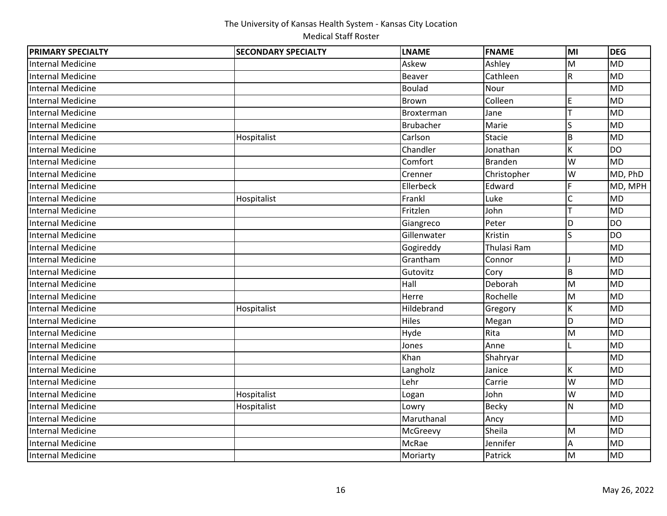| <b>PRIMARY SPECIALTY</b> | <b>SECONDARY SPECIALTY</b> | <b>LNAME</b>     | <b>FNAME</b>   | MI           | DEG       |
|--------------------------|----------------------------|------------------|----------------|--------------|-----------|
| <b>Internal Medicine</b> |                            | Askew            | Ashley         | M            | <b>MD</b> |
| <b>Internal Medicine</b> |                            | Beaver           | Cathleen       | R            | <b>MD</b> |
| Internal Medicine        |                            | <b>Boulad</b>    | Nour           |              | <b>MD</b> |
| <b>Internal Medicine</b> |                            | <b>Brown</b>     | Colleen        | E            | <b>MD</b> |
| <b>Internal Medicine</b> |                            | Broxterman       | Jane           |              | <b>MD</b> |
| <b>Internal Medicine</b> |                            | <b>Brubacher</b> | Marie          | S            | <b>MD</b> |
| Internal Medicine        | Hospitalist                | Carlson          | Stacie         | B            | <b>MD</b> |
| Internal Medicine        |                            | Chandler         | Jonathan       | К            | <b>DO</b> |
| Internal Medicine        |                            | Comfort          | <b>Branden</b> | W            | <b>MD</b> |
| <b>Internal Medicine</b> |                            | Crenner          | Christopher    | W            | MD, PhD   |
| <b>Internal Medicine</b> |                            | Ellerbeck        | Edward         | F            | MD, MPH   |
| <b>Internal Medicine</b> | Hospitalist                | Frankl           | Luke           | $\mathsf{C}$ | MD)       |
| Internal Medicine        |                            | Fritzlen         | John           |              | <b>MD</b> |
| Internal Medicine        |                            | Giangreco        | Peter          | D            | <b>DO</b> |
| <b>Internal Medicine</b> |                            | Gillenwater      | Kristin        | S            | <b>DO</b> |
| <b>Internal Medicine</b> |                            | Gogireddy        | Thulasi Ram    |              | MD        |
| <b>Internal Medicine</b> |                            | Grantham         | Connor         |              | MD        |
| Internal Medicine        |                            | Gutovitz         | Cory           | B            | <b>MD</b> |
| <b>Internal Medicine</b> |                            | Hall             | Deborah        | M            | <b>MD</b> |
| <b>Internal Medicine</b> |                            | Herre            | Rochelle       | $\mathsf{M}$ | <b>MD</b> |
| <b>Internal Medicine</b> | Hospitalist                | Hildebrand       | Gregory        | К            | MD        |
| <b>Internal Medicine</b> |                            | Hiles            | Megan          | D            | <b>MD</b> |
| <b>Internal Medicine</b> |                            | Hyde             | Rita           | M            | <b>MD</b> |
| Internal Medicine        |                            | Jones            | Anne           |              | <b>MD</b> |
| <b>Internal Medicine</b> |                            | Khan             | Shahryar       |              | <b>MD</b> |
| <b>Internal Medicine</b> |                            | Langholz         | Janice         | K            | <b>MD</b> |
| <b>Internal Medicine</b> |                            | Lehr             | Carrie         | W            | <b>MD</b> |
| <b>Internal Medicine</b> | Hospitalist                | Logan            | John           | W            | <b>MD</b> |
| Internal Medicine        | Hospitalist                | Lowry            | <b>Becky</b>   | N            | <b>MD</b> |
| <b>Internal Medicine</b> |                            | Maruthanal       | Ancy           |              | <b>MD</b> |
| <b>Internal Medicine</b> |                            | McGreevy         | Sheila         | M            | <b>MD</b> |
| <b>Internal Medicine</b> |                            | McRae            | Jennifer       | A            | <b>MD</b> |
| <b>Internal Medicine</b> |                            | Moriarty         | Patrick        | M            | MD        |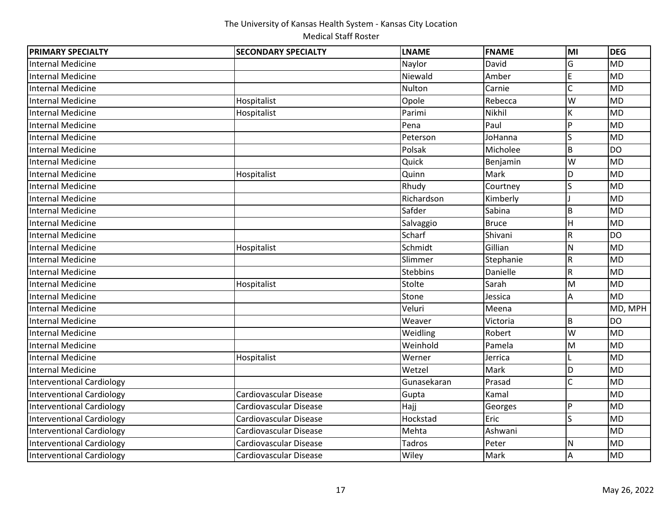| <b>PRIMARY SPECIALTY</b>         | <b>SECONDARY SPECIALTY</b> | <b>LNAME</b>  | <b>FNAME</b> | MI             | DEG       |
|----------------------------------|----------------------------|---------------|--------------|----------------|-----------|
| <b>Internal Medicine</b>         |                            | Naylor        | David        | G              | <b>MD</b> |
| <b>Internal Medicine</b>         |                            | Niewald       | Amber        | E              | <b>MD</b> |
| <b>Internal Medicine</b>         |                            | Nulton        | Carnie       | $\overline{C}$ | <b>MD</b> |
| <b>Internal Medicine</b>         | Hospitalist                | Opole         | Rebecca      | W              | <b>MD</b> |
| <b>Internal Medicine</b>         | Hospitalist                | Parimi        | Nikhil       | K              | <b>MD</b> |
| <b>Internal Medicine</b>         |                            | Pena          | Paul         | P              | <b>MD</b> |
| <b>Internal Medicine</b>         |                            | Peterson      | JoHanna      | S              | <b>MD</b> |
| Internal Medicine                |                            | Polsak        | Micholee     | B              | <b>DO</b> |
| Internal Medicine                |                            | Quick         | Benjamin     | W              | <b>MD</b> |
| <b>Internal Medicine</b>         | Hospitalist                | Quinn         | Mark         | D              | <b>MD</b> |
| <b>Internal Medicine</b>         |                            | Rhudy         | Courtney     | S              | <b>MD</b> |
| <b>Internal Medicine</b>         |                            | Richardson    | Kimberly     |                | MD        |
| <b>Internal Medicine</b>         |                            | Safder        | Sabina       | B              | <b>MD</b> |
| <b>Internal Medicine</b>         |                            | Salvaggio     | Bruce        | H              | <b>MD</b> |
| <b>Internal Medicine</b>         |                            | Scharf        | Shivani      | $\mathsf R$    | <b>DO</b> |
| <b>Internal Medicine</b>         | Hospitalist                | Schmidt       | Gillian      | N              | <b>MD</b> |
| <b>Internal Medicine</b>         |                            | Slimmer       | Stephanie    | R              | <b>MD</b> |
| <b>Internal Medicine</b>         |                            | Stebbins      | Danielle     | R              | <b>MD</b> |
| <b>Internal Medicine</b>         | Hospitalist                | Stolte        | Sarah        | M              | <b>MD</b> |
| <b>Internal Medicine</b>         |                            | Stone         | Jessica      | A              | <b>MD</b> |
| <b>Internal Medicine</b>         |                            | Veluri        | Meena        |                | MD, MPH   |
| <b>Internal Medicine</b>         |                            | Weaver        | Victoria     | B              | <b>DO</b> |
| <b>Internal Medicine</b>         |                            | Weidling      | Robert       | W              | <b>MD</b> |
| <b>Internal Medicine</b>         |                            | Weinhold      | Pamela       | M              | <b>MD</b> |
| <b>Internal Medicine</b>         | Hospitalist                | Werner        | Jerrica      |                | <b>MD</b> |
| <b>Internal Medicine</b>         |                            | Wetzel        | Mark         | D              | <b>MD</b> |
| <b>Interventional Cardiology</b> |                            | Gunasekaran   | Prasad       | C              | <b>MD</b> |
| <b>Interventional Cardiology</b> | Cardiovascular Disease     | Gupta         | Kamal        |                | <b>MD</b> |
| Interventional Cardiology        | Cardiovascular Disease     | Hajj          | Georges      | P              | <b>MD</b> |
| <b>Interventional Cardiology</b> | Cardiovascular Disease     | Hockstad      | Eric         | S              | <b>MD</b> |
| <b>Interventional Cardiology</b> | Cardiovascular Disease     | Mehta         | Ashwani      |                | <b>MD</b> |
| <b>Interventional Cardiology</b> | Cardiovascular Disease     | <b>Tadros</b> | Peter        | N              | <b>MD</b> |
| <b>Interventional Cardiology</b> | Cardiovascular Disease     | Wiley         | Mark         | Α              | MD        |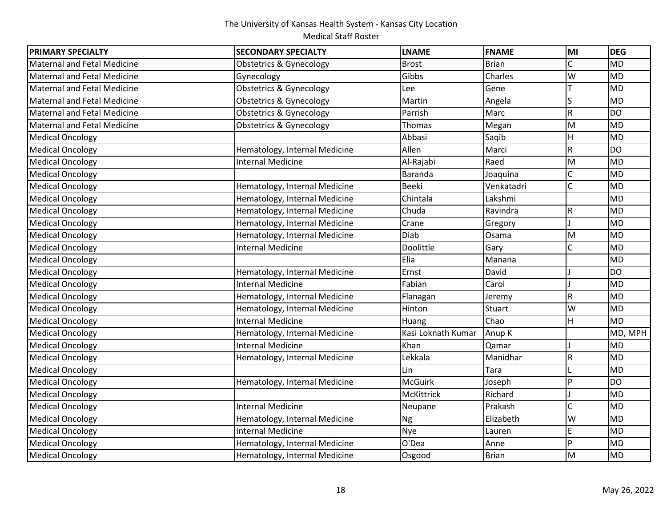| <b>PRIMARY SPECIALTY</b>           | <b>SECONDARY SPECIALTY</b>         | <b>LNAME</b>       | <b>FNAME</b> | MI           | <b>DEG</b> |
|------------------------------------|------------------------------------|--------------------|--------------|--------------|------------|
| Maternal and Fetal Medicine        | <b>Obstetrics &amp; Gynecology</b> | <b>Brost</b>       | <b>Brian</b> | C            | <b>MD</b>  |
| Maternal and Fetal Medicine        | Gynecology                         | Gibbs              | Charles      | W            | <b>MD</b>  |
| <b>Maternal and Fetal Medicine</b> | <b>Obstetrics &amp; Gynecology</b> | Lee                | Gene         |              | <b>MD</b>  |
| <b>Maternal and Fetal Medicine</b> | <b>Obstetrics &amp; Gynecology</b> | Martin             | Angela       | S            | <b>MD</b>  |
| <b>Maternal and Fetal Medicine</b> | <b>Obstetrics &amp; Gynecology</b> | Parrish            | Marc         | R            | <b>DO</b>  |
| <b>Maternal and Fetal Medicine</b> | <b>Obstetrics &amp; Gynecology</b> | Thomas             | Megan        | M            | <b>MD</b>  |
| <b>Medical Oncology</b>            |                                    | Abbasi             | Saqib        | H            | <b>MD</b>  |
| <b>Medical Oncology</b>            | Hematology, Internal Medicine      | Allen              | Marci        | $\mathsf R$  | <b>DO</b>  |
| <b>Medical Oncology</b>            | <b>Internal Medicine</b>           | Al-Rajabi          | Raed         | ${\sf M}$    | <b>MD</b>  |
| <b>Medical Oncology</b>            |                                    | Baranda            | Joaquina     | $\mathsf{C}$ | <b>MD</b>  |
| <b>Medical Oncology</b>            | Hematology, Internal Medicine      | <b>Beeki</b>       | Venkatadri   | $\mathsf C$  | <b>MD</b>  |
| <b>Medical Oncology</b>            | Hematology, Internal Medicine      | Chintala           | Lakshmi      |              | <b>MD</b>  |
| <b>Medical Oncology</b>            | Hematology, Internal Medicine      | Chuda              | Ravindra     | R            | <b>MD</b>  |
| <b>Medical Oncology</b>            | Hematology, Internal Medicine      | Crane              | Gregory      |              | <b>MD</b>  |
| <b>Medical Oncology</b>            | Hematology, Internal Medicine      | Diab               | Osama        | M            | <b>MD</b>  |
| <b>Medical Oncology</b>            | <b>Internal Medicine</b>           | Doolittle          | Gary         | $\mathsf C$  | <b>MD</b>  |
| <b>Medical Oncology</b>            |                                    | Elia               | Manana       |              | <b>MD</b>  |
| <b>Medical Oncology</b>            | Hematology, Internal Medicine      | Ernst              | David        |              | <b>DO</b>  |
| <b>Medical Oncology</b>            | <b>Internal Medicine</b>           | Fabian             | Carol        |              | <b>MD</b>  |
| <b>Medical Oncology</b>            | Hematology, Internal Medicine      | Flanagan           | Jeremy       | ${\sf R}$    | <b>MD</b>  |
| <b>Medical Oncology</b>            | Hematology, Internal Medicine      | Hinton             | Stuart       | W            | <b>MD</b>  |
| <b>Medical Oncology</b>            | <b>Internal Medicine</b>           | Huang              | Chao         | H            | <b>MD</b>  |
| <b>Medical Oncology</b>            | Hematology, Internal Medicine      | Kasi Loknath Kumar | Anup K       |              | MD, MPH    |
| <b>Medical Oncology</b>            | <b>Internal Medicine</b>           | Khan               | Qamar        |              | <b>MD</b>  |
| <b>Medical Oncology</b>            | Hematology, Internal Medicine      | Lekkala            | Manidhar     | ${\sf R}$    | <b>MD</b>  |
| <b>Medical Oncology</b>            |                                    | Lin                | Tara         |              | <b>MD</b>  |
| <b>Medical Oncology</b>            | Hematology, Internal Medicine      | <b>McGuirk</b>     | Joseph       | P            | <b>DO</b>  |
| <b>Medical Oncology</b>            |                                    | McKittrick         | Richard      |              | <b>MD</b>  |
| <b>Medical Oncology</b>            | <b>Internal Medicine</b>           | Neupane            | Prakash      | C            | <b>MD</b>  |
| <b>Medical Oncology</b>            | Hematology, Internal Medicine      | Ng                 | Elizabeth    | W            | <b>MD</b>  |
| <b>Medical Oncology</b>            | <b>Internal Medicine</b>           | Nye                | Lauren       | E            | <b>MD</b>  |
| <b>Medical Oncology</b>            | Hematology, Internal Medicine      | O'Dea              | Anne         | P            | <b>MD</b>  |
| <b>Medical Oncology</b>            | Hematology, Internal Medicine      | Osgood             | <b>Brian</b> | M            | MD         |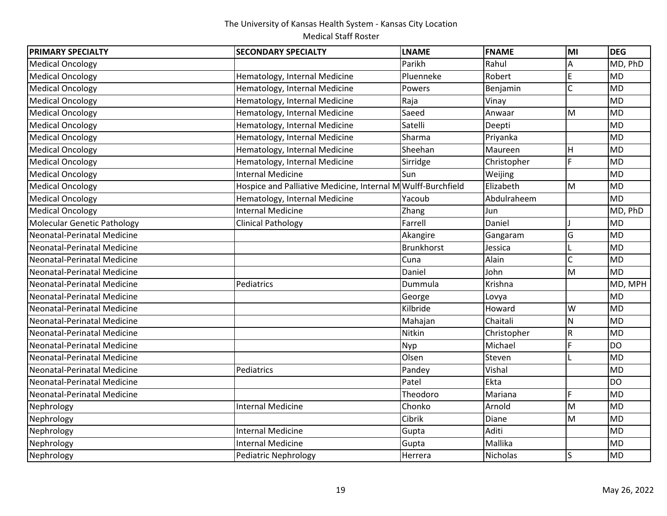| <b>PRIMARY SPECIALTY</b>           | <b>SECONDARY SPECIALTY</b>                                   | <b>LNAME</b>      | <b>FNAME</b> | MI | <b>DEG</b> |
|------------------------------------|--------------------------------------------------------------|-------------------|--------------|----|------------|
| <b>Medical Oncology</b>            |                                                              | Parikh            | Rahul        | Α  | MD, PhD    |
| <b>Medical Oncology</b>            | Hematology, Internal Medicine                                | Pluenneke         | Robert       | Ė  | <b>MD</b>  |
| <b>Medical Oncology</b>            | Hematology, Internal Medicine                                | Powers            | Benjamin     | Ċ  | MD         |
| <b>Medical Oncology</b>            | Hematology, Internal Medicine                                | Raja              | Vinay        |    | <b>MD</b>  |
| <b>Medical Oncology</b>            | Hematology, Internal Medicine                                | Saeed             | Anwaar       | M  | <b>MD</b>  |
| <b>Medical Oncology</b>            | Hematology, Internal Medicine                                | Satelli           | Deepti       |    | <b>MD</b>  |
| <b>Medical Oncology</b>            | Hematology, Internal Medicine                                | Sharma            | Priyanka     |    | ∣MD        |
| <b>Medical Oncology</b>            | Hematology, Internal Medicine                                | Sheehan           | Maureen      | Η  | <b>MD</b>  |
| <b>Medical Oncology</b>            | Hematology, Internal Medicine                                | Sirridge          | Christopher  | Ë  | <b>MD</b>  |
| <b>Medical Oncology</b>            | <b>Internal Medicine</b>                                     | Sun               | Weijing      |    | <b>MD</b>  |
| <b>Medical Oncology</b>            | Hospice and Palliative Medicine, Internal M Wulff-Burchfield |                   | Elizabeth    | M  | MD         |
| <b>Medical Oncology</b>            | Hematology, Internal Medicine                                | Yacoub            | Abdulraheem  |    | <b>MD</b>  |
| <b>Medical Oncology</b>            | <b>Internal Medicine</b>                                     | Zhang             | Jun          |    | MD, PhD    |
| <b>Molecular Genetic Pathology</b> | <b>Clinical Pathology</b>                                    | Farrell           | Daniel       |    | <b>MD</b>  |
| Neonatal-Perinatal Medicine        |                                                              | Akangire          | Gangaram     | G  | <b>MD</b>  |
| Neonatal-Perinatal Medicine        |                                                              | <b>Brunkhorst</b> | Jessica      |    | <b>MD</b>  |
| Neonatal-Perinatal Medicine        |                                                              | Cuna              | Alain        | C  | <b>MD</b>  |
| Neonatal-Perinatal Medicine        |                                                              | Daniel            | John         | M  | <b>MD</b>  |
| Neonatal-Perinatal Medicine        | Pediatrics                                                   | Dummula           | Krishna      |    | MD, MPH    |
| Neonatal-Perinatal Medicine        |                                                              | George            | Lovya        |    | <b>MD</b>  |
| Neonatal-Perinatal Medicine        |                                                              | Kilbride          | Howard       | W  | <b>MD</b>  |
| Neonatal-Perinatal Medicine        |                                                              | Mahajan           | Chaitali     | Ν  | <b>MD</b>  |
| Neonatal-Perinatal Medicine        |                                                              | Nitkin            | Christopher  | R  | <b>MD</b>  |
| Neonatal-Perinatal Medicine        |                                                              | Nyp               | Michael      | E  | <b>DO</b>  |
| Neonatal-Perinatal Medicine        |                                                              | Olsen             | Steven       |    | <b>MD</b>  |
| Neonatal-Perinatal Medicine        | Pediatrics                                                   | Pandey            | Vishal       |    | <b>MD</b>  |
| Neonatal-Perinatal Medicine        |                                                              | Patel             | Ekta         |    | <b>DO</b>  |
| Neonatal-Perinatal Medicine        |                                                              | Theodoro          | Mariana      | Ė  | <b>MD</b>  |
| Nephrology                         | <b>Internal Medicine</b>                                     | Chonko            | Arnold       | M  | <b>MD</b>  |
| Nephrology                         |                                                              | Cibrik            | Diane        | M  | <b>MD</b>  |
| Nephrology                         | <b>Internal Medicine</b>                                     | Gupta             | Aditi        |    | <b>MD</b>  |
| Nephrology                         | <b>Internal Medicine</b>                                     | Gupta             | Mallika      |    | <b>MD</b>  |
| Nephrology                         | <b>Pediatric Nephrology</b>                                  | Herrera           | Nicholas     | S  | MD         |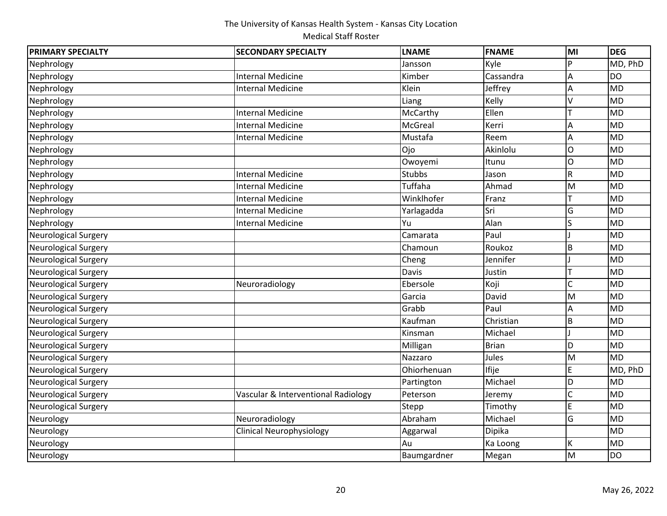| <b>PRIMARY SPECIALTY</b>    | <b>SECONDARY SPECIALTY</b>          | <b>LNAME</b> | <b>FNAME</b> | MI             | <b>DEG</b> |
|-----------------------------|-------------------------------------|--------------|--------------|----------------|------------|
| Nephrology                  |                                     | Jansson      | Kyle         | p              | MD, PhD    |
| Nephrology                  | <b>Internal Medicine</b>            | Kimber       | Cassandra    | Α              | <b>DO</b>  |
| Nephrology                  | <b>Internal Medicine</b>            | Klein        | Jeffrey      | Α              | <b>MD</b>  |
| Nephrology                  |                                     | Liang        | Kelly        | V              | <b>MD</b>  |
| Nephrology                  | <b>Internal Medicine</b>            | McCarthy     | Ellen        |                | <b>MD</b>  |
| Nephrology                  | <b>Internal Medicine</b>            | McGreal      | Kerri        | Α              | <b>MD</b>  |
| Nephrology                  | <b>Internal Medicine</b>            | Mustafa      | Reem         | Α              | <b>MD</b>  |
| Nephrology                  |                                     | Ojo          | Akinlolu     | $\overline{O}$ | <b>MD</b>  |
| Nephrology                  |                                     | Owoyemi      | Itunu        | O              | <b>MD</b>  |
| Nephrology                  | <b>Internal Medicine</b>            | Stubbs       | Jason        | R              | <b>MD</b>  |
| Nephrology                  | <b>Internal Medicine</b>            | Tuffaha      | Ahmad        | M              | <b>MD</b>  |
| Nephrology                  | <b>Internal Medicine</b>            | Winklhofer   | Franz        |                | <b>MD</b>  |
| Nephrology                  | <b>Internal Medicine</b>            | Yarlagadda   | Sri          | G              | <b>MD</b>  |
| Nephrology                  | <b>Internal Medicine</b>            | Yu           | Alan         | S              | <b>MD</b>  |
| Neurological Surgery        |                                     | Camarata     | Paul         |                | <b>MD</b>  |
| Neurological Surgery        |                                     | Chamoun      | Roukoz       | B              | <b>MD</b>  |
| Neurological Surgery        |                                     | Cheng        | Jennifer     |                | <b>MD</b>  |
| <b>Neurological Surgery</b> |                                     | Davis        | Justin       |                | <b>MD</b>  |
| <b>Neurological Surgery</b> | Neuroradiology                      | Ebersole     | Koji         | $\mathsf{C}$   | <b>MD</b>  |
| Neurological Surgery        |                                     | Garcia       | David        | M              | <b>MD</b>  |
| <b>Neurological Surgery</b> |                                     | Grabb        | Paul         | A              | <b>MD</b>  |
| <b>Neurological Surgery</b> |                                     | Kaufman      | Christian    | B              | <b>MD</b>  |
| Neurological Surgery        |                                     | Kinsman      | Michael      |                | <b>MD</b>  |
| Neurological Surgery        |                                     | Milligan     | <b>Brian</b> | D              | <b>MD</b>  |
| <b>Neurological Surgery</b> |                                     | Nazzaro      | Jules        | M              | <b>MD</b>  |
| <b>Neurological Surgery</b> |                                     | Ohiorhenuan  | Ifije        | E              | MD, PhD    |
| Neurological Surgery        |                                     | Partington   | Michael      | D              | <b>MD</b>  |
| Neurological Surgery        | Vascular & Interventional Radiology | Peterson     | Jeremy       | $\mathsf{C}$   | <b>MD</b>  |
| <b>Neurological Surgery</b> |                                     | Stepp        | Timothy      | E              | <b>MD</b>  |
| Neurology                   | Neuroradiology                      | Abraham      | Michael      | G              | <b>MD</b>  |
| Neurology                   | <b>Clinical Neurophysiology</b>     | Aggarwal     | Dipika       |                | <b>MD</b>  |
| Neurology                   |                                     | Au           | Ka Loong     | К              | <b>MD</b>  |
| Neurology                   |                                     | Baumgardner  | Megan        | M              | DO         |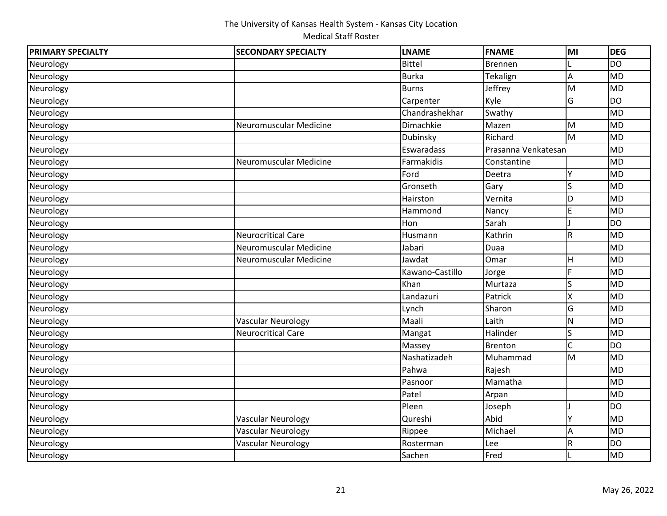| <b>PRIMARY SPECIALTY</b> | <b>SECONDARY SPECIALTY</b> | <b>LNAME</b>    | <b>FNAME</b>        | MI           | DEG       |
|--------------------------|----------------------------|-----------------|---------------------|--------------|-----------|
| Neurology                |                            | <b>Bittel</b>   | Brennen             |              | <b>DO</b> |
| Neurology                |                            | <b>Burka</b>    | Tekalign            | А            | <b>MD</b> |
| Neurology                |                            | <b>Burns</b>    | Jeffrey             | M            | MD        |
| Neurology                |                            | Carpenter       | Kyle                | G            | <b>DO</b> |
| Neurology                |                            | Chandrashekhar  | Swathy              |              | <b>MD</b> |
| Neurology                | Neuromuscular Medicine     | Dimachkie       | Mazen               | M            | <b>MD</b> |
| Neurology                |                            | Dubinsky        | Richard             | M            | <b>MD</b> |
| Neurology                |                            | Eswaradass      | Prasanna Venkatesan |              | <b>MD</b> |
| Neurology                | Neuromuscular Medicine     | Farmakidis      | Constantine         |              | <b>MD</b> |
| Neurology                |                            | Ford            | Deetra              | Υ            | <b>MD</b> |
| Neurology                |                            | Gronseth        | Gary                | S            | <b>MD</b> |
| Neurology                |                            | Hairston        | Vernita             | D            | MD        |
| Neurology                |                            | Hammond         | Nancy               | E            | MD        |
| Neurology                |                            | Hon             | Sarah               |              | <b>DO</b> |
| Neurology                | <b>Neurocritical Care</b>  | Husmann         | Kathrin             | R            | <b>MD</b> |
| Neurology                | Neuromuscular Medicine     | Jabari          | Duaa                |              | MD        |
| Neurology                | Neuromuscular Medicine     | Jawdat          | Omar                | н            | <b>MD</b> |
| Neurology                |                            | Kawano-Castillo | Jorge               | F            | MD        |
| Neurology                |                            | Khan            | Murtaza             | S            | <b>MD</b> |
| Neurology                |                            | Landazuri       | Patrick             | X            | MD        |
| Neurology                |                            | Lynch           | Sharon              | G            | <b>MD</b> |
| Neurology                | <b>Vascular Neurology</b>  | Maali           | Laith               | N            | <b>MD</b> |
| Neurology                | <b>Neurocritical Care</b>  | Mangat          | Halinder            | S            | <b>MD</b> |
| Neurology                |                            | Massey          | Brenton             | $\mathsf{C}$ | <b>DO</b> |
| Neurology                |                            | Nashatizadeh    | Muhammad            | M            | <b>MD</b> |
| Neurology                |                            | Pahwa           | Rajesh              |              | <b>MD</b> |
| Neurology                |                            | Pasnoor         | Mamatha             |              | <b>MD</b> |
| Neurology                |                            | Patel           | Arpan               |              | MD        |
| Neurology                |                            | Pleen           | Joseph              |              | <b>DO</b> |
| Neurology                | <b>Vascular Neurology</b>  | Qureshi         | Abid                | Υ            | <b>MD</b> |
| Neurology                | <b>Vascular Neurology</b>  | Rippee          | Michael             | Α            | <b>MD</b> |
| Neurology                | <b>Vascular Neurology</b>  | Rosterman       | Lee                 | R            | <b>DO</b> |
| Neurology                |                            | Sachen          | Fred                |              | MD        |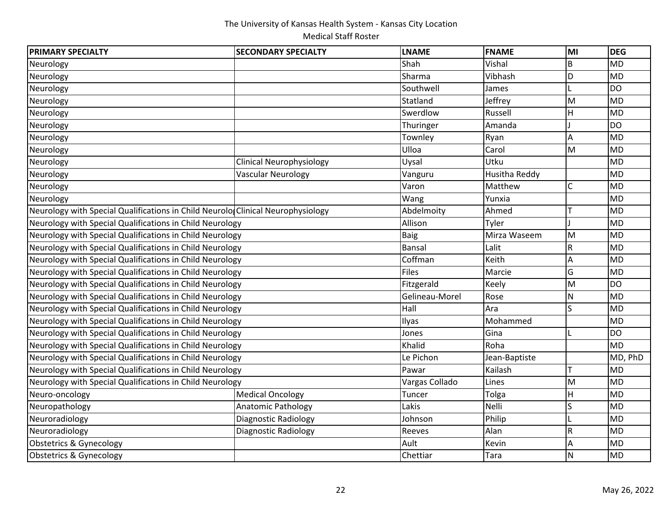| <b>PRIMARY SPECIALTY</b>                                                        | <b>SECONDARY SPECIALTY</b>      | <b>LNAME</b>   | <b>FNAME</b>  | MI           | <b>DEG</b> |
|---------------------------------------------------------------------------------|---------------------------------|----------------|---------------|--------------|------------|
| Neurology                                                                       |                                 | Shah           | Vishal        | B            | <b>MD</b>  |
| Neurology                                                                       |                                 | Sharma         | Vibhash       | D            | <b>MD</b>  |
| Neurology                                                                       |                                 | Southwell      | James         |              | <b>DO</b>  |
| Neurology                                                                       |                                 | Statland       | Jeffrey       | M            | <b>MD</b>  |
| Neurology                                                                       |                                 | Swerdlow       | Russell       | H            | <b>MD</b>  |
| Neurology                                                                       |                                 | Thuringer      | Amanda        |              | <b>DO</b>  |
| Neurology                                                                       |                                 | Townley        | Ryan          | Α            | <b>MD</b>  |
| Neurology                                                                       |                                 | Ulloa          | Carol         | M            | <b>MD</b>  |
| Neurology                                                                       | <b>Clinical Neurophysiology</b> | Uysal          | Utku          |              | <b>MD</b>  |
| Neurology                                                                       | <b>Vascular Neurology</b>       | Vanguru        | Husitha Reddy |              | <b>MD</b>  |
| Neurology                                                                       |                                 | Varon          | Matthew       | $\mathsf{C}$ | <b>MD</b>  |
| Neurology                                                                       |                                 | Wang           | Yunxia        |              | MD         |
| Neurology with Special Qualifications in Child Neurolo Clinical Neurophysiology |                                 | Abdelmoity     | Ahmed         |              | <b>MD</b>  |
| Neurology with Special Qualifications in Child Neurology                        |                                 | Allison        | Tyler         |              | <b>MD</b>  |
| Neurology with Special Qualifications in Child Neurology                        |                                 | Baig           | Mirza Waseem  | M            | <b>MD</b>  |
| Neurology with Special Qualifications in Child Neurology                        |                                 | <b>Bansal</b>  | Lalit         | R            | <b>MD</b>  |
| Neurology with Special Qualifications in Child Neurology                        |                                 | Coffman        | Keith         | Α            | <b>MD</b>  |
| Neurology with Special Qualifications in Child Neurology                        |                                 | Files          | Marcie        | G            | <b>MD</b>  |
| Neurology with Special Qualifications in Child Neurology                        |                                 | Fitzgerald     | Keely         | $\mathsf{M}$ | <b>DO</b>  |
| Neurology with Special Qualifications in Child Neurology                        |                                 | Gelineau-Morel | Rose          | N            | <b>MD</b>  |
| Neurology with Special Qualifications in Child Neurology                        |                                 | Hall           | Ara           | S            | <b>MD</b>  |
| Neurology with Special Qualifications in Child Neurology                        |                                 | Ilyas          | Mohammed      |              | MD         |
| Neurology with Special Qualifications in Child Neurology                        |                                 | Jones          | Gina          |              | <b>DO</b>  |
| Neurology with Special Qualifications in Child Neurology                        |                                 | Khalid         | Roha          |              | <b>MD</b>  |
| Neurology with Special Qualifications in Child Neurology                        |                                 | Le Pichon      | Jean-Baptiste |              | MD, PhD    |
| Neurology with Special Qualifications in Child Neurology                        |                                 | Pawar          | Kailash       |              | MD         |
| Neurology with Special Qualifications in Child Neurology                        |                                 | Vargas Collado | Lines         | M            | <b>MD</b>  |
| Neuro-oncology                                                                  | <b>Medical Oncology</b>         | Tuncer         | Tolga         | Η            | <b>MD</b>  |
| Neuropathology                                                                  | <b>Anatomic Pathology</b>       | Lakis          | Nelli         | S            | <b>MD</b>  |
| Neuroradiology                                                                  | <b>Diagnostic Radiology</b>     | Johnson        | Philip        |              | <b>MD</b>  |
| Neuroradiology                                                                  | <b>Diagnostic Radiology</b>     | Reeves         | Alan          | $\mathsf R$  | <b>MD</b>  |
| Obstetrics & Gynecology                                                         |                                 | Ault           | Kevin         | Α            | <b>MD</b>  |
| Obstetrics & Gynecology                                                         |                                 | Chettiar       | Tara          | N            | MD         |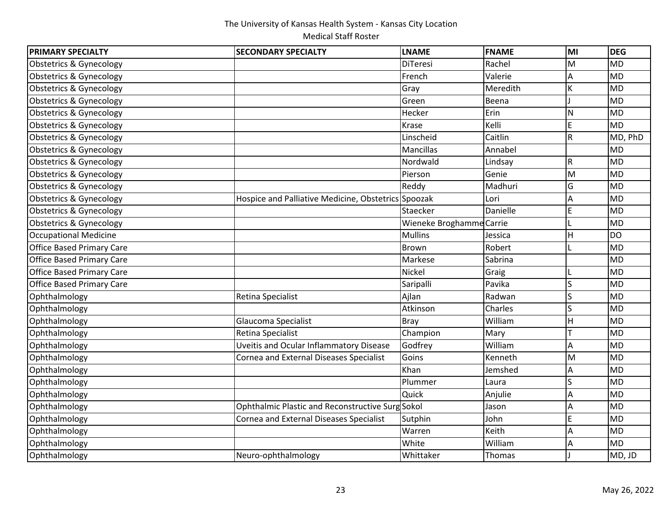| <b>PRIMARY SPECIALTY</b>           | <b>SECONDARY SPECIALTY</b>                          | <b>LNAME</b>             | <b>FNAME</b> | MI | <b>DEG</b> |
|------------------------------------|-----------------------------------------------------|--------------------------|--------------|----|------------|
| Obstetrics & Gynecology            |                                                     | <b>DiTeresi</b>          | Rachel       | M  | <b>MD</b>  |
| <b>Obstetrics &amp; Gynecology</b> |                                                     | French                   | Valerie      | Α  | <b>MD</b>  |
| Obstetrics & Gynecology            |                                                     | Gray                     | Meredith     | K  | <b>MD</b>  |
| Obstetrics & Gynecology            |                                                     | Green                    | Beena        |    | MD         |
| <b>Obstetrics &amp; Gynecology</b> |                                                     | Hecker                   | Erin         | N  | <b>MD</b>  |
| <b>Obstetrics &amp; Gynecology</b> |                                                     | Krase                    | Kelli        | E  | <b>MD</b>  |
| <b>Obstetrics &amp; Gynecology</b> |                                                     | Linscheid                | Caitlin      | R  | MD, PhD    |
| Obstetrics & Gynecology            |                                                     | Mancillas                | Annabel      |    | lmd        |
| Obstetrics & Gynecology            |                                                     | Nordwald                 | Lindsay      | R  | <b>MD</b>  |
| Obstetrics & Gynecology            |                                                     | Pierson                  | Genie        | M  | <b>MD</b>  |
| Obstetrics & Gynecology            |                                                     | Reddy                    | Madhuri      | G  | <b>MD</b>  |
| <b>Obstetrics &amp; Gynecology</b> | Hospice and Palliative Medicine, Obstetrics Spoozak |                          | Lori         | Α  | MD         |
| Obstetrics & Gynecology            |                                                     | Staecker                 | Danielle     | E  | MD         |
| Obstetrics & Gynecology            |                                                     | Wieneke Broghamme Carrie |              |    | MD         |
| <b>Occupational Medicine</b>       |                                                     | <b>Mullins</b>           | Jessica      | H  | <b>DO</b>  |
| <b>Office Based Primary Care</b>   |                                                     | Brown                    | Robert       |    | <b>MD</b>  |
| <b>Office Based Primary Care</b>   |                                                     | Markese                  | Sabrina      |    | MD         |
| <b>Office Based Primary Care</b>   |                                                     | Nickel                   | Graig        |    | MD         |
| <b>Office Based Primary Care</b>   |                                                     | Saripalli                | Pavika       | S  | MD         |
| Ophthalmology                      | Retina Specialist                                   | Ajlan                    | Radwan       | S  | <b>MD</b>  |
| Ophthalmology                      |                                                     | Atkinson                 | Charles      | S. | <b>MD</b>  |
| Ophthalmology                      | Glaucoma Specialist                                 | <b>Bray</b>              | William      | Η  | MD         |
| Ophthalmology                      | Retina Specialist                                   | Champion                 | Mary         |    | lmd        |
| Ophthalmology                      | Uveitis and Ocular Inflammatory Disease             | Godfrey                  | William      | Α  | <b>MD</b>  |
| Ophthalmology                      | Cornea and External Diseases Specialist             | Goins                    | Kenneth      | M  | <b>MD</b>  |
| Ophthalmology                      |                                                     | Khan                     | Jemshed      | Α  | MD         |
| Ophthalmology                      |                                                     | Plummer                  | Laura        | S  | MD         |
| Ophthalmology                      |                                                     | Quick                    | Anjulie      | Α  | <b>MD</b>  |
| Ophthalmology                      | Ophthalmic Plastic and Reconstructive Surg Sokol    |                          | Jason        | Α  | <b>MD</b>  |
| Ophthalmology                      | Cornea and External Diseases Specialist             | Sutphin                  | John         | E  | <b>MD</b>  |
| Ophthalmology                      |                                                     | Warren                   | Keith        | A  | MD         |
| Ophthalmology                      |                                                     | White                    | William      | Α  | MD         |
| Ophthalmology                      | Neuro-ophthalmology                                 | Whittaker                | Thomas       |    | MD, JD     |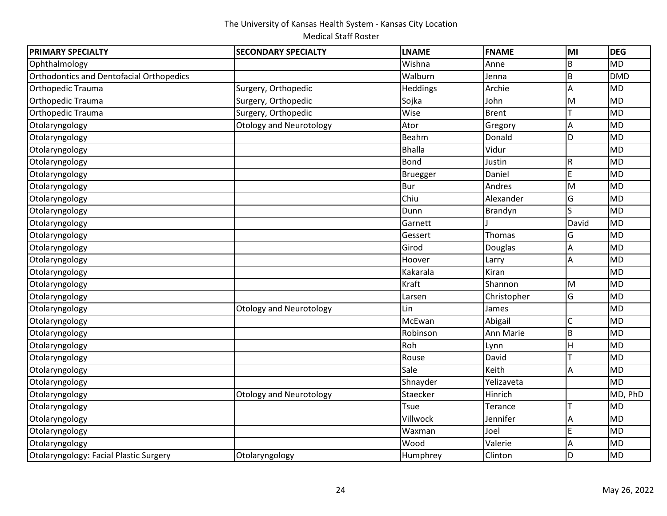| <b>PRIMARY SPECIALTY</b>                        | <b>SECONDARY SPECIALTY</b>     | <b>LNAME</b>  | <b>FNAME</b> | MI           | <b>DEG</b> |
|-------------------------------------------------|--------------------------------|---------------|--------------|--------------|------------|
| Ophthalmology                                   |                                | Wishna        | Anne         | B            | <b>MD</b>  |
| <b>Orthodontics and Dentofacial Orthopedics</b> |                                | Walburn       | Jenna        | B            | <b>DMD</b> |
| Orthopedic Trauma                               | Surgery, Orthopedic            | Heddings      | Archie       | Α            | <b>MD</b>  |
| Orthopedic Trauma                               | Surgery, Orthopedic            | Sojka         | John         | $\mathsf{M}$ | <b>MD</b>  |
| Orthopedic Trauma                               | Surgery, Orthopedic            | Wise          | <b>Brent</b> |              | <b>MD</b>  |
| Otolaryngology                                  | <b>Otology and Neurotology</b> | Ator          | Gregory      | Α            | <b>MD</b>  |
| Otolaryngology                                  |                                | Beahm         | Donald       | D            | <b>MD</b>  |
| Otolaryngology                                  |                                | <b>Bhalla</b> | Vidur        |              | <b>MD</b>  |
| Otolaryngology                                  |                                | <b>Bond</b>   | Justin       | R            | <b>MD</b>  |
| Otolaryngology                                  |                                | Bruegger      | Daniel       | E            | <b>MD</b>  |
| Otolaryngology                                  |                                | <b>Bur</b>    | Andres       | M            | <b>MD</b>  |
| Otolaryngology                                  |                                | Chiu          | Alexander    | G            | <b>MD</b>  |
| Otolaryngology                                  |                                | Dunn          | Brandyn      | S            | <b>MD</b>  |
| Otolaryngology                                  |                                | Garnett       |              | David        | <b>MD</b>  |
| Otolaryngology                                  |                                | Gessert       | Thomas       | G            | <b>MD</b>  |
| Otolaryngology                                  |                                | Girod         | Douglas      | Α            | <b>MD</b>  |
| Otolaryngology                                  |                                | Hoover        | Larry        | Α            | <b>MD</b>  |
| Otolaryngology                                  |                                | Kakarala      | Kiran        |              | <b>MD</b>  |
| Otolaryngology                                  |                                | Kraft         | Shannon      | M            | <b>MD</b>  |
| Otolaryngology                                  |                                | Larsen        | Christopher  | G            | <b>MD</b>  |
| Otolaryngology                                  | <b>Otology and Neurotology</b> | Lin           | James        |              | <b>MD</b>  |
| Otolaryngology                                  |                                | McEwan        | Abigail      | C            | <b>MD</b>  |
| Otolaryngology                                  |                                | Robinson      | Ann Marie    | B            | <b>MD</b>  |
| Otolaryngology                                  |                                | Roh           | Lynn         | Н            | <b>MD</b>  |
| Otolaryngology                                  |                                | Rouse         | David        |              | <b>MD</b>  |
| Otolaryngology                                  |                                | Sale          | Keith        | A            | <b>MD</b>  |
| Otolaryngology                                  |                                | Shnayder      | Yelizaveta   |              | <b>MD</b>  |
| Otolaryngology                                  | <b>Otology and Neurotology</b> | Staecker      | Hinrich      |              | MD, PhD    |
| Otolaryngology                                  |                                | <b>Tsue</b>   | Terance      | т            | <b>MD</b>  |
| Otolaryngology                                  |                                | Villwock      | Jennifer     | A            | <b>MD</b>  |
| Otolaryngology                                  |                                | Waxman        | Joel         | E            | <b>MD</b>  |
| Otolaryngology                                  |                                | Wood          | Valerie      | Α            | <b>MD</b>  |
| Otolaryngology: Facial Plastic Surgery          | Otolaryngology                 | Humphrey      | Clinton      | D            | <b>MD</b>  |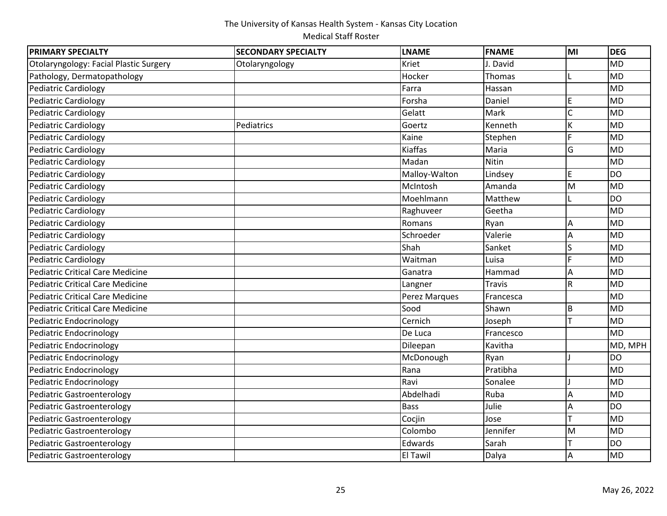| <b>PRIMARY SPECIALTY</b>                | <b>SECONDARY SPECIALTY</b> | <b>LNAME</b>    | <b>FNAME</b>  | MI | <b>DEG</b> |
|-----------------------------------------|----------------------------|-----------------|---------------|----|------------|
| Otolaryngology: Facial Plastic Surgery  | Otolaryngology             | Kriet           | J. David      |    | <b>MD</b>  |
| Pathology, Dermatopathology             |                            | Hocker          | Thomas        |    | MD         |
| <b>Pediatric Cardiology</b>             |                            | Farra           | Hassan        |    | <b>MD</b>  |
| <b>Pediatric Cardiology</b>             |                            | Forsha          | Daniel        | E  | MD         |
| <b>Pediatric Cardiology</b>             |                            | Gelatt          | Mark          | C  | <b>MD</b>  |
| <b>Pediatric Cardiology</b>             | Pediatrics                 | Goertz          | Kenneth       | K  | <b>MD</b>  |
| <b>Pediatric Cardiology</b>             |                            | Kaine           | Stephen       | Ë  | <b>MD</b>  |
| <b>Pediatric Cardiology</b>             |                            | Kiaffas         | Maria         | G  | <b>MD</b>  |
| <b>Pediatric Cardiology</b>             |                            | Madan           | Nitin         |    | <b>MD</b>  |
| Pediatric Cardiology                    |                            | Malloy-Walton   | Lindsey       | E. | <b>DO</b>  |
| <b>Pediatric Cardiology</b>             |                            | McIntosh        | Amanda        | M  | <b>MD</b>  |
| <b>Pediatric Cardiology</b>             |                            | Moehlmann       | Matthew       |    | <b>DO</b>  |
| Pediatric Cardiology                    |                            | Raghuveer       | Geetha        |    | lmd        |
| <b>Pediatric Cardiology</b>             |                            | Romans          | Ryan          | Α  | <b>MD</b>  |
| <b>Pediatric Cardiology</b>             |                            | Schroeder       | Valerie       | Α  | <b>MD</b>  |
| <b>Pediatric Cardiology</b>             |                            | Shah            | Sanket        | S  | <b>MD</b>  |
| <b>Pediatric Cardiology</b>             |                            | Waitman         | Luisa         | E. | <b>MD</b>  |
| Pediatric Critical Care Medicine        |                            | Ganatra         | Hammad        | Α  | <b>MD</b>  |
| Pediatric Critical Care Medicine        |                            | Langner         | <b>Travis</b> | R  | <b>MD</b>  |
| Pediatric Critical Care Medicine        |                            | Perez Marques   | Francesca     |    | MD         |
| <b>Pediatric Critical Care Medicine</b> |                            | Sood            | Shawn         | B  | <b>MD</b>  |
| Pediatric Endocrinology                 |                            | Cernich         | Joseph        |    | <b>MD</b>  |
| Pediatric Endocrinology                 |                            | De Luca         | Francesco     |    | <b>MD</b>  |
| Pediatric Endocrinology                 |                            | Dileepan        | Kavitha       |    | MD, MPH    |
| Pediatric Endocrinology                 |                            | McDonough       | Ryan          |    | <b>DO</b>  |
| Pediatric Endocrinology                 |                            | Rana            | Pratibha      |    | <b>MD</b>  |
| Pediatric Endocrinology                 |                            | Ravi            | Sonalee       |    | <b>MD</b>  |
| Pediatric Gastroenterology              |                            | Abdelhadi       | Ruba          | А  | <b>MD</b>  |
| Pediatric Gastroenterology              |                            | <b>Bass</b>     | Julie         | A  | <b>DO</b>  |
| Pediatric Gastroenterology              |                            | Cocjin          | Jose          |    | <b>MD</b>  |
| Pediatric Gastroenterology              |                            | Colombo         | Jennifer      | M  | <b>MD</b>  |
| Pediatric Gastroenterology              |                            | Edwards         | Sarah         |    | <b>DO</b>  |
| Pediatric Gastroenterology              |                            | <b>El Tawil</b> | Dalya         | Α  | MD         |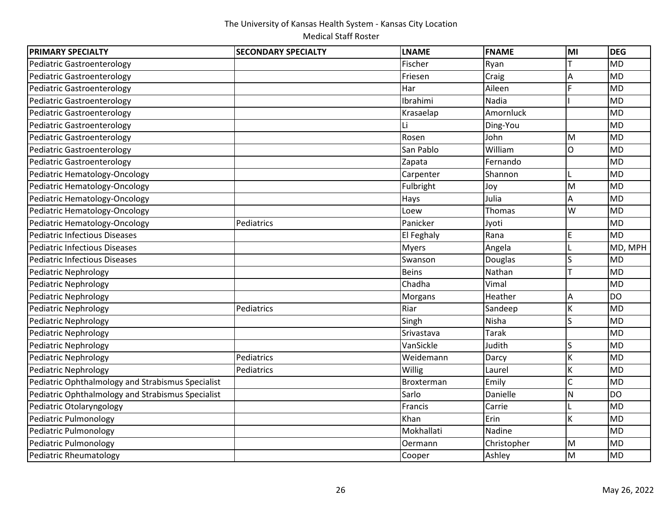| <b>PRIMARY SPECIALTY</b>                          | <b>SECONDARY SPECIALTY</b> | <b>LNAME</b> | <b>FNAME</b> | MI           | <b>DEG</b> |
|---------------------------------------------------|----------------------------|--------------|--------------|--------------|------------|
| <b>Pediatric Gastroenterology</b>                 |                            | Fischer      | Ryan         |              | <b>MD</b>  |
| <b>Pediatric Gastroenterology</b>                 |                            | Friesen      | Craig        | Α            | <b>MD</b>  |
| <b>Pediatric Gastroenterology</b>                 |                            | Har          | Aileen       | E            | <b>MD</b>  |
| <b>Pediatric Gastroenterology</b>                 |                            | Ibrahimi     | Nadia        |              | <b>MD</b>  |
| <b>Pediatric Gastroenterology</b>                 |                            | Krasaelap    | Amornluck    |              | <b>MD</b>  |
| <b>Pediatric Gastroenterology</b>                 |                            | Li           | Ding-You     |              | <b>MD</b>  |
| <b>Pediatric Gastroenterology</b>                 |                            | Rosen        | John         | M            | <b>MD</b>  |
| <b>Pediatric Gastroenterology</b>                 |                            | San Pablo    | William      | $\mathsf{O}$ | <b>MD</b>  |
| <b>Pediatric Gastroenterology</b>                 |                            | Zapata       | Fernando     |              | <b>MD</b>  |
| Pediatric Hematology-Oncology                     |                            | Carpenter    | Shannon      |              | <b>MD</b>  |
| Pediatric Hematology-Oncology                     |                            | Fulbright    | Joy          | M            | <b>MD</b>  |
| Pediatric Hematology-Oncology                     |                            | Hays         | Julia        | A            | <b>MD</b>  |
| Pediatric Hematology-Oncology                     |                            | Loew         | Thomas       | W            | <b>MD</b>  |
| Pediatric Hematology-Oncology                     | Pediatrics                 | Panicker     | Jyoti        |              | <b>MD</b>  |
| <b>Pediatric Infectious Diseases</b>              |                            | El Feghaly   | Rana         | E            | <b>MD</b>  |
| <b>Pediatric Infectious Diseases</b>              |                            | <b>Myers</b> | Angela       |              | MD, MPH    |
| <b>Pediatric Infectious Diseases</b>              |                            | Swanson      | Douglas      | S            | <b>MD</b>  |
| <b>Pediatric Nephrology</b>                       |                            | <b>Beins</b> | Nathan       |              | <b>MD</b>  |
| <b>Pediatric Nephrology</b>                       |                            | Chadha       | Vimal        |              | <b>MD</b>  |
| <b>Pediatric Nephrology</b>                       |                            | Morgans      | Heather      | A            | <b>DO</b>  |
| <b>Pediatric Nephrology</b>                       | Pediatrics                 | Riar         | Sandeep      | K            | <b>MD</b>  |
| <b>Pediatric Nephrology</b>                       |                            | Singh        | <b>Nisha</b> | S            | <b>MD</b>  |
| <b>Pediatric Nephrology</b>                       |                            | Srivastava   | <b>Tarak</b> |              | <b>MD</b>  |
| <b>Pediatric Nephrology</b>                       |                            | VanSickle    | Judith       | S            | <b>MD</b>  |
| <b>Pediatric Nephrology</b>                       | Pediatrics                 | Weidemann    | Darcy        | K            | <b>MD</b>  |
| <b>Pediatric Nephrology</b>                       | Pediatrics                 | Willig       | Laurel       | К            | <b>MD</b>  |
| Pediatric Ophthalmology and Strabismus Specialist |                            | Broxterman   | Emily        | C            | <b>MD</b>  |
| Pediatric Ophthalmology and Strabismus Specialist |                            | Sarlo        | Danielle     | N            | DO         |
| Pediatric Otolaryngology                          |                            | Francis      | Carrie       |              | <b>MD</b>  |
| Pediatric Pulmonology                             |                            | Khan         | Erin         | K            | <b>MD</b>  |
| Pediatric Pulmonology                             |                            | Mokhallati   | Nadine       |              | <b>MD</b>  |
| Pediatric Pulmonology                             |                            | Oermann      | Christopher  | M            | <b>MD</b>  |
| Pediatric Rheumatology                            |                            | Cooper       | Ashley       | M            | <b>MD</b>  |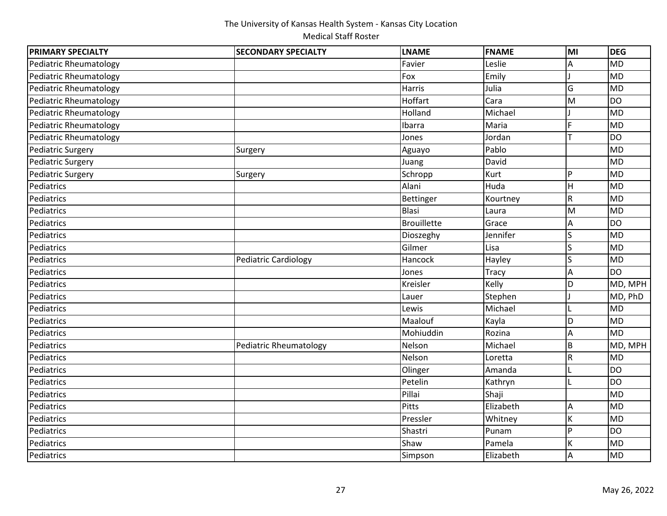| <b>PRIMARY SPECIALTY</b>      | <b>SECONDARY SPECIALTY</b>    | <b>LNAME</b> | <b>FNAME</b> | MI        | DEG       |
|-------------------------------|-------------------------------|--------------|--------------|-----------|-----------|
| Pediatric Rheumatology        |                               | Favier       | Leslie       | Α         | <b>MD</b> |
| <b>Pediatric Rheumatology</b> |                               | Fox          | Emily        |           | MD        |
| Pediatric Rheumatology        |                               | Harris       | Julia        | G         | <b>MD</b> |
| Pediatric Rheumatology        |                               | Hoffart      | Cara         | M         | <b>DO</b> |
| Pediatric Rheumatology        |                               | Holland      | Michael      |           | <b>MD</b> |
| <b>Pediatric Rheumatology</b> |                               | Ibarra       | Maria        | F         | <b>MD</b> |
| <b>Pediatric Rheumatology</b> |                               | Jones        | Jordan       |           | <b>DO</b> |
| <b>Pediatric Surgery</b>      | Surgery                       | Aguayo       | Pablo        |           | MD        |
| <b>Pediatric Surgery</b>      |                               | Juang        | David        |           | <b>MD</b> |
| <b>Pediatric Surgery</b>      | Surgery                       | Schropp      | Kurt         | P         | <b>MD</b> |
| Pediatrics                    |                               | Alani        | Huda         | H         | <b>MD</b> |
| Pediatrics                    |                               | Bettinger    | Kourtney     | ${\sf R}$ | MD        |
| Pediatrics                    |                               | Blasi        | Laura        | M         | <b>MD</b> |
| Pediatrics                    |                               | Brouillette  | Grace        | Α         | <b>DO</b> |
| Pediatrics                    |                               | Dioszeghy    | Jennifer     | S         | <b>MD</b> |
| Pediatrics                    |                               | Gilmer       | Lisa         | S         | MD        |
| Pediatrics                    | <b>Pediatric Cardiology</b>   | Hancock      | Hayley       | S         | <b>MD</b> |
| Pediatrics                    |                               | Jones        | Tracy        | Α         | <b>DO</b> |
| Pediatrics                    |                               | Kreisler     | Kelly        | D         | MD, MPH   |
| Pediatrics                    |                               | Lauer        | Stephen      |           | MD, PhD   |
| Pediatrics                    |                               | Lewis        | Michael      |           | <b>MD</b> |
| Pediatrics                    |                               | Maalouf      | Kayla        | D         | <b>MD</b> |
| Pediatrics                    |                               | Mohiuddin    | Rozina       | Α         | <b>MD</b> |
| Pediatrics                    | <b>Pediatric Rheumatology</b> | Nelson       | Michael      | B         | MD, MPH   |
| Pediatrics                    |                               | Nelson       | Loretta      | ${\sf R}$ | <b>MD</b> |
| Pediatrics                    |                               | Olinger      | Amanda       |           | <b>DO</b> |
| Pediatrics                    |                               | Petelin      | Kathryn      |           | <b>DO</b> |
| Pediatrics                    |                               | Pillai       | Shaji        |           | MD        |
| Pediatrics                    |                               | Pitts        | Elizabeth    | Α         | MD        |
| Pediatrics                    |                               | Pressler     | Whitney      | К         | <b>MD</b> |
| Pediatrics                    |                               | Shastri      | Punam        | P         | <b>DO</b> |
| Pediatrics                    |                               | Shaw         | Pamela       | К         | <b>MD</b> |
| Pediatrics                    |                               | Simpson      | Elizabeth    | Α         | MD        |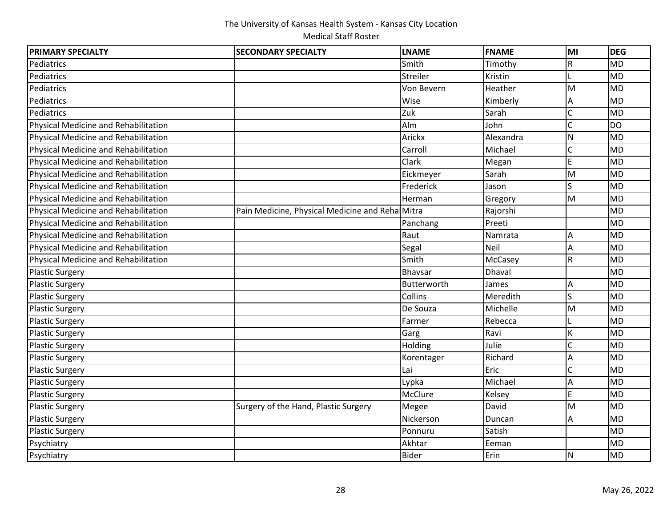| <b>PRIMARY SPECIALTY</b>             | <b>SECONDARY SPECIALTY</b>                       | <b>LNAME</b>   | <b>FNAME</b> | MI           | <b>DEG</b>      |
|--------------------------------------|--------------------------------------------------|----------------|--------------|--------------|-----------------|
| Pediatrics                           |                                                  | Smith          | Timothy      | ${\sf R}$    | MD              |
| Pediatrics                           |                                                  | Streiler       | Kristin      | L            | MD)             |
| Pediatrics                           |                                                  | Von Bevern     | Heather      | M            | MD)             |
| Pediatrics                           |                                                  | Wise           | Kimberly     | A            | MD              |
| Pediatrics                           |                                                  | Zuk            | Sarah        | $\mathsf{C}$ | MD              |
| Physical Medicine and Rehabilitation |                                                  | Alm            | John         | $\mathsf{C}$ | DO              |
| Physical Medicine and Rehabilitation |                                                  | Arickx         | Alexandra    | N            | MD              |
| Physical Medicine and Rehabilitation |                                                  | Carroll        | Michael      | $\mathsf{C}$ | MD!             |
| Physical Medicine and Rehabilitation |                                                  | Clark          | Megan        | E            | MD              |
| Physical Medicine and Rehabilitation |                                                  | Eickmeyer      | Sarah        | M            | lmd             |
| Physical Medicine and Rehabilitation |                                                  | Frederick      | Jason        | S            | MD              |
| Physical Medicine and Rehabilitation |                                                  | Herman         | Gregory      | M            | MD              |
| Physical Medicine and Rehabilitation | Pain Medicine, Physical Medicine and Rehal Mitra |                | Rajorshi     |              | MD!             |
| Physical Medicine and Rehabilitation |                                                  | Panchang       | Preeti       |              | MD              |
| Physical Medicine and Rehabilitation |                                                  | Raut           | Namrata      | A            | MD              |
| Physical Medicine and Rehabilitation |                                                  | Segal          | <b>Neil</b>  | A            | MD              |
| Physical Medicine and Rehabilitation |                                                  | Smith          | McCasey      | R            | MD              |
| <b>Plastic Surgery</b>               |                                                  | <b>Bhavsar</b> | Dhaval       |              | MD!             |
| <b>Plastic Surgery</b>               |                                                  | Butterworth    | James        | A            | MD              |
| <b>Plastic Surgery</b>               |                                                  | Collins        | Meredith     | S            | MD              |
| <b>Plastic Surgery</b>               |                                                  | De Souza       | Michelle     | M            | MD              |
| <b>Plastic Surgery</b>               |                                                  | Farmer         | Rebecca      |              | MD              |
| <b>Plastic Surgery</b>               |                                                  | Garg           | Ravi         | К            | MD <sup> </sup> |
| <b>Plastic Surgery</b>               |                                                  | Holding        | Julie        | $\mathsf{C}$ | MD!             |
| <b>Plastic Surgery</b>               |                                                  | Korentager     | Richard      | A            | MD              |
| <b>Plastic Surgery</b>               |                                                  | Lai            | Eric         | $\mathsf{C}$ | MD!             |
| <b>Plastic Surgery</b>               |                                                  | Lypka          | Michael      | A            | MD              |
| <b>Plastic Surgery</b>               |                                                  | McClure        | Kelsey       | E            | MD              |
| <b>Plastic Surgery</b>               | Surgery of the Hand, Plastic Surgery             | Megee          | David        | M            | lmd             |
| <b>Plastic Surgery</b>               |                                                  | Nickerson      | Duncan       | A            | MD!             |
| <b>Plastic Surgery</b>               |                                                  | Ponnuru        | Satish       |              | MD              |
| Psychiatry                           |                                                  | Akhtar         | Eeman        |              | MD              |
| Psychiatry                           |                                                  | <b>Bider</b>   | Erin         | N            | MD              |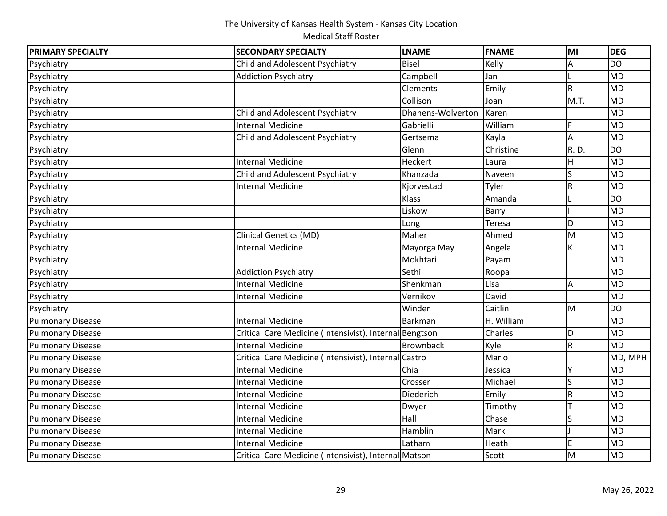| <b>PRIMARY SPECIALTY</b> | <b>SECONDARY SPECIALTY</b>                              | <b>LNAME</b>      | <b>FNAME</b> | MI          | DEG     |
|--------------------------|---------------------------------------------------------|-------------------|--------------|-------------|---------|
| Psychiatry               | Child and Adolescent Psychiatry                         | <b>Bisel</b>      | Kelly        | Α           | DO      |
| Psychiatry               | <b>Addiction Psychiatry</b>                             | Campbell          | Jan          |             | MD      |
| Psychiatry               |                                                         | Clements          | Emily        | ${\sf R}$   | MD      |
| Psychiatry               |                                                         | Collison          | Joan         | M.T.        | MD      |
| Psychiatry               | Child and Adolescent Psychiatry                         | Dhanens-Wolverton | Karen        |             | MD      |
| Psychiatry               | <b>Internal Medicine</b>                                | Gabrielli         | William      | F           | MD      |
| Psychiatry               | Child and Adolescent Psychiatry                         | Gertsema          | Kayla        | A           | MD      |
| Psychiatry               |                                                         | Glenn             | Christine    | R. D.       | DO      |
| Psychiatry               | <b>Internal Medicine</b>                                | Heckert           | Laura        | $\mathsf H$ | MD      |
| Psychiatry               | Child and Adolescent Psychiatry                         | Khanzada          | Naveen       | S           | MD      |
| Psychiatry               | <b>Internal Medicine</b>                                | Kjorvestad        | Tyler        | $\mathsf R$ | MD      |
| Psychiatry               |                                                         | Klass             | Amanda       |             | DO      |
| Psychiatry               |                                                         | Liskow            | Barry        |             | MD      |
| Psychiatry               |                                                         | Long              | Teresa       | D           | MD      |
| Psychiatry               | <b>Clinical Genetics (MD)</b>                           | Maher             | Ahmed        | M           | MD      |
| Psychiatry               | <b>Internal Medicine</b>                                | Mayorga May       | Angela       | К           | MD      |
| Psychiatry               |                                                         | Mokhtari          | Payam        |             | MD      |
| Psychiatry               | <b>Addiction Psychiatry</b>                             | Sethi             | Roopa        |             | MD      |
| Psychiatry               | <b>Internal Medicine</b>                                | Shenkman          | Lisa         | A           | lmd     |
| Psychiatry               | <b>Internal Medicine</b>                                | Vernikov          | David        |             | MD      |
| Psychiatry               |                                                         | Winder            | Caitlin      | M           | DO      |
| <b>Pulmonary Disease</b> | <b>Internal Medicine</b>                                | Barkman           | H. William   |             | MD      |
| <b>Pulmonary Disease</b> | Critical Care Medicine (Intensivist), Internal Bengtson |                   | Charles      | D           | MD      |
| <b>Pulmonary Disease</b> | <b>Internal Medicine</b>                                | <b>Brownback</b>  | Kyle         | ${\sf R}$   | lmd     |
| <b>Pulmonary Disease</b> | Critical Care Medicine (Intensivist), Internal Castro   |                   | Mario        |             | MD, MPH |
| <b>Pulmonary Disease</b> | <b>Internal Medicine</b>                                | Chia              | Jessica      | Υ           | MD      |
| <b>Pulmonary Disease</b> | <b>Internal Medicine</b>                                | Crosser           | Michael      | S           | MD      |
| <b>Pulmonary Disease</b> | <b>Internal Medicine</b>                                | Diederich         | Emily        | ${\sf R}$   | MD      |
| <b>Pulmonary Disease</b> | <b>Internal Medicine</b>                                | Dwyer             | Timothy      |             | MD!     |
| <b>Pulmonary Disease</b> | <b>Internal Medicine</b>                                | Hall              | Chase        | S           | MD      |
| <b>Pulmonary Disease</b> | <b>Internal Medicine</b>                                | Hamblin           | Mark         |             | MD      |
| <b>Pulmonary Disease</b> | <b>Internal Medicine</b>                                | Latham            | Heath        | E           | MD      |
| <b>Pulmonary Disease</b> | Critical Care Medicine (Intensivist), Internal Matson   |                   | Scott        | M           | MD      |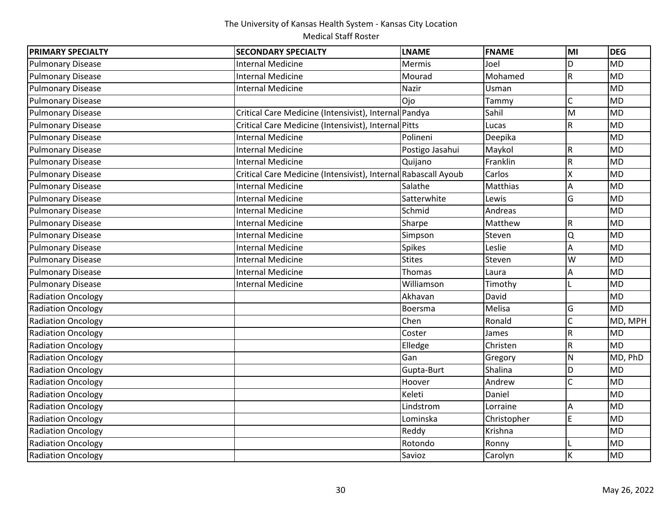| <b>PRIMARY SPECIALTY</b>  | <b>SECONDARY SPECIALTY</b>                                     | <b>LNAME</b>    | <b>FNAME</b> | MI           | <b>DEG</b> |
|---------------------------|----------------------------------------------------------------|-----------------|--------------|--------------|------------|
| <b>Pulmonary Disease</b>  | <b>Internal Medicine</b>                                       | Mermis          | Joel         | D            | <b>MD</b>  |
| <b>Pulmonary Disease</b>  | <b>Internal Medicine</b>                                       | Mourad          | Mohamed      | R.           | <b>MD</b>  |
| <b>Pulmonary Disease</b>  | <b>Internal Medicine</b>                                       | Nazir           | Usman        |              | <b>MD</b>  |
| <b>Pulmonary Disease</b>  |                                                                | Oio             | Tammy        | $\mathsf{C}$ | <b>MD</b>  |
| <b>Pulmonary Disease</b>  | Critical Care Medicine (Intensivist), Internal Pandya          |                 | Sahil        | M            | <b>MD</b>  |
| <b>Pulmonary Disease</b>  | Critical Care Medicine (Intensivist), Internal Pitts           |                 | Lucas        | R            | <b>MD</b>  |
| <b>Pulmonary Disease</b>  | <b>Internal Medicine</b>                                       | Polineni        | Deepika      |              | <b>MD</b>  |
| <b>Pulmonary Disease</b>  | <b>Internal Medicine</b>                                       | Postigo Jasahui | Maykol       | R            | <b>MD</b>  |
| <b>Pulmonary Disease</b>  | <b>Internal Medicine</b>                                       | Quijano         | Franklin     | $\mathsf R$  | <b>MD</b>  |
| <b>Pulmonary Disease</b>  | Critical Care Medicine (Intensivist), Internal Rabascall Ayoub |                 | Carlos       | X            | <b>MD</b>  |
| <b>Pulmonary Disease</b>  | <b>Internal Medicine</b>                                       | Salathe         | Matthias     | A            | <b>MD</b>  |
| <b>Pulmonary Disease</b>  | <b>Internal Medicine</b>                                       | Satterwhite     | Lewis        | G            | <b>MD</b>  |
| <b>Pulmonary Disease</b>  | <b>Internal Medicine</b>                                       | Schmid          | Andreas      |              | <b>MD</b>  |
| <b>Pulmonary Disease</b>  | <b>Internal Medicine</b>                                       | Sharpe          | Matthew      | $\sf R$      | <b>MD</b>  |
| <b>Pulmonary Disease</b>  | <b>Internal Medicine</b>                                       | Simpson         | Steven       | Q            | <b>MD</b>  |
| <b>Pulmonary Disease</b>  | <b>Internal Medicine</b>                                       | <b>Spikes</b>   | Leslie       | Α            | <b>MD</b>  |
| <b>Pulmonary Disease</b>  | <b>Internal Medicine</b>                                       | Stites          | Steven       | W            | <b>MD</b>  |
| <b>Pulmonary Disease</b>  | <b>Internal Medicine</b>                                       | Thomas          | Laura        | Α            | <b>MD</b>  |
| <b>Pulmonary Disease</b>  | <b>Internal Medicine</b>                                       | Williamson      | Timothy      |              | <b>MD</b>  |
| <b>Radiation Oncology</b> |                                                                | Akhavan         | David        |              | <b>MD</b>  |
| <b>Radiation Oncology</b> |                                                                | Boersma         | Melisa       | G            | <b>MD</b>  |
| <b>Radiation Oncology</b> |                                                                | Chen            | Ronald       | $\mathsf{C}$ | MD, MPH    |
| <b>Radiation Oncology</b> |                                                                | Coster          | James        | R            | <b>MD</b>  |
| <b>Radiation Oncology</b> |                                                                | Elledge         | Christen     | R            | <b>MD</b>  |
| <b>Radiation Oncology</b> |                                                                | Gan             | Gregory      | N            | MD, PhD    |
| <b>Radiation Oncology</b> |                                                                | Gupta-Burt      | Shalina      | D            | <b>MD</b>  |
| <b>Radiation Oncology</b> |                                                                | Hoover          | Andrew       | $\mathsf C$  | <b>MD</b>  |
| <b>Radiation Oncology</b> |                                                                | Keleti          | Daniel       |              | <b>MD</b>  |
| <b>Radiation Oncology</b> |                                                                | Lindstrom       | Lorraine     | Α            | <b>MD</b>  |
| <b>Radiation Oncology</b> |                                                                | Lominska        | Christopher  | E            | <b>MD</b>  |
| <b>Radiation Oncology</b> |                                                                | Reddy           | Krishna      |              | <b>MD</b>  |
| <b>Radiation Oncology</b> |                                                                | Rotondo         | Ronny        |              | <b>MD</b>  |
| <b>Radiation Oncology</b> |                                                                | Savioz          | Carolyn      | К            | MD         |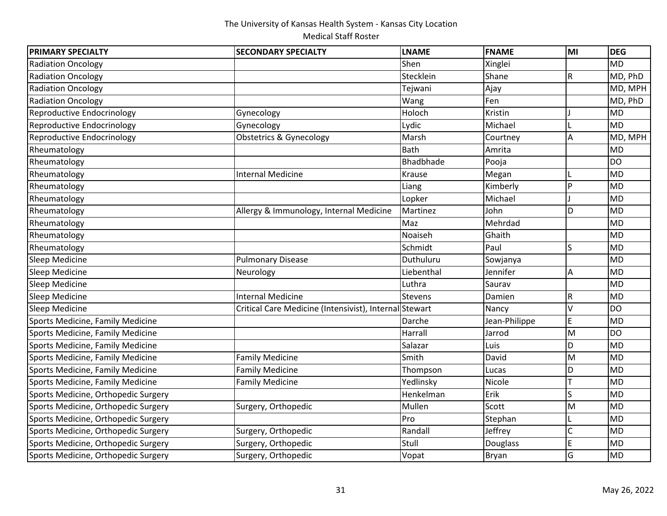| <b>PRIMARY SPECIALTY</b>            | <b>SECONDARY SPECIALTY</b>                             | <b>LNAME</b>   | <b>FNAME</b>  | MI           | <b>DEG</b> |
|-------------------------------------|--------------------------------------------------------|----------------|---------------|--------------|------------|
| <b>Radiation Oncology</b>           |                                                        | Shen           | Xinglei       |              | <b>MD</b>  |
| <b>Radiation Oncology</b>           |                                                        | Stecklein      | Shane         | R            | MD, PhD    |
| <b>Radiation Oncology</b>           |                                                        | Tejwani        | Ajay          |              | MD, MPH    |
| <b>Radiation Oncology</b>           |                                                        | Wang           | Fen           |              | MD, PhD    |
| Reproductive Endocrinology          | Gynecology                                             | Holoch         | Kristin       |              | <b>MD</b>  |
| Reproductive Endocrinology          | Gynecology                                             | Lydic          | Michael       |              | <b>MD</b>  |
| Reproductive Endocrinology          | <b>Obstetrics &amp; Gynecology</b>                     | Marsh          | Courtney      | А            | MD, MPH    |
| Rheumatology                        |                                                        | <b>Bath</b>    | Amrita        |              | <b>MD</b>  |
| Rheumatology                        |                                                        | Bhadbhade      | Pooja         |              | DO         |
| Rheumatology                        | <b>Internal Medicine</b>                               | Krause         | Megan         |              | <b>MD</b>  |
| Rheumatology                        |                                                        | Liang          | Kimberly      | P            | <b>MD</b>  |
| Rheumatology                        |                                                        | Lopker         | Michael       |              | <b>MD</b>  |
| Rheumatology                        | Allergy & Immunology, Internal Medicine                | Martinez       | John          | D            | <b>MD</b>  |
| Rheumatology                        |                                                        | Maz            | Mehrdad       |              | <b>MD</b>  |
| Rheumatology                        |                                                        | Noaiseh        | Ghaith        |              | <b>MD</b>  |
| Rheumatology                        |                                                        | Schmidt        | Paul          | S            | <b>MD</b>  |
| Sleep Medicine                      | <b>Pulmonary Disease</b>                               | Duthuluru      | Sowjanya      |              | <b>MD</b>  |
| <b>Sleep Medicine</b>               | Neurology                                              | Liebenthal     | Jennifer      | Α            | <b>MD</b>  |
| Sleep Medicine                      |                                                        | Luthra         | Saurav        |              | <b>MD</b>  |
| Sleep Medicine                      | <b>Internal Medicine</b>                               | <b>Stevens</b> | Damien        | R            | <b>MD</b>  |
| Sleep Medicine                      | Critical Care Medicine (Intensivist), Internal Stewart |                | Nancy         | $\vee$       | <b>DO</b>  |
| Sports Medicine, Family Medicine    |                                                        | Darche         | Jean-Philippe | E            | <b>MD</b>  |
| Sports Medicine, Family Medicine    |                                                        | Harrall        | Jarrod        | M            | <b>DO</b>  |
| Sports Medicine, Family Medicine    |                                                        | Salazar        | Luis          | D            | <b>MD</b>  |
| Sports Medicine, Family Medicine    | <b>Family Medicine</b>                                 | Smith          | David         | M            | <b>MD</b>  |
| Sports Medicine, Family Medicine    | <b>Family Medicine</b>                                 | Thompson       | Lucas         | D            | <b>MD</b>  |
| Sports Medicine, Family Medicine    | <b>Family Medicine</b>                                 | Yedlinsky      | Nicole        |              | <b>MD</b>  |
| Sports Medicine, Orthopedic Surgery |                                                        | Henkelman      | Erik          | S            | <b>MD</b>  |
| Sports Medicine, Orthopedic Surgery | Surgery, Orthopedic                                    | Mullen         | Scott         | $\mathsf{M}$ | <b>MD</b>  |
| Sports Medicine, Orthopedic Surgery |                                                        | Pro            | Stephan       |              | <b>MD</b>  |
| Sports Medicine, Orthopedic Surgery | Surgery, Orthopedic                                    | Randall        | Jeffrey       | $\mathsf{C}$ | <b>MD</b>  |
| Sports Medicine, Orthopedic Surgery | Surgery, Orthopedic                                    | Stull          | Douglass      | E            | <b>MD</b>  |
| Sports Medicine, Orthopedic Surgery | Surgery, Orthopedic                                    | Vopat          | Bryan         | G            | <b>MD</b>  |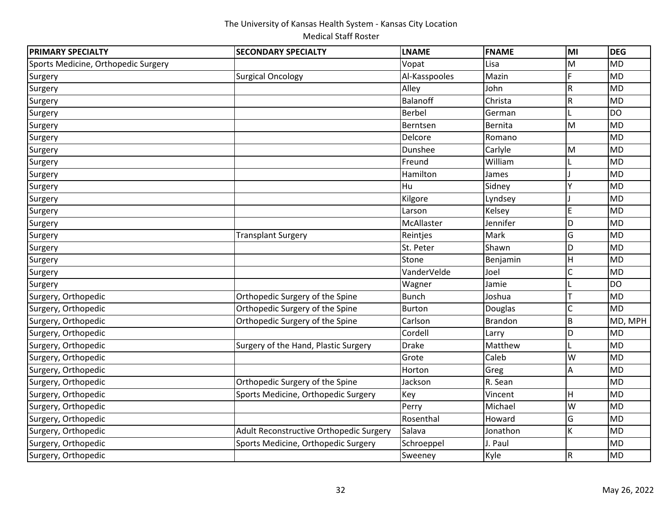| <b>PRIMARY SPECIALTY</b>            | <b>SECONDARY SPECIALTY</b>              | <b>LNAME</b>  | <b>FNAME</b>   | lмı       | <b>DEG</b> |
|-------------------------------------|-----------------------------------------|---------------|----------------|-----------|------------|
| Sports Medicine, Orthopedic Surgery |                                         | Vopat         | Lisa           | M         | <b>MD</b>  |
| Surgery                             | <b>Surgical Oncology</b>                | Al-Kasspooles | Mazin          | Ė         | <b>MD</b>  |
| Surgery                             |                                         | Alley         | John           | R         | <b>MD</b>  |
| Surgery                             |                                         | Balanoff      | Christa        | R         | MD         |
| Surgery                             |                                         | Berbel        | German         |           | <b>DO</b>  |
| Surgery                             |                                         | Berntsen      | Bernita        | M         | <b>MD</b>  |
| Surgery                             |                                         | Delcore       | Romano         |           | MD         |
| Surgery                             |                                         | Dunshee       | Carlyle        | M         | <b>MD</b>  |
| Surgery                             |                                         | Freund        | William        |           | <b>MD</b>  |
| Surgery                             |                                         | Hamilton      | James          |           | <b>MD</b>  |
| Surgery                             |                                         | Hu            | Sidney         | ٧         | MD         |
| Surgery                             |                                         | Kilgore       | Lyndsey        |           | MD         |
| Surgery                             |                                         | Larson        | Kelsey         | E         | MD         |
| Surgery                             |                                         | McAllaster    | Jennifer       | D         | <b>MD</b>  |
| Surgery                             | <b>Transplant Surgery</b>               | Reintjes      | Mark           | G         | MD         |
| Surgery                             |                                         | St. Peter     | Shawn          | D         | <b>MD</b>  |
| Surgery                             |                                         | Stone         | Benjamin       | H         | <b>MD</b>  |
| Surgery                             |                                         | VanderVelde   | Joel           | C         | <b>MD</b>  |
| Surgery                             |                                         | Wagner        | Jamie          |           | <b>DO</b>  |
| Surgery, Orthopedic                 | Orthopedic Surgery of the Spine         | <b>Bunch</b>  | Joshua         |           | <b>MD</b>  |
| Surgery, Orthopedic                 | Orthopedic Surgery of the Spine         | <b>Burton</b> | Douglas        | C         | <b>MD</b>  |
| Surgery, Orthopedic                 | Orthopedic Surgery of the Spine         | Carlson       | <b>Brandon</b> | B         | MD, MPH    |
| Surgery, Orthopedic                 |                                         | Cordell       | Larry          | D         | MD         |
| Surgery, Orthopedic                 | Surgery of the Hand, Plastic Surgery    | <b>Drake</b>  | Matthew        |           | <b>MD</b>  |
| Surgery, Orthopedic                 |                                         | Grote         | Caleb          | W         | <b>MD</b>  |
| Surgery, Orthopedic                 |                                         | Horton        | Greg           | Α         | <b>MD</b>  |
| Surgery, Orthopedic                 | Orthopedic Surgery of the Spine         | Jackson       | R. Sean        |           | MD         |
| Surgery, Orthopedic                 | Sports Medicine, Orthopedic Surgery     | Key           | Vincent        | H         | MD         |
| Surgery, Orthopedic                 |                                         | Perry         | Michael        | W         | <b>MD</b>  |
| Surgery, Orthopedic                 |                                         | Rosenthal     | Howard         | G         | <b>MD</b>  |
| Surgery, Orthopedic                 | Adult Reconstructive Orthopedic Surgery | Salava        | Jonathon       | K         | MD         |
| Surgery, Orthopedic                 | Sports Medicine, Orthopedic Surgery     | Schroeppel    | J. Paul        |           | MD         |
| Surgery, Orthopedic                 |                                         | Sweeney       | Kyle           | ${\sf R}$ | MD         |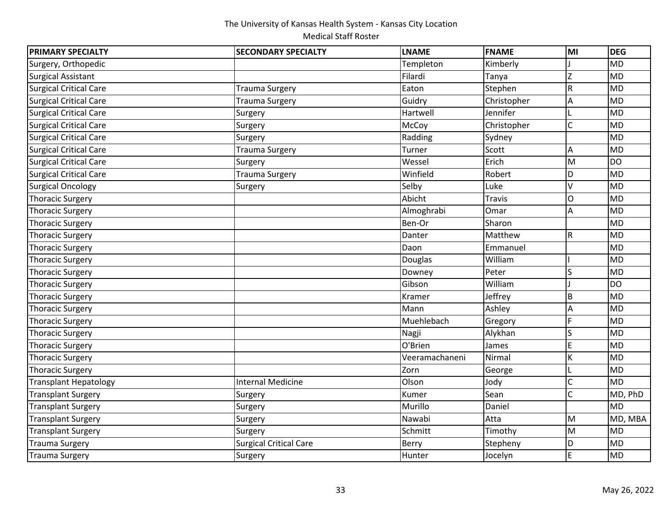| <b>PRIMARY SPECIALTY</b>      | <b>SECONDARY SPECIALTY</b>    | <b>LNAME</b>   | <b>FNAME</b>  | MI           | <b>DEG</b> |
|-------------------------------|-------------------------------|----------------|---------------|--------------|------------|
| Surgery, Orthopedic           |                               | Templeton      | Kimberly      |              | <b>MD</b>  |
| <b>Surgical Assistant</b>     |                               | Filardi        | Tanya         | Z            | <b>MD</b>  |
| <b>Surgical Critical Care</b> | <b>Trauma Surgery</b>         | Eaton          | Stephen       | ${\sf R}$    | <b>MD</b>  |
| <b>Surgical Critical Care</b> | <b>Trauma Surgery</b>         | Guidry         | Christopher   | Α            | <b>MD</b>  |
| <b>Surgical Critical Care</b> | Surgery                       | Hartwell       | Jennifer      |              | <b>MD</b>  |
| <b>Surgical Critical Care</b> | Surgery                       | McCoy          | Christopher   | C            | <b>MD</b>  |
| <b>Surgical Critical Care</b> | Surgery                       | Radding        | Sydney        |              | MD         |
| <b>Surgical Critical Care</b> | <b>Trauma Surgery</b>         | Turner         | Scott         | Α            | <b>MD</b>  |
| <b>Surgical Critical Care</b> | Surgery                       | Wessel         | Erich         | M            | <b>DO</b>  |
| <b>Surgical Critical Care</b> | <b>Trauma Surgery</b>         | Winfield       | Robert        | D            | <b>MD</b>  |
| <b>Surgical Oncology</b>      | Surgery                       | Selby          | Luke          | V            | <b>MD</b>  |
| <b>Thoracic Surgery</b>       |                               | Abicht         | <b>Travis</b> | O            | <b>MD</b>  |
| <b>Thoracic Surgery</b>       |                               | Almoghrabi     | Omar          | Α            | <b>MD</b>  |
| <b>Thoracic Surgery</b>       |                               | Ben-Or         | Sharon        |              | <b>MD</b>  |
| <b>Thoracic Surgery</b>       |                               | Danter         | Matthew       | R            | <b>MD</b>  |
| <b>Thoracic Surgery</b>       |                               | Daon           | Emmanuel      |              | <b>MD</b>  |
| <b>Thoracic Surgery</b>       |                               | Douglas        | William       |              | <b>MD</b>  |
| <b>Thoracic Surgery</b>       |                               | Downey         | Peter         | S            | <b>MD</b>  |
| <b>Thoracic Surgery</b>       |                               | Gibson         | William       |              | <b>DO</b>  |
| <b>Thoracic Surgery</b>       |                               | Kramer         | Jeffrey       | B            | <b>MD</b>  |
| <b>Thoracic Surgery</b>       |                               | Mann           | Ashley        | Α            | <b>MD</b>  |
| <b>Thoracic Surgery</b>       |                               | Muehlebach     | Gregory       | F            | <b>MD</b>  |
| <b>Thoracic Surgery</b>       |                               | Nagji          | Alykhan       | S            | <b>MD</b>  |
| <b>Thoracic Surgery</b>       |                               | O'Brien        | James         | E            | <b>MD</b>  |
| <b>Thoracic Surgery</b>       |                               | Veeramachaneni | Nirmal        | К            | <b>MD</b>  |
| <b>Thoracic Surgery</b>       |                               | Zorn           | George        |              | <b>MD</b>  |
| <b>Transplant Hepatology</b>  | <b>Internal Medicine</b>      | Olson          | Jody          | $\mathsf C$  | <b>MD</b>  |
| <b>Transplant Surgery</b>     | Surgery                       | Kumer          | Sean          | $\mathsf{C}$ | MD, PhD    |
| <b>Transplant Surgery</b>     | Surgery                       | Murillo        | Daniel        |              | <b>MD</b>  |
| <b>Transplant Surgery</b>     | Surgery                       | Nawabi         | Atta          | $\mathsf{M}$ | MD, MBA    |
| <b>Transplant Surgery</b>     | Surgery                       | Schmitt        | Timothy       | M            | <b>MD</b>  |
| <b>Trauma Surgery</b>         | <b>Surgical Critical Care</b> | <b>Berry</b>   | Stepheny      | D            | <b>MD</b>  |
| <b>Trauma Surgery</b>         | Surgery                       | Hunter         | Jocelyn       | E            | MD         |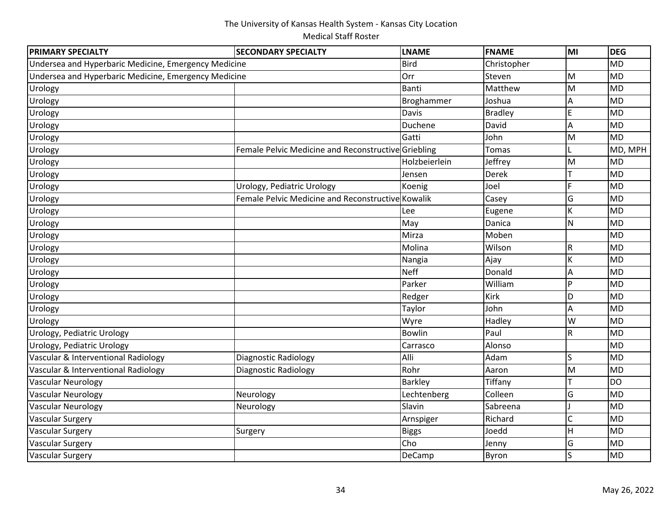| <b>PRIMARY SPECIALTY</b>                             | <b>SECONDARY SPECIALTY</b>                          | <b>LNAME</b>   | <b>FNAME</b>   | MI | <b>DEG</b> |
|------------------------------------------------------|-----------------------------------------------------|----------------|----------------|----|------------|
| Undersea and Hyperbaric Medicine, Emergency Medicine |                                                     | Bird           | Christopher    |    | <b>MD</b>  |
| Undersea and Hyperbaric Medicine, Emergency Medicine |                                                     | Orr            | Steven         | M  | <b>MD</b>  |
| Urology                                              |                                                     | Banti          | Matthew        | M  | <b>MD</b>  |
| Urology                                              |                                                     | Broghammer     | Joshua         | A  | <b>MD</b>  |
| Urology                                              |                                                     | Davis          | <b>Bradley</b> | E  | <b>MD</b>  |
| Urology                                              |                                                     | Duchene        | David          | Α  | <b>MD</b>  |
| Urology                                              |                                                     | Gatti          | John           | M  | <b>MD</b>  |
| Urology                                              | Female Pelvic Medicine and Reconstructive Griebling |                | Tomas          |    | MD, MPH    |
| Urology                                              |                                                     | Holzbeierlein  | Jeffrey        | M  | <b>MD</b>  |
| Urology                                              |                                                     | Jensen         | Derek          |    | <b>MD</b>  |
| Urology                                              | Urology, Pediatric Urology                          | Koenig         | Joel           | F  | <b>MD</b>  |
| Urology                                              | Female Pelvic Medicine and Reconstructive Kowalik   |                | Casey          | G  | <b>MD</b>  |
| Urology                                              |                                                     | Lee            | Eugene         | К  | <b>MD</b>  |
| Urology                                              |                                                     | May            | Danica         | N  | <b>MD</b>  |
| Urology                                              |                                                     | Mirza          | Moben          |    | <b>MD</b>  |
| Urology                                              |                                                     | Molina         | Wilson         | R  | <b>MD</b>  |
| Urology                                              |                                                     | Nangia         | Ajay           | К  | <b>MD</b>  |
| Urology                                              |                                                     | Neff           | Donald         | A  | <b>MD</b>  |
| Urology                                              |                                                     | Parker         | William        | P  | <b>MD</b>  |
| Urology                                              |                                                     | Redger         | Kirk           | D  | <b>MD</b>  |
| Urology                                              |                                                     | Taylor         | John           | Α  | <b>MD</b>  |
| Urology                                              |                                                     | Wyre           | Hadley         | W  | <b>MD</b>  |
| Urology, Pediatric Urology                           |                                                     | <b>Bowlin</b>  | Paul           | R  | <b>MD</b>  |
| Urology, Pediatric Urology                           |                                                     | Carrasco       | Alonso         |    | <b>MD</b>  |
| Vascular & Interventional Radiology                  | Diagnostic Radiology                                | Alli           | Adam           | S  | <b>MD</b>  |
| Vascular & Interventional Radiology                  | <b>Diagnostic Radiology</b>                         | Rohr           | Aaron          | M  | <b>MD</b>  |
| Vascular Neurology                                   |                                                     | <b>Barkley</b> | Tiffany        |    | <b>DO</b>  |
| <b>Vascular Neurology</b>                            | Neurology                                           | Lechtenberg    | Colleen        | G  | <b>MD</b>  |
| <b>Vascular Neurology</b>                            | Neurology                                           | Slavin         | Sabreena       |    | <b>MD</b>  |
| <b>Vascular Surgery</b>                              |                                                     | Arnspiger      | Richard        | C  | <b>MD</b>  |
| <b>Vascular Surgery</b>                              | Surgery                                             | Biggs          | Joedd          | H  | <b>MD</b>  |
| Vascular Surgery                                     |                                                     | Cho            | Jenny          | G  | <b>MD</b>  |
| <b>Vascular Surgery</b>                              |                                                     | DeCamp         | <b>Byron</b>   | S  | MD         |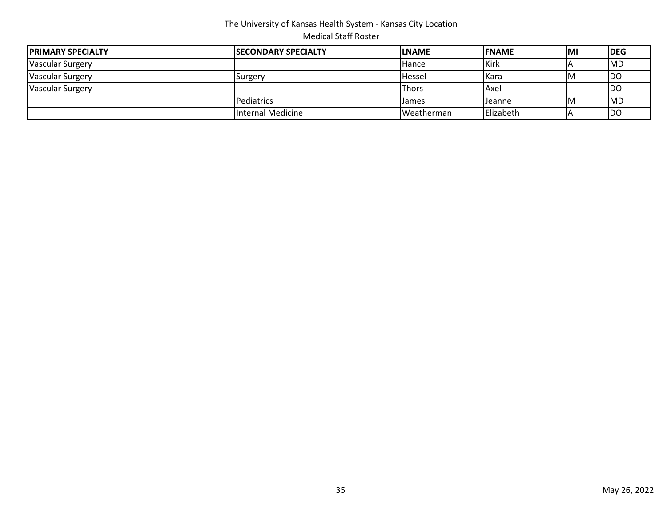| <b>IPRIMARY SPECIALTY</b> | <b>SECONDARY SPECIALTY</b> | <b>LNAME</b> | <b>FNAME</b> | MI | <b>IDEG</b> |
|---------------------------|----------------------------|--------------|--------------|----|-------------|
| <b>Vascular Surgery</b>   |                            | <b>Hance</b> | Kirk         |    | IMD         |
| <b>Vascular Surgery</b>   | Surgery                    | Hessel       | Kara         | M  | DO          |
| <b>Vascular Surgery</b>   |                            | Thors        | Axel         |    | IDO         |
|                           | <b>Pediatrics</b>          | <b>James</b> | IJeanne      | M  | MD          |
|                           | Internal Medicine          | Weatherman   | Elizabeth    |    | IDO         |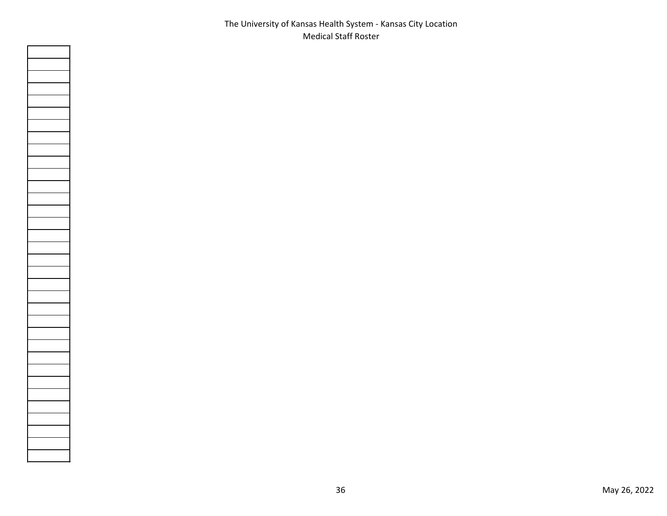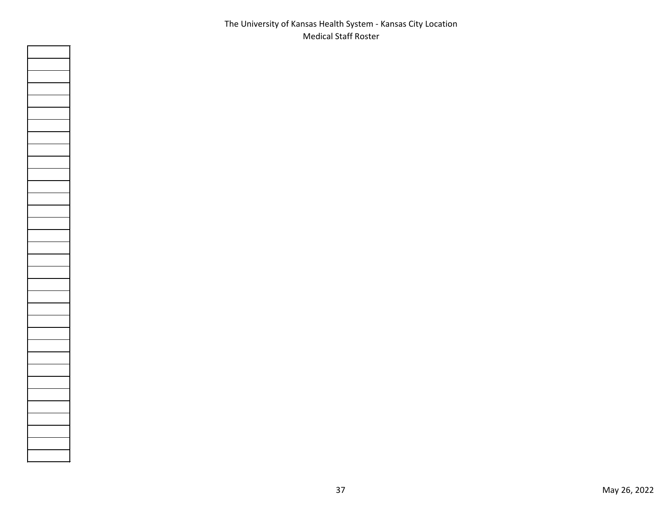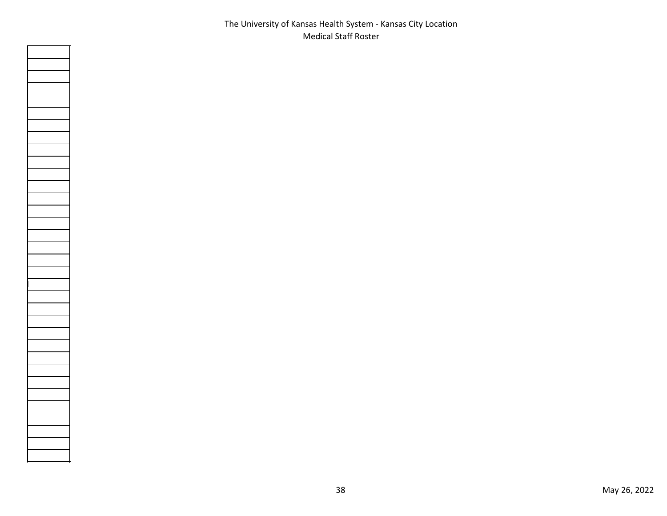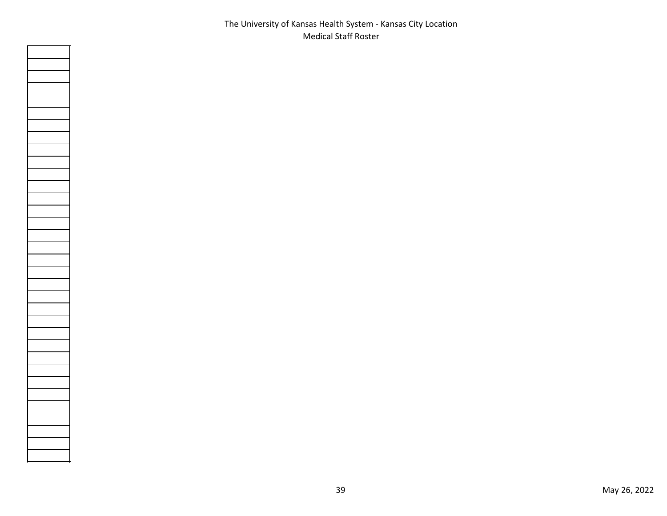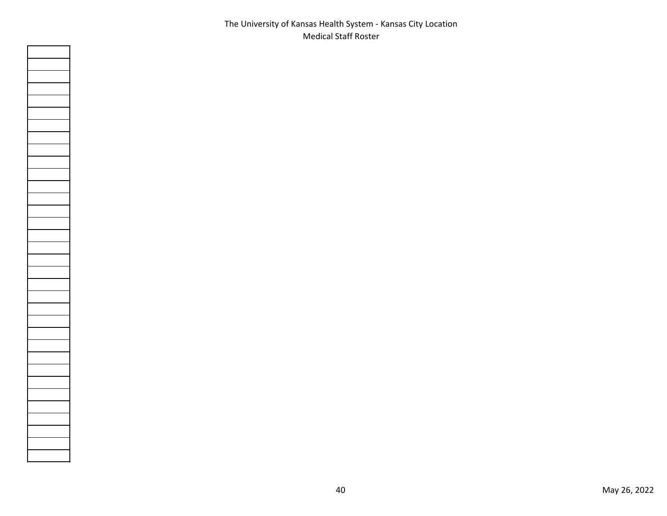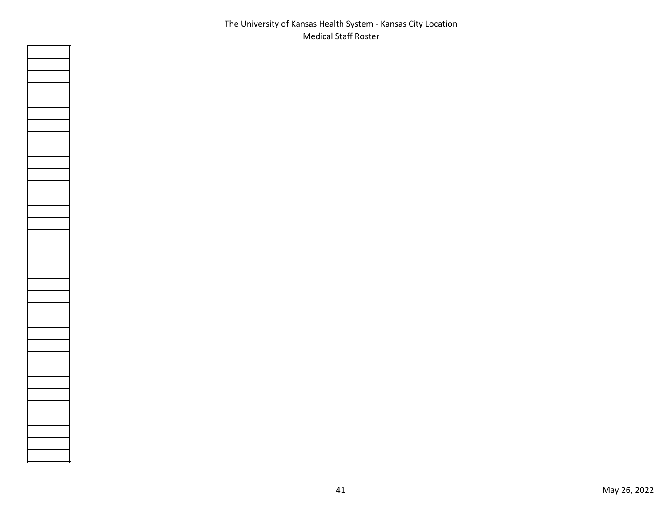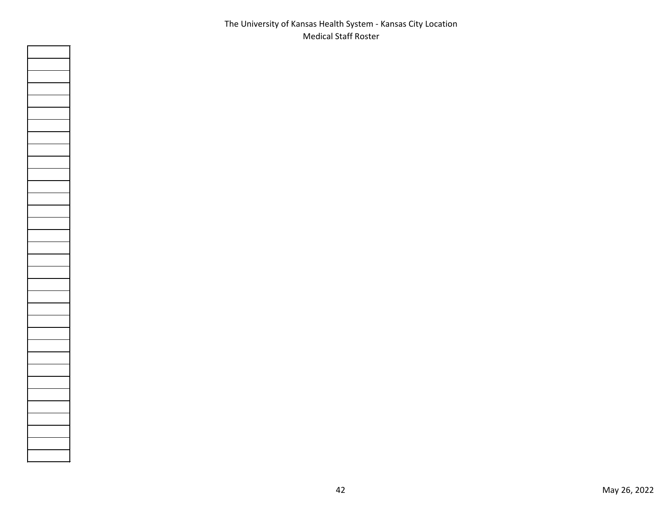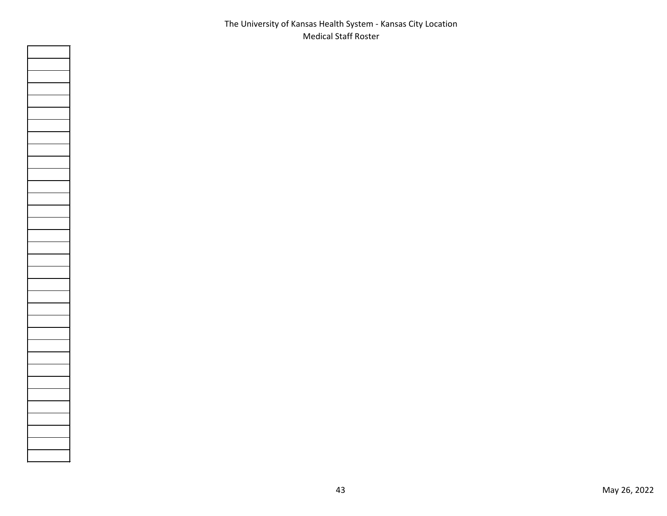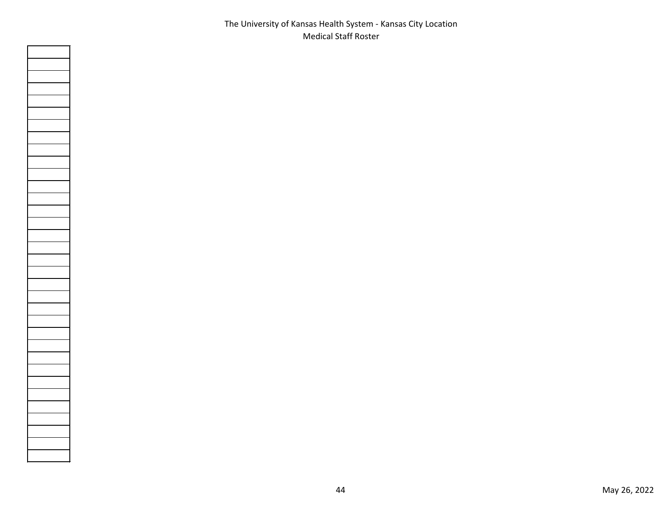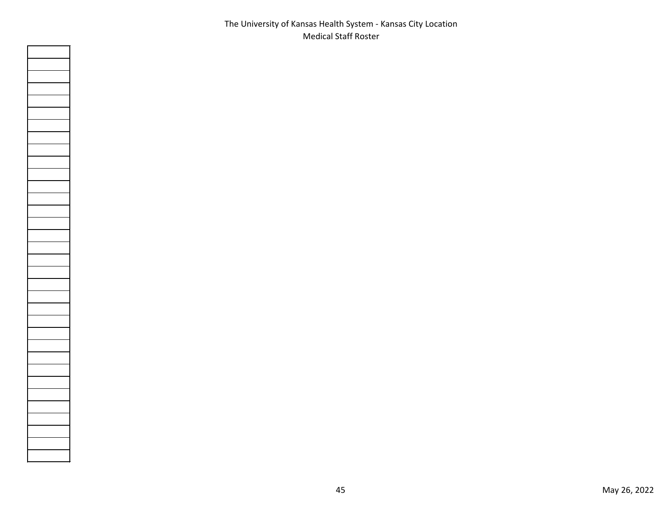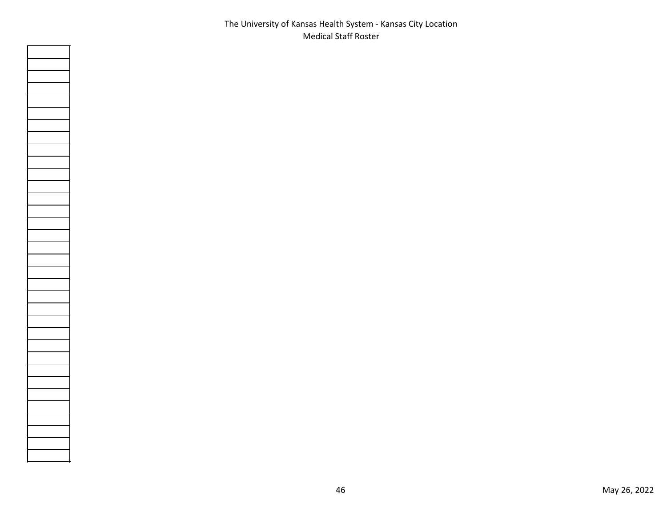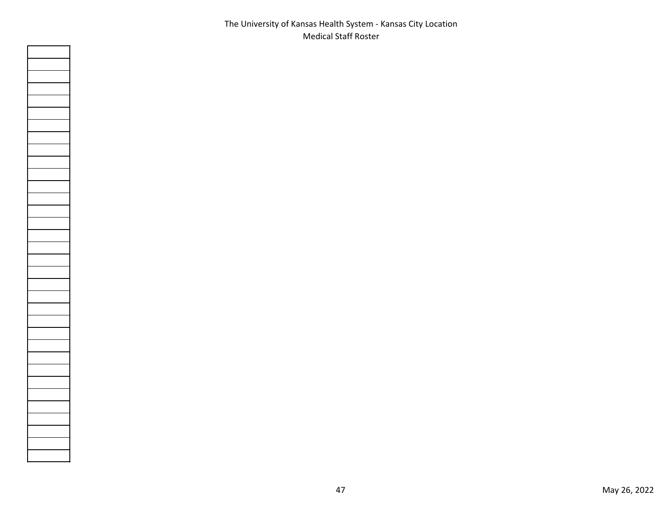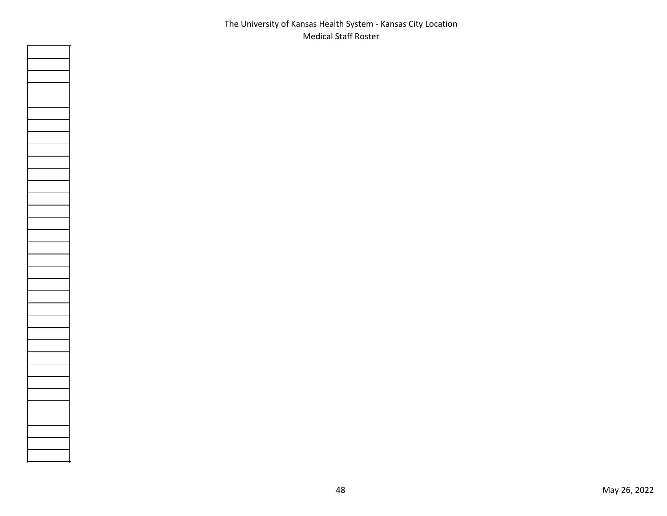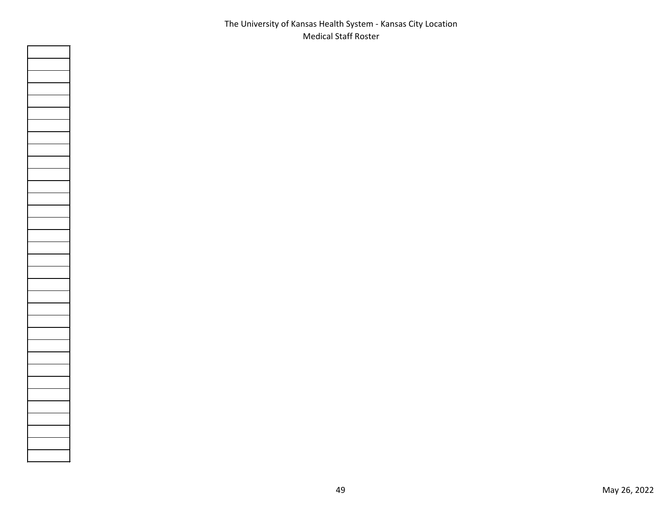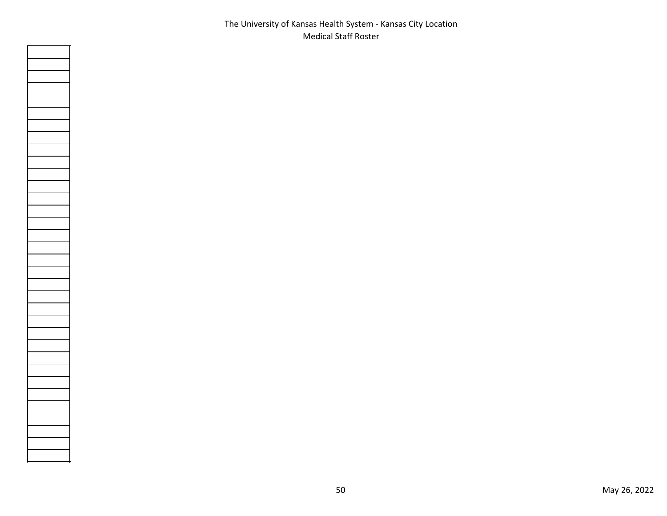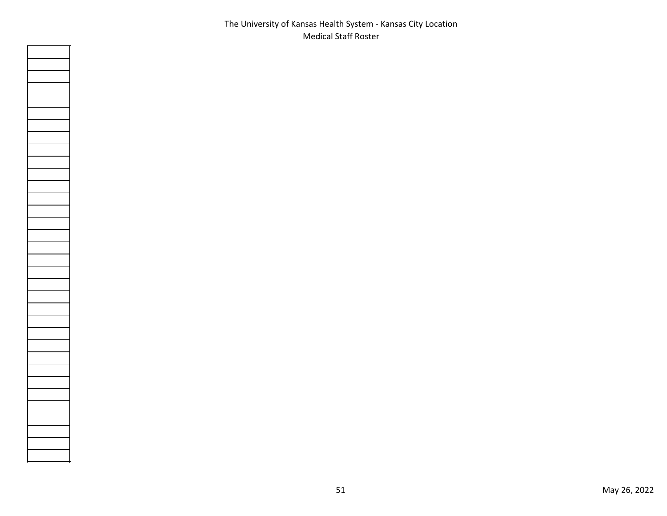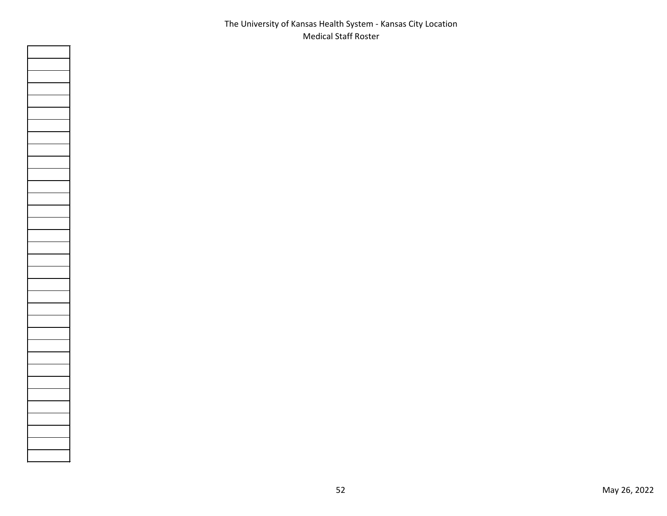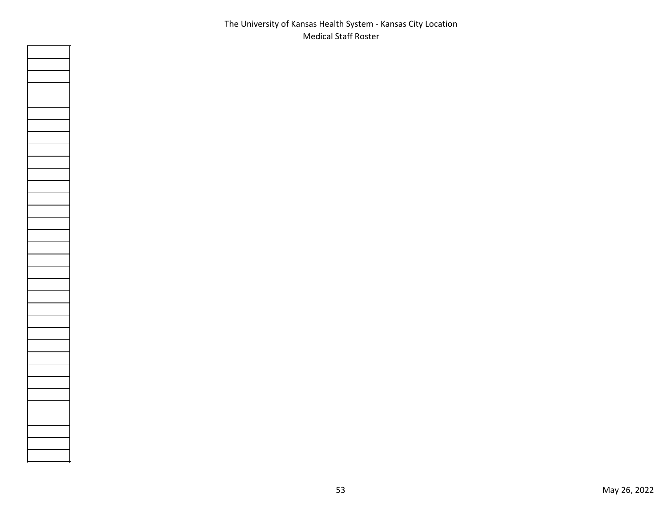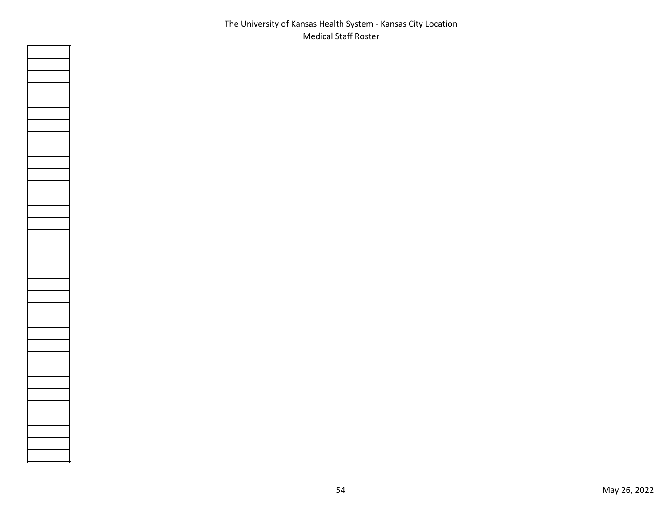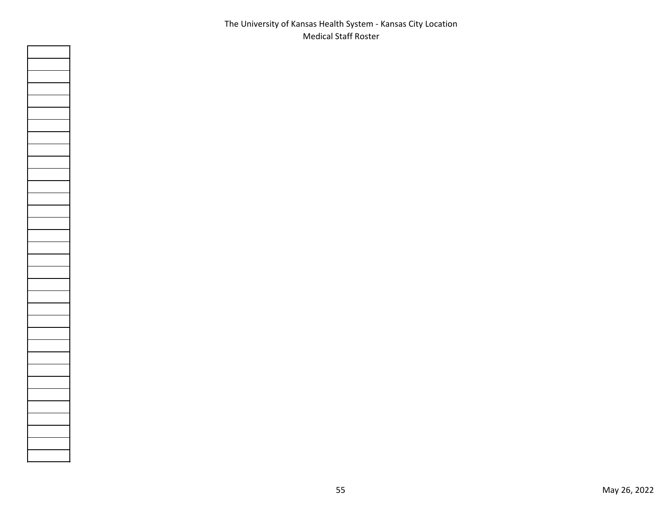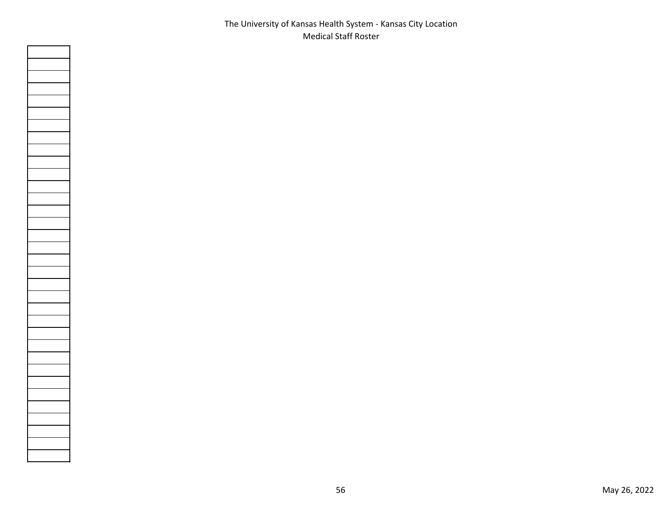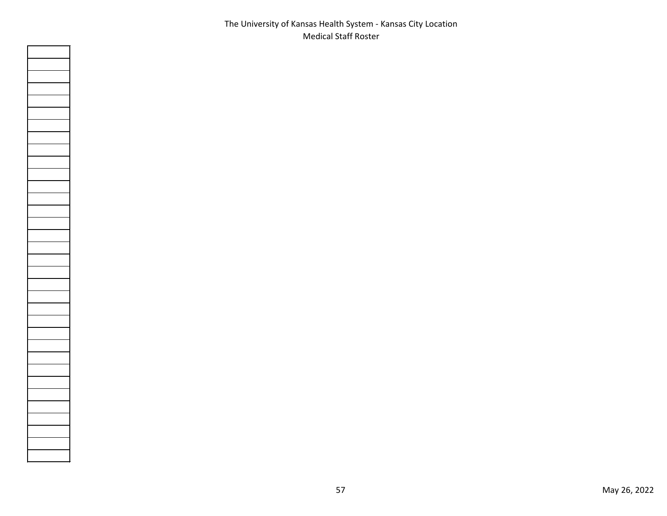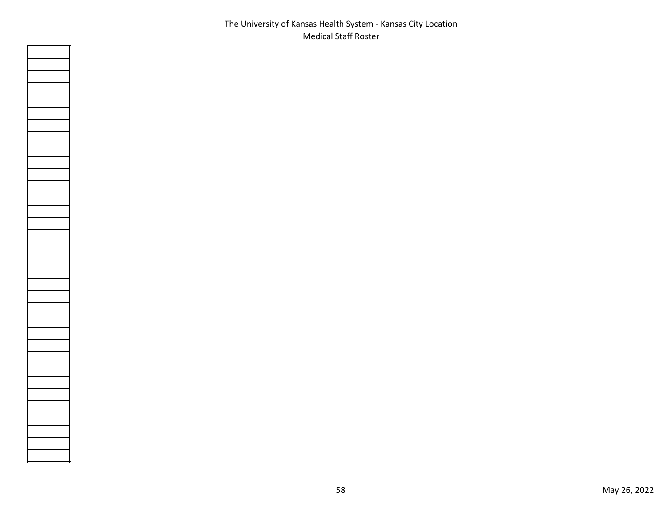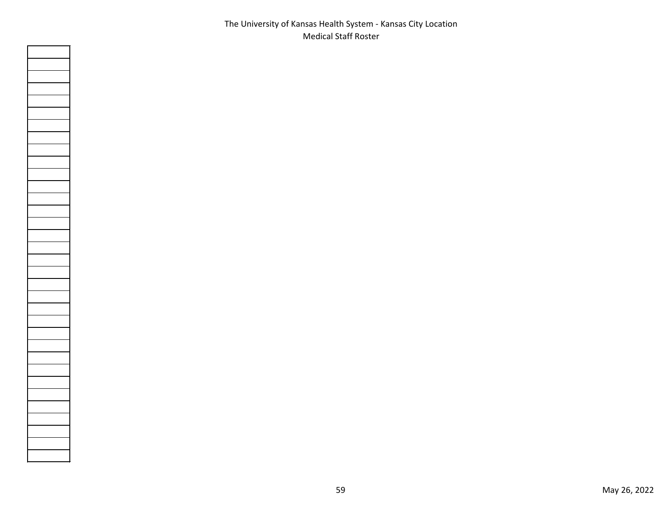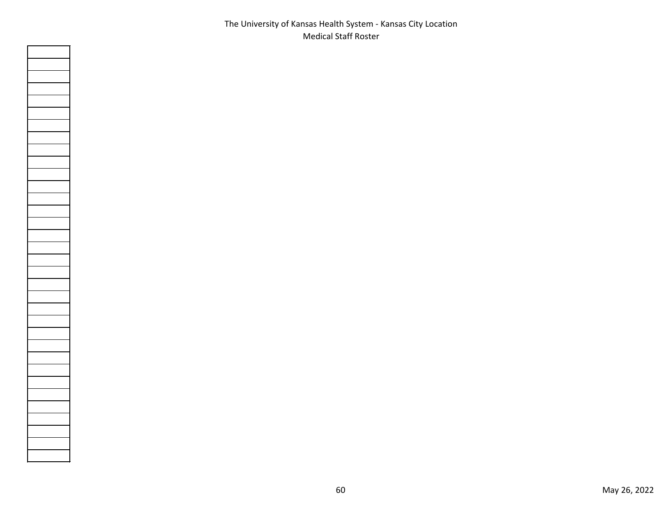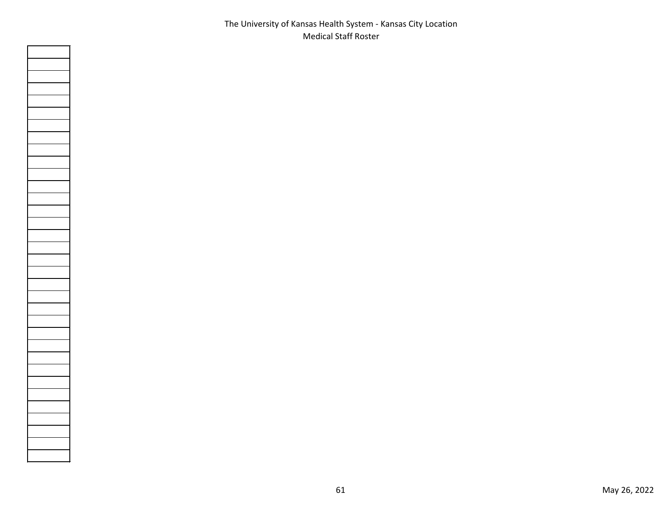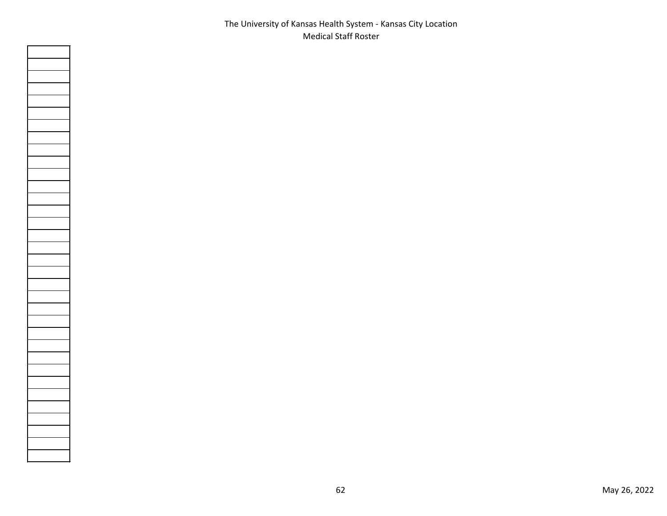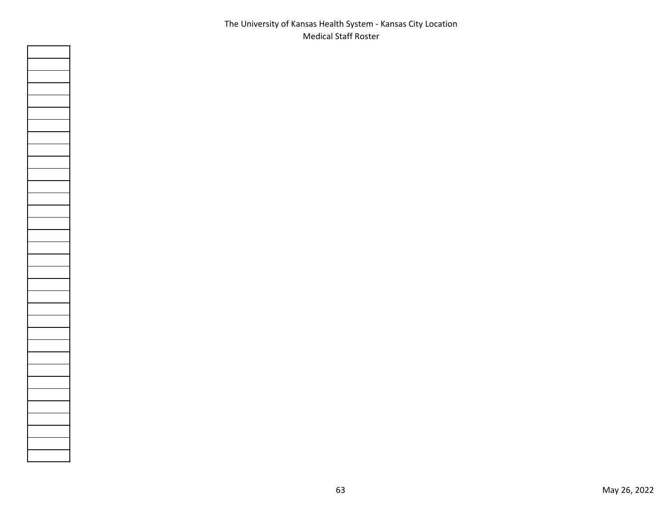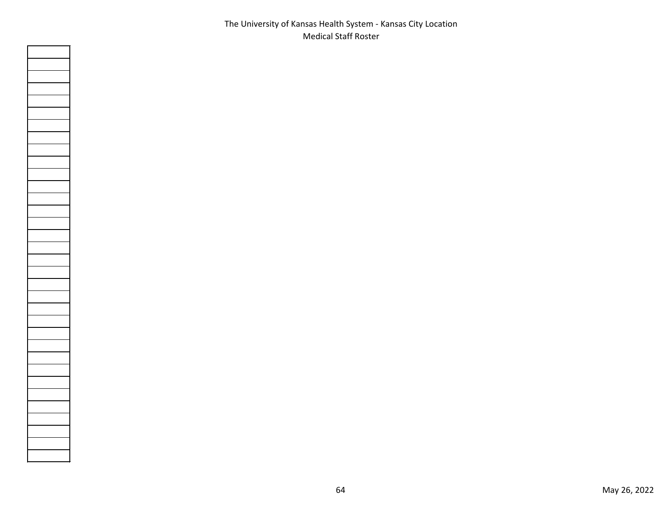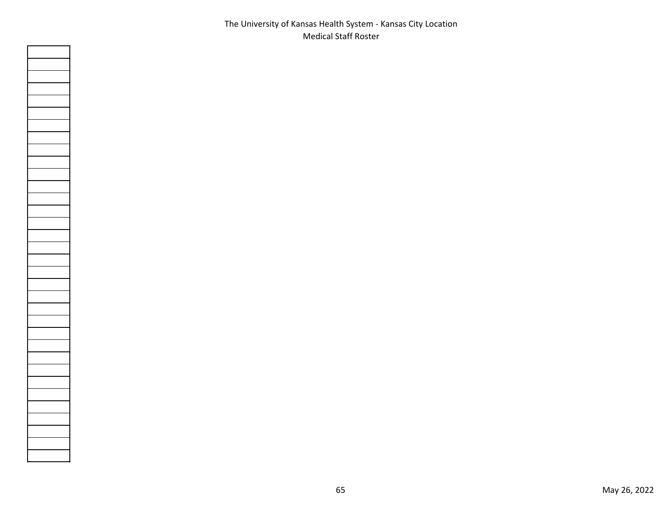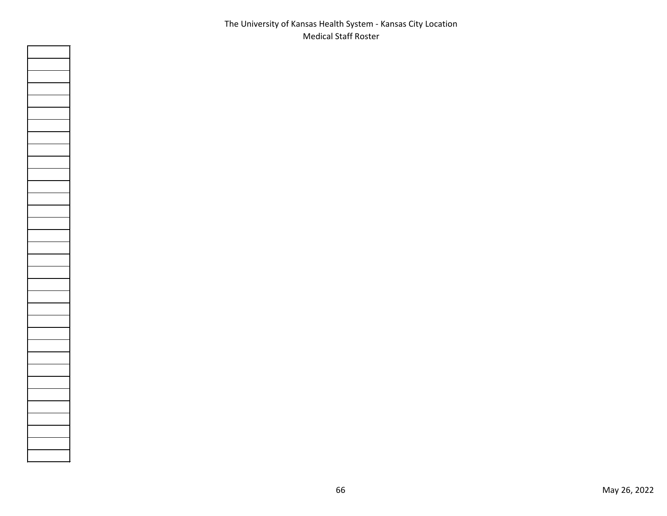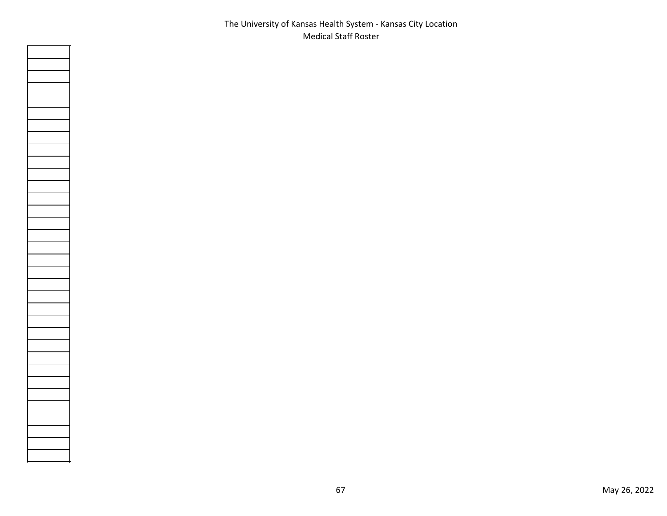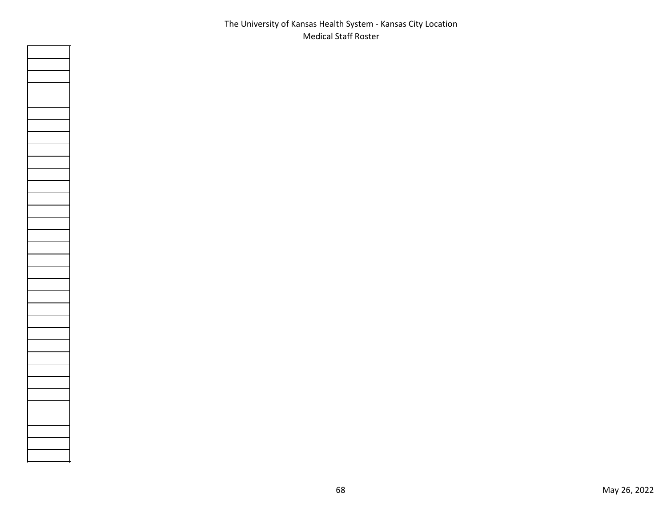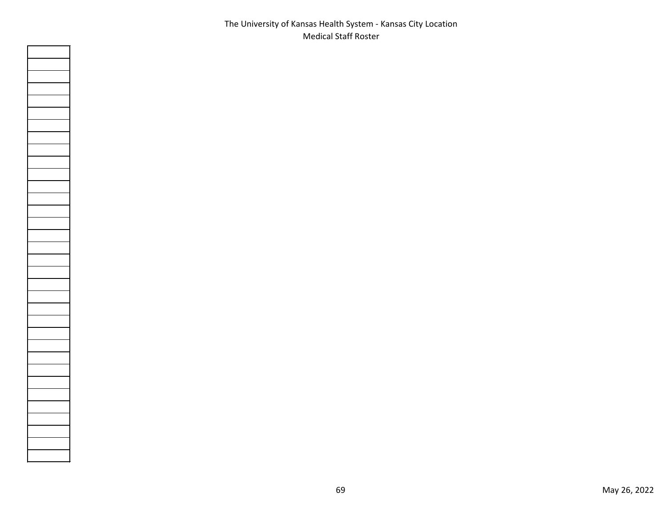